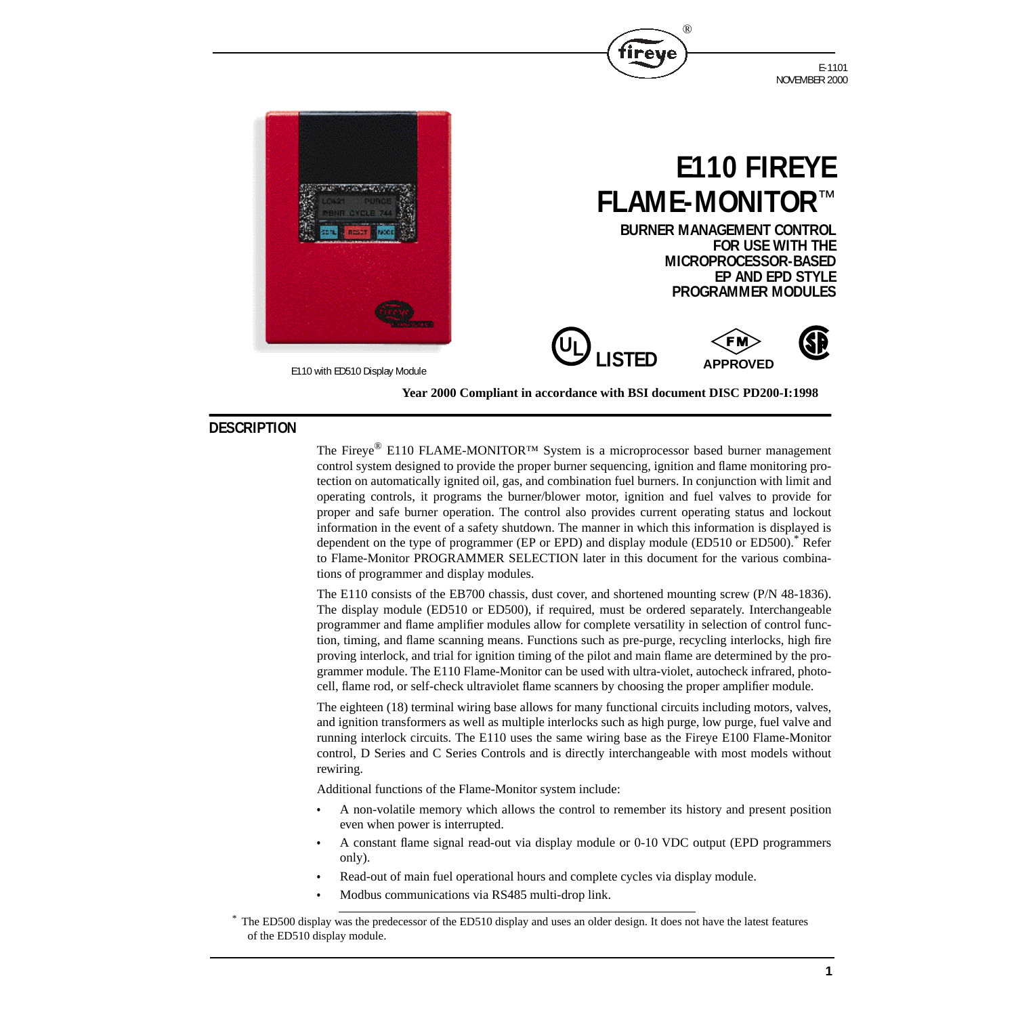

#### **Year 2000 Compliant in accordance with BSI document DISC PD200-I:1998**

# **DESCRIPTION**

The Fireye® E110 FLAME-MONITOR<sup>™</sup> System is a microprocessor based burner management control system designed to provide the proper burner sequencing, ignition and flame monitoring protection on automatically ignited oil, gas, and combination fuel burners. In conjunction with limit and operating controls, it programs the burner/blower motor, ignition and fuel valves to provide for proper and safe burner operation. The control also provides current operating status and lockout information in the event of a safety shutdown. The manner in which this information is displayed is dependent on the type of programmer (EP or EPD) and display module (ED510 or ED500).\* Refer to Flame-Monitor PROGRAMMER SELECTION later in this document for the various combinations of programmer and display modules.

The E110 consists of the EB700 chassis, dust cover, and shortened mounting screw (P/N 48-1836). The display module (ED510 or ED500), if required, must be ordered separately. Interchangeable programmer and flame amplifier modules allow for complete versatility in selection of control function, timing, and flame scanning means. Functions such as pre-purge, recycling interlocks, high fire proving interlock, and trial for ignition timing of the pilot and main flame are determined by the programmer module. The E110 Flame-Monitor can be used with ultra-violet, autocheck infrared, photocell, flame rod, or self-check ultraviolet flame scanners by choosing the proper amplifier module.

The eighteen (18) terminal wiring base allows for many functional circuits including motors, valves, and ignition transformers as well as multiple interlocks such as high purge, low purge, fuel valve and running interlock circuits. The E110 uses the same wiring base as the Fireye E100 Flame-Monitor control, D Series and C Series Controls and is directly interchangeable with most models without rewiring.

Additional functions of the Flame-Monitor system include:

- **•** A non-volatile memory which allows the control to remember its history and present position even when power is interrupted.
- **•** A constant flame signal read-out via display module or 0-10 VDC output (EPD programmers only).
- **•** Read-out of main fuel operational hours and complete cycles via display module.
- **•** Modbus communications via RS485 multi-drop link.

<sup>\*</sup> The ED500 display was the predecessor of the ED510 display and uses an older design. It does not have the latest features of the ED510 display module.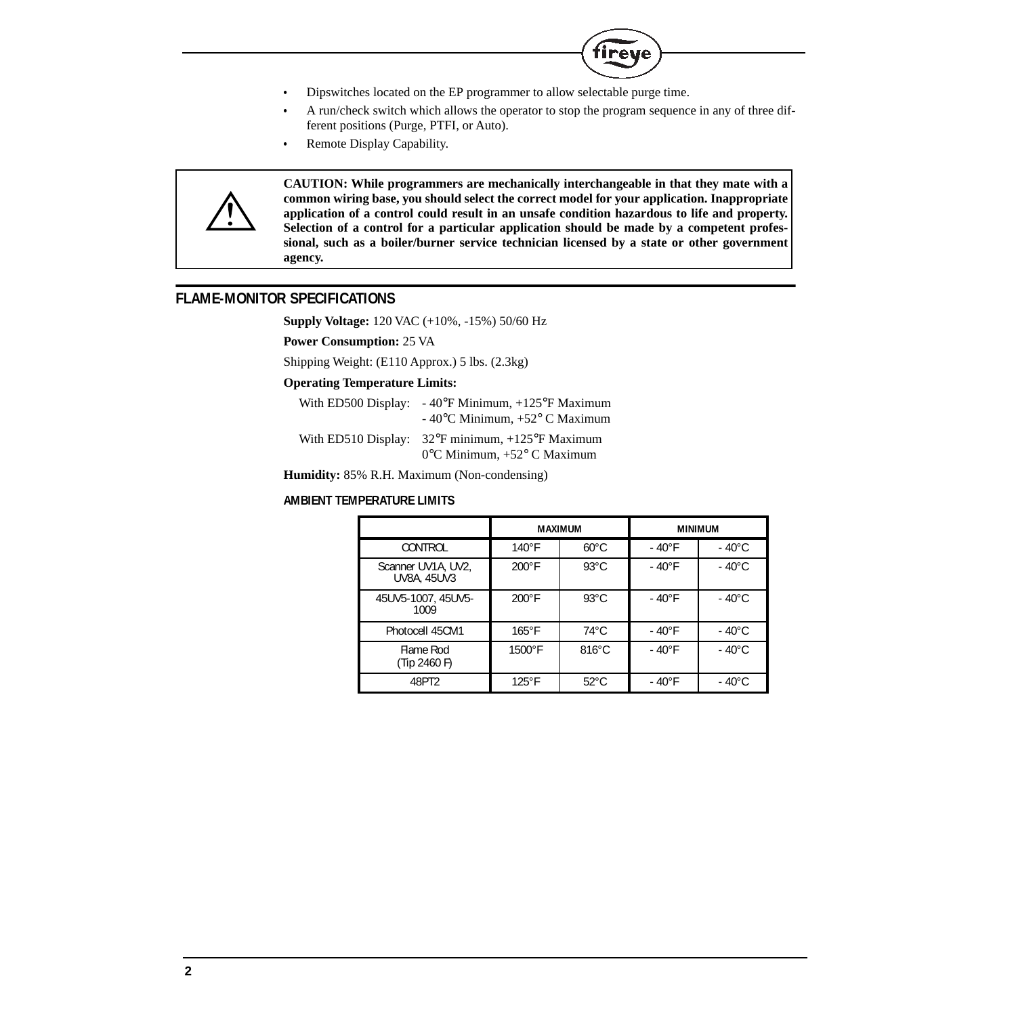

**•** A run/check switch which allows the operator to stop the program sequence in any of three different positions (Purge, PTFI, or Auto).

 $^{\circledR}$ 

**ireve** 

**•** Remote Display Capability.



**CAUTION: While programmers are mechanically interchangeable in that they mate with a common wiring base, you should select the correct model for your application. Inappropriate application of a control could result in an unsafe condition hazardous to life and property. Selection of a control for a particular application should be made by a competent professional, such as a boiler/burner service technician licensed by a state or other government agency.**

# **FLAME-MONITOR SPECIFICATIONS**

**Supply Voltage:** 120 VAC (+10%, -15%) 50/60 Hz

**Power Consumption:** 25 VA

Shipping Weight: (E110 Approx.) 5 lbs. (2.3kg)

**Operating Temperature Limits:**

| With ED500 Display: $-40^{\circ}$ F Minimum, $+125^{\circ}$ F Maximum |  |
|-----------------------------------------------------------------------|--|
| - 40 <sup>o</sup> C Minimum, $+52^{\circ}$ C Maximum                  |  |

With ED510 Display: 32°F minimum, +125°F Maximum 0°C Minimum, +52° C Maximum

**Humidity:** 85% R.H. Maximum (Non-condensing)

#### **AMBIENT TEMPERATURE LIMITS**

|                                          |                 | <b>MAXIMUM</b>  |                 | <b>MINIMUM</b>  |
|------------------------------------------|-----------------|-----------------|-----------------|-----------------|
| CONTROL                                  | $140^{\circ}$ F | $60^{\circ}$ C  | $-40^{\circ}$ F | $-40^{\circ}$ C |
| Scanner UV1A, UV2,<br><b>UV8A, 45UV3</b> | $200^{\circ}$ F | $93^{\circ}$ C  | $-40^{\circ}$ F | $-40^{\circ}$ C |
| 45UV5-1007, 45UV5-<br>1009               | $200^{\circ}$ F | $93^{\circ}$ C  | $-40^{\circ}$ F | $-40^{\circ}$ C |
| Photocell 45CM1                          | $165^{\circ}$ F | $74^{\circ}$ C  | - 40°F          | - 40°C          |
| Flame Rod<br>(Tip 2460 F)                | 1500°F          | $816^{\circ}$ C | $-40^{\circ}$ F | $-40^{\circ}$ C |
| 48PT2                                    | $125^{\circ}$ F | $52^{\circ}$ C  | $-40^{\circ}$ F | $-40^{\circ}$ C |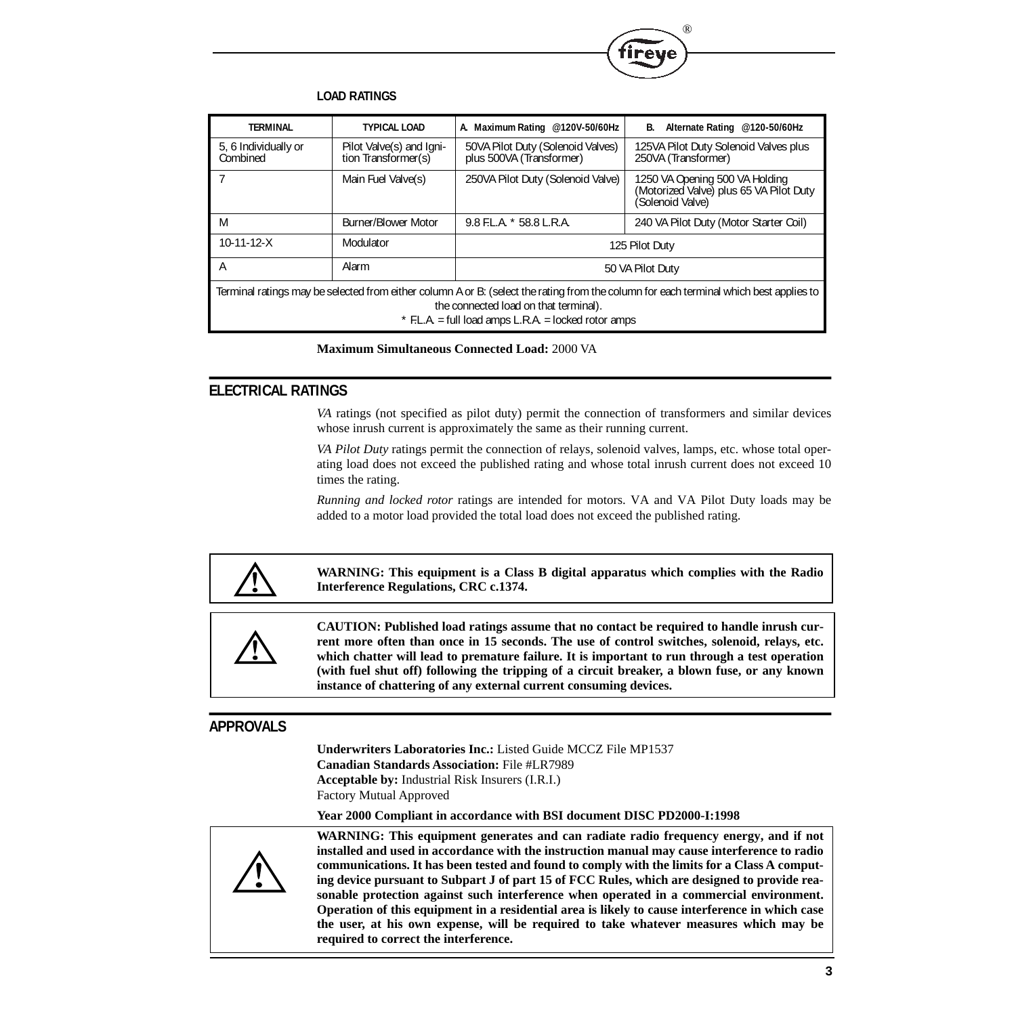

# **LOAD RATINGS**

| <b>TERMINAL</b>                                                                                                                                                                                                                           | <b>TYPICAL LOAD</b>                             | A. Maximum Rating @120V-50/60Hz<br>B. Alternate Rating @120-50/60Hz |                                                                                               |  |  |  |
|-------------------------------------------------------------------------------------------------------------------------------------------------------------------------------------------------------------------------------------------|-------------------------------------------------|---------------------------------------------------------------------|-----------------------------------------------------------------------------------------------|--|--|--|
| 5, 6 Individually or<br>Combined                                                                                                                                                                                                          | Pilot Valve(s) and Igni-<br>tion Transformer(s) | 50VA Pilot Duty (Solenoid Valves)<br>plus 500VA (Transformer)       | 125VA Pilot Duty Solenoid Valves plus<br>250VA (Transformer)                                  |  |  |  |
|                                                                                                                                                                                                                                           | Main Fuel Valve(s)                              | 250VA Pilot Duty (Solenoid Valve)                                   | 1250 VA Opening 500 VA Holding<br>(Motorized Valve) plus 65 VA Pilot Duty<br>(Solenoid Valve) |  |  |  |
| M                                                                                                                                                                                                                                         | <b>Burner/Blower Motor</b>                      | 9.8 F.L.A. * 58.8 L.R.A.                                            | 240 VA Pilot Duty (Motor Starter Coil)                                                        |  |  |  |
| $10-11-12-X$                                                                                                                                                                                                                              | Modulator                                       | 125 Pilot Duty                                                      |                                                                                               |  |  |  |
| A                                                                                                                                                                                                                                         | Alarm                                           | 50 VA Pilot Duty                                                    |                                                                                               |  |  |  |
| Terminal ratings may be selected from either column A or B: (select the rating from the column for each terminal which best applies to<br>the connected load on that terminal).<br>$*$ F.L.A. = full load amps L.R.A. = locked rotor amps |                                                 |                                                                     |                                                                                               |  |  |  |

**Maximum Simultaneous Connected Load:** 2000 VA

# **ELECTRICAL RATINGS**

*VA* ratings (not specified as pilot duty) permit the connection of transformers and similar devices whose inrush current is approximately the same as their running current.

*VA Pilot Duty* ratings permit the connection of relays, solenoid valves, lamps, etc. whose total operating load does not exceed the published rating and whose total inrush current does not exceed 10 times the rating.

*Running and locked rotor* ratings are intended for motors. VA and VA Pilot Duty loads may be added to a motor load provided the total load does not exceed the published rating.



**WARNING: This equipment is a Class B digital apparatus which complies with the Radio Interference Regulations, CRC c.1374.**

**CAUTION: Published load ratings assume that no contact be required to handle inrush current more often than once in 15 seconds. The use of control switches, solenoid, relays, etc. which chatter will lead to premature failure. It is important to run through a test operation (with fuel shut off) following the tripping of a circuit breaker, a blown fuse, or any known instance of chattering of any external current consuming devices.**

# **APPROVALS**

**Underwriters Laboratories Inc.:** Listed Guide MCCZ File MP1537 **Canadian Standards Association:** File #LR7989 **Acceptable by:** Industrial Risk Insurers (I.R.I.) Factory Mutual Approved

**Year 2000 Compliant in accordance with BSI document DISC PD2000-I:1998**



**WARNING: This equipment generates and can radiate radio frequency energy, and if not installed and used in accordance with the instruction manual may cause interference to radio communications. It has been tested and found to comply with the limits for a Class A computing device pursuant to Subpart J of part 15 of FCC Rules, which are designed to provide reasonable protection against such interference when operated in a commercial environment. Operation of this equipment in a residential area is likely to cause interference in which case the user, at his own expense, will be required to take whatever measures which may be required to correct the interference.**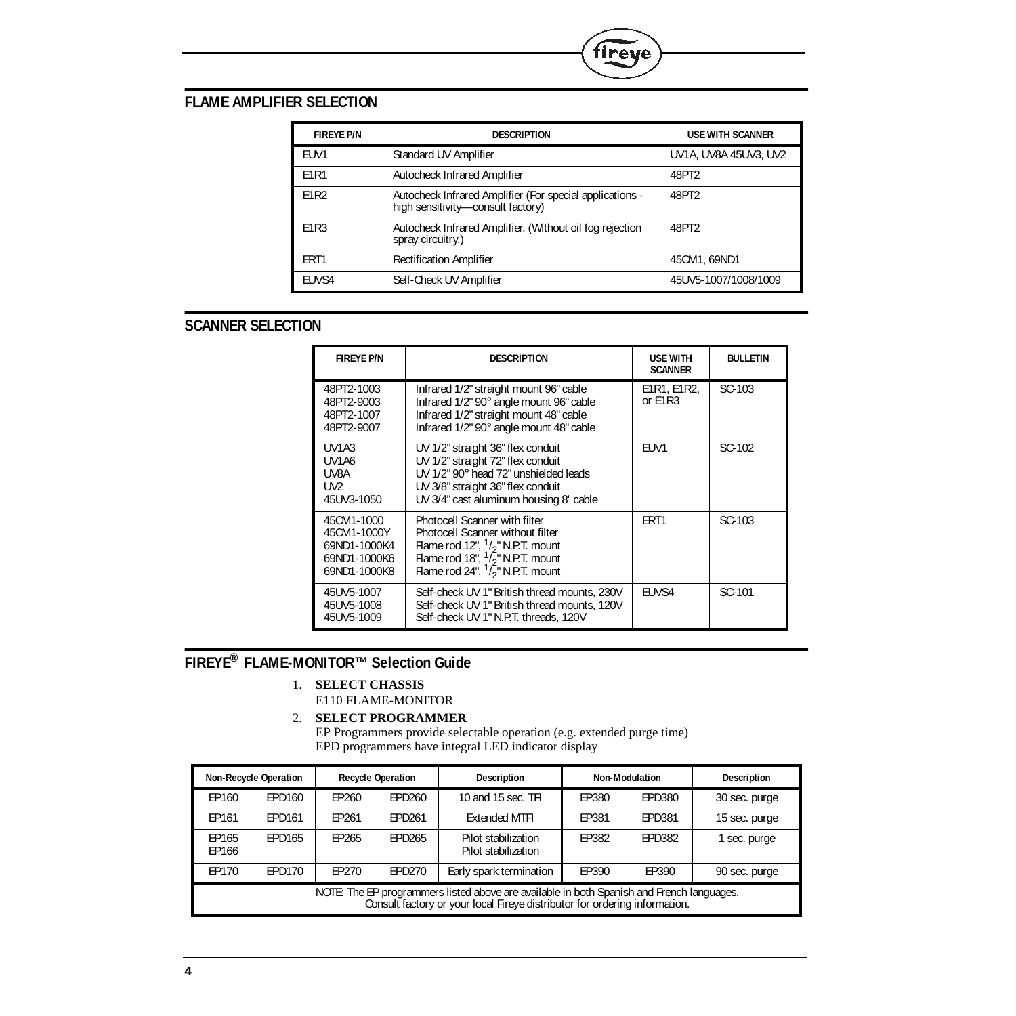

# **FLAME AMPLIFIER SELECTION**

| <b>FIREYE P/N</b> | <b>DESCRIPTION</b>                                                                            | <b>USE WITH SCANNER</b> |
|-------------------|-----------------------------------------------------------------------------------------------|-------------------------|
| EUV <sub>1</sub>  | Standard UV Amplifier                                                                         | UV1A, UV8A 45UV3, UV2   |
| E1R1              | Autocheck Infrared Amplifier                                                                  | 48PT2                   |
| E1R2              | Autocheck Infrared Amplifier (For special applications -<br>high sensitivity—consult factory) | 48PT2                   |
| E1R3              | Autocheck Infrared Amplifier. (Without oil fog rejection<br>spray circuitry.)                 | 48PT2                   |
| ERT <sub>1</sub>  | <b>Rectification Amplifier</b>                                                                | 45CM1, 69ND1            |
| EUVS4             | Self-Check UV Amplifier                                                                       | 45UV5-1007/1008/1009    |

# **SCANNER SELECTION**

| <b>FIREYE P/N</b>                                                           | <b>DESCRIPTION</b>                                                                                                                                                                                   | <b>USE WITH</b><br><b>SCANNER</b> | <b>BULLETIN</b> |
|-----------------------------------------------------------------------------|------------------------------------------------------------------------------------------------------------------------------------------------------------------------------------------------------|-----------------------------------|-----------------|
| 48PT2-1003<br>48PT2-9003<br>48PT2-1007<br>48PT2-9007                        | Infrared 1/2" straight mount 96" cable<br>Infrared 1/2" 90° angle mount 96" cable<br>Infrared 1/2" straight mount 48" cable<br>Infrared 1/2" 90° angle mount 48" cable                               | E1R1, E1R2,<br>or $E1R3$          | SC-103          |
| <b>UV1A3</b><br>UV <sub>1</sub> A6<br>UV8A<br>UV <sub>2</sub><br>45UV3-1050 | UV 1/2" straight 36" flex conduit<br>UV 1/2" straight 72" flex conduit<br>UV 1/2" 90° head 72" unshielded leads<br>UV 3/8" straight 36" flex conduit<br>UV 3/4" cast aluminum housing 8' cable       | EUV1                              | SC-102          |
| 45CM1-1000<br>45CM1-1000Y<br>69ND1-1000K4<br>69ND1-1000K6<br>69ND1-1000K8   | <b>Photocell Scanner with filter</b><br><b>Photocell Scanner without filter</b><br>Flame rod 12", $1/2$ " N.P.T. mount<br>Flame rod 18", $1/2$ " N.P.T. mount<br>Flame rod 24", $1/2$ " N.P.T. mount | ERT1                              | SC-103          |
| 45UV5-1007<br>45UV5-1008<br>45UV5-1009                                      | Self-check UV 1" British thread mounts, 230V<br>Self-check UV 1" British thread mounts, 120V<br>Self-check UV 1" N.P.T. threads, 120V                                                                | EUVS4                             | SC-101          |

# **FIREYE® FLAME-MONITOR™ Selection Guide**

#### 1. **SELECT CHASSIS** E110 FLAME-MONITOR

# 2. **SELECT PROGRAMMER**

EP Programmers provide selectable operation (e.g. extended purge time) EPD programmers have integral LED indicator display

| <b>Non-Recycle Operation</b><br><b>Recycle Operation</b>                                                                                                                |               | Description | Non-Modulation |                                            | Description |        |               |
|-------------------------------------------------------------------------------------------------------------------------------------------------------------------------|---------------|-------------|----------------|--------------------------------------------|-------------|--------|---------------|
| EP160                                                                                                                                                                   | <b>FPD160</b> | EP260       | <b>FPD260</b>  | 10 and 15 sec. TFI                         | EP380       | EPD380 | 30 sec. purge |
| EP161                                                                                                                                                                   | <b>FPD161</b> | EP261       | EPD261         | <b>Extended MTFI</b>                       | EP381       | EPD381 | 15 sec. purge |
| EP165<br>EP166                                                                                                                                                          | <b>EPD165</b> | EP265       | EPD265         | Pilot stabilization<br>Pilot stabilization | EP382       | EPD382 | 1 sec. purge  |
| EP170                                                                                                                                                                   | FPD170        | EP270       | EPD270         | Early spark termination                    | EP390       | EP390  | 90 sec. purge |
| NOTE: The EP programmers listed above are available in both Spanish and French languages.<br>Consult factory or your local Fireye distributor for ordering information. |               |             |                |                                            |             |        |               |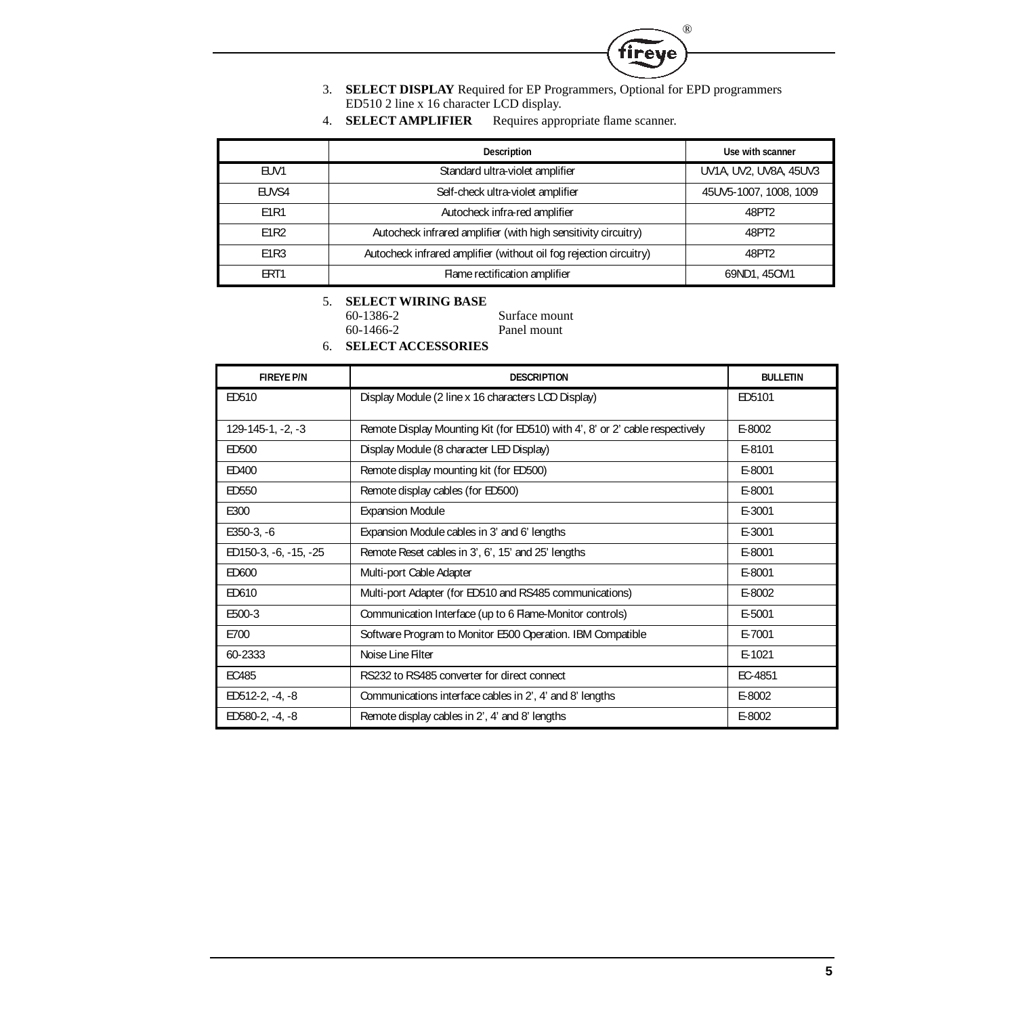

3. **SELECT DISPLAY** Required for EP Programmers, Optional for EPD programmers ED510 2 line x 16 character LCD display.

# 4. **SELECT AMPLIFIER** Requires appropriate flame scanner.

|                               | Description                                                        | Use with scanner       |
|-------------------------------|--------------------------------------------------------------------|------------------------|
| EUV <sub>1</sub>              | Standard ultra-violet amplifier                                    | UV1A, UV2, UV8A, 45UV3 |
| EUVS4                         | Self-check ultra-violet amplifier                                  | 45UV5-1007, 1008, 1009 |
| E1R1                          | Autocheck infra-red amplifier                                      | 48PT2                  |
| E1R2                          | Autocheck infrared amplifier (with high sensitivity circuitry)     | 48PT2                  |
| E <sub>1</sub> R <sub>3</sub> | Autocheck infrared amplifier (without oil fog rejection circuitry) | 48PT2                  |
| ERT <sub>1</sub>              | Flame rectification amplifier                                      | 69ND1, 45CM1           |

# 5. **SELECT WIRING BASE**

60-1386-2 Surface mount

Panel mount

6. **SELECT ACCESSORIES**

| <b>FIREYE P/N</b>     | <b>DESCRIPTION</b>                                                           | <b>BULLETIN</b> |
|-----------------------|------------------------------------------------------------------------------|-----------------|
| ED510                 | Display Module (2 line x 16 characters LCD Display)                          | ED5101          |
| $129-145-1, -2, -3$   | Remote Display Mounting Kit (for ED510) with 4', 8' or 2' cable respectively | E-8002          |
| ED500                 | Display Module (8 character LED Display)                                     | E-8101          |
| ED400                 | Remote display mounting kit (for ED500)                                      | E-8001          |
| ED550                 | Remote display cables (for ED500)                                            | E-8001          |
| E300                  | <b>Expansion Module</b>                                                      | $E - 3001$      |
| $E350-3, -6$          | Expansion Module cables in 3' and 6' lengths                                 | E-3001          |
| ED150-3, -6, -15, -25 | Remote Reset cables in 3', 6', 15' and 25' lengths                           | E-8001          |
| ED600                 | Multi-port Cable Adapter                                                     | E-8001          |
| ED610                 | Multi-port Adapter (for ED510 and RS485 communications)                      | E-8002          |
| E500-3                | Communication Interface (up to 6 Flame-Monitor controls)                     | E-5001          |
| E700                  | Software Program to Monitor E500 Operation. IBM Compatible                   | E-7001          |
| 60-2333               | Noise Line Filter                                                            | E-1021          |
| EC485                 | RS232 to RS485 converter for direct connect                                  | EC-4851         |
| ED512-2, -4, -8       | Communications interface cables in 2', 4' and 8' lengths                     | E-8002          |
| ED580-2, -4, -8       | Remote display cables in 2', 4' and 8' lengths                               | E-8002          |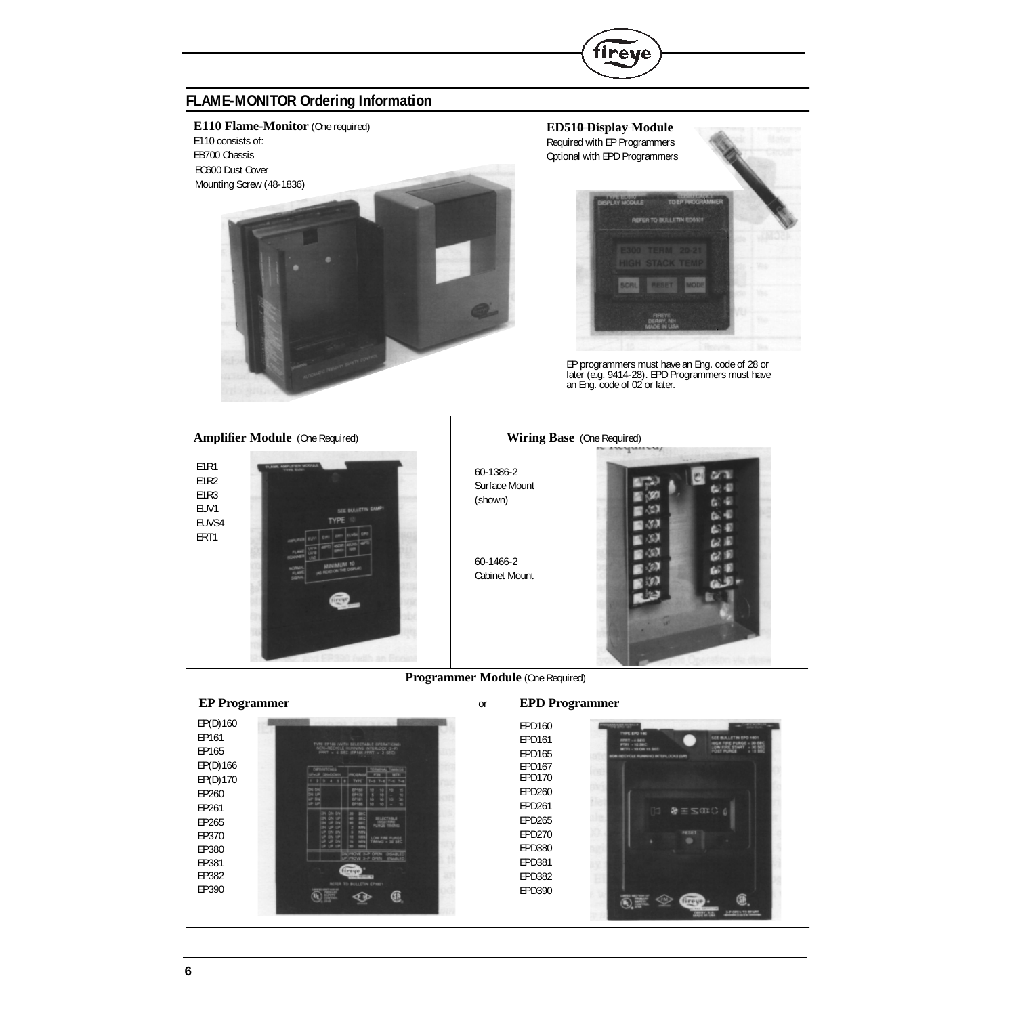

# **FLAME-MONITOR Ordering Information**

#### **E110 Flame-Monitor** (One required) **ED510 Display Module**

E110 consists of: EB700 Chassis EC600 Dust Cover Mounting Screw (48-1836)





EP programmers must have an Eng. code of 28 or later (e.g. 9414-28). EPD Programmers must have an Eng. code of 02 or later.

### **Amplifier Module** (One Required) **Wiring Base** (One Required)



60-1386-2 Surface Mount (shown)

60-1466-2 Cabinet Mount



**Programmer Module** (One Required)

#### **EP Programmer**



#### or **EPD Programmer**

EPD160 EPD161 EPD165 EPD170 EPD260 EPD261 EPD265 EPD270 EPD380 EPD381 EPD382 EPD390

EPD167

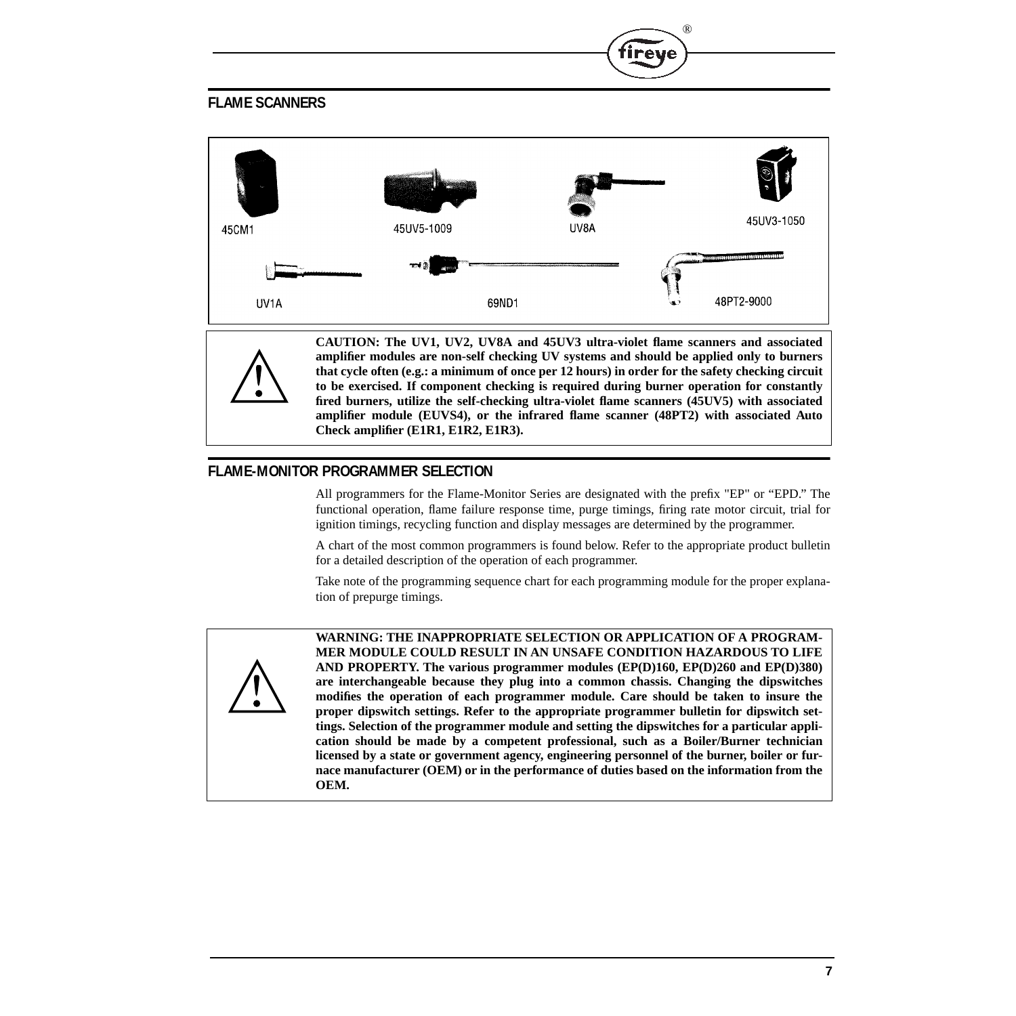# **FLAME SCANNERS**



**to be exercised. If component checking is required during burner operation for constantly fired burners, utilize the self-checking ultra-violet flame scanners (45UV5) with associated amplifier module (EUVS4), or the infrared flame scanner (48PT2) with associated Auto Check amplifier (E1R1, E1R2, E1R3).**

®

# **FLAME-MONITOR PROGRAMMER SELECTION**

All programmers for the Flame-Monitor Series are designated with the prefix "EP" or "EPD." The functional operation, flame failure response time, purge timings, firing rate motor circuit, trial for ignition timings, recycling function and display messages are determined by the programmer.

A chart of the most common programmers is found below. Refer to the appropriate product bulletin for a detailed description of the operation of each programmer.

Take note of the programming sequence chart for each programming module for the proper explanation of prepurge timings.



**WARNING: THE INAPPROPRIATE SELECTION OR APPLICATION OF A PROGRAM-MER MODULE COULD RESULT IN AN UNSAFE CONDITION HAZARDOUS TO LIFE AND PROPERTY. The various programmer modules (EP(D)160, EP(D)260 and EP(D)380) are interchangeable because they plug into a common chassis. Changing the dipswitches modifies the operation of each programmer module. Care should be taken to insure the proper dipswitch settings. Refer to the appropriate programmer bulletin for dipswitch settings. Selection of the programmer module and setting the dipswitches for a particular application should be made by a competent professional, such as a Boiler/Burner technician licensed by a state or government agency, engineering personnel of the burner, boiler or furnace manufacturer (OEM) or in the performance of duties based on the information from the OEM.**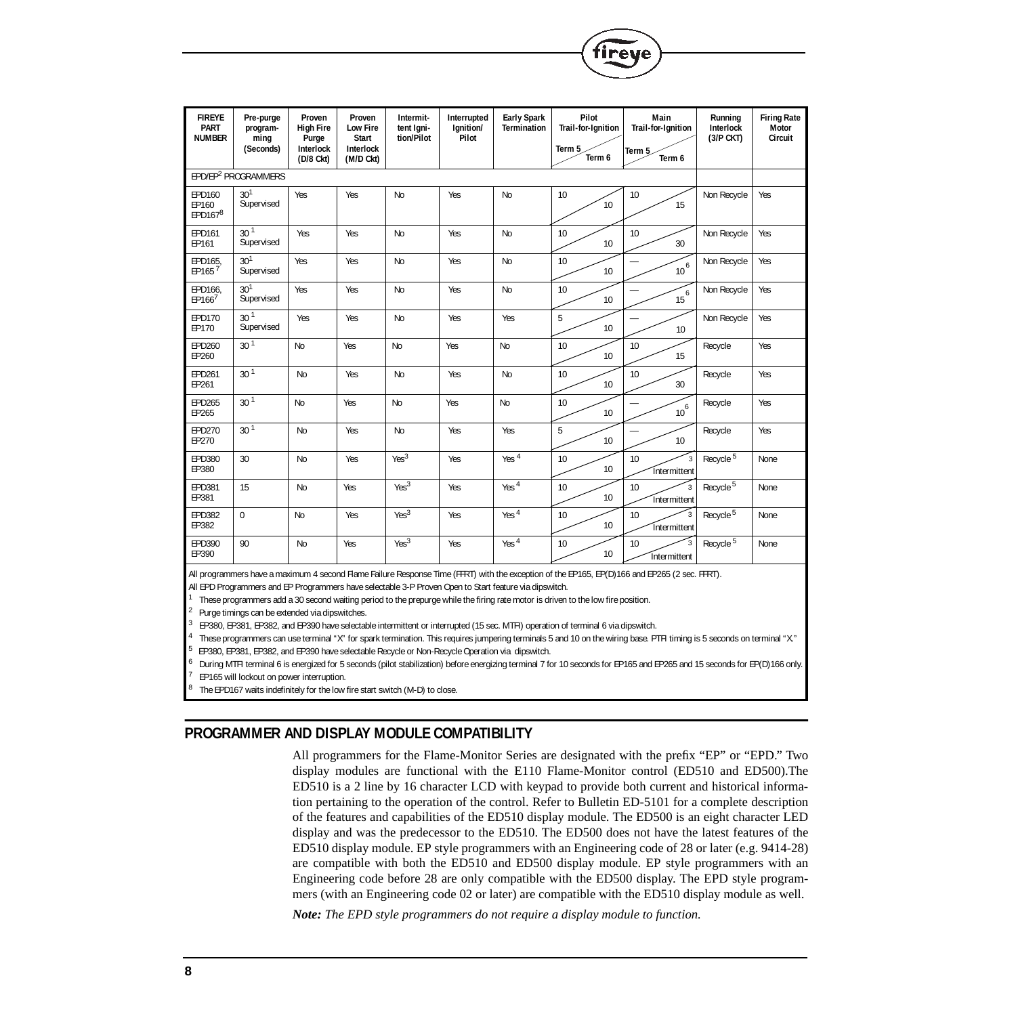| <b>FIREYE</b><br><b>PART</b><br><b>NUMBER</b> | Pre-purge<br>program-<br>ming<br>(Seconds) | Proven<br><b>High Fire</b><br>Purge<br>Interlock<br>$(D/8)$ Ckt) | Proven<br><b>Low Fire</b><br>Start<br>Interlock<br>(M/D Ckt) | Intermit-<br>tent Igni-<br>tion/Pilot | Interrupted<br>Ignition/<br>Pilot | <b>Early Spark</b><br>Termination | Pilot<br>Trail-for-Ignition<br>Term 5<br>Term 6 | Main<br>Trail-for-Ignition<br>Term 5<br>Term 6 | Running<br>Interlock<br>(3/P CKT) | <b>Firing Rate</b><br>Motor<br>Circuit |
|-----------------------------------------------|--------------------------------------------|------------------------------------------------------------------|--------------------------------------------------------------|---------------------------------------|-----------------------------------|-----------------------------------|-------------------------------------------------|------------------------------------------------|-----------------------------------|----------------------------------------|
|                                               | EPD/EP <sup>2</sup> PROGRAMMERS            |                                                                  |                                                              |                                       |                                   |                                   |                                                 |                                                |                                   |                                        |
| EPD160<br>EP160<br>EPD1678                    | 30 <sup>1</sup><br>Supervised              | Yes                                                              | Yes                                                          | <b>No</b>                             | Yes                               | <b>No</b>                         | 10<br>10                                        | 10<br>15                                       | Non Recycle                       | Yes                                    |
| EPD161<br>EP161                               | 30 <sup>1</sup><br>Supervised              | Yes                                                              | Yes                                                          | <b>No</b>                             | <b>Yes</b>                        | <b>No</b>                         | 10<br>10                                        | 10<br>30                                       | Non Recycle                       | Yes                                    |
| EPD165,<br>EP165 <sup>7</sup>                 | 30 <sup>1</sup><br>Supervised              | Yes                                                              | Yes                                                          | <b>No</b>                             | Yes                               | <b>No</b>                         | 10<br>10                                        | $10^6$                                         | Non Recycle                       | Yes                                    |
| EPD166,<br>EP1667                             | 30 <sup>1</sup><br>Supervised              | Yes                                                              | Yes                                                          | <b>No</b>                             | Yes                               | No                                | 10<br>10                                        | $15^{6}$                                       | Non Recycle                       | Yes                                    |
| EPD170<br>EP170                               | 30 <sup>1</sup><br>Supervised              | Yes                                                              | Yes                                                          | <b>No</b>                             | Yes                               | Yes                               | 5<br>10                                         | 10                                             | Non Recycle                       | Yes                                    |
| EPD260<br>EP260                               | 30 <sup>1</sup>                            | <b>No</b>                                                        | Yes                                                          | <b>No</b>                             | Yes                               | <b>No</b>                         | 10<br>10                                        | 10<br>15                                       | Recycle                           | Yes                                    |
| EPD261<br>EP261                               | 30 <sup>1</sup>                            | <b>No</b>                                                        | Yes                                                          | No                                    | Yes                               | <b>No</b>                         | 10<br>10                                        | 10<br>30                                       | Recycle                           | Yes                                    |
| EPD265<br>EP265                               | 30 <sup>1</sup>                            | <b>No</b>                                                        | Yes                                                          | <b>No</b>                             | Yes                               | <b>No</b>                         | 10<br>10                                        | $10^6$                                         | Recycle                           | Yes                                    |
| EPD270<br>EP270                               | 30 <sup>1</sup>                            | <b>No</b>                                                        | Yes                                                          | <b>No</b>                             | Yes                               | Yes                               | 5<br>10                                         | 10                                             | Recycle                           | Yes                                    |
| EPD380<br>EP380                               | 30                                         | <b>No</b>                                                        | Yes                                                          | Yes <sup>3</sup>                      | Yes                               | Yes <sup>4</sup>                  | 10<br>10                                        | 10<br>Intermittent                             | Recycle <sup>5</sup>              | None                                   |
| EPD381<br>EP381                               | 15                                         | <b>No</b>                                                        | Yes                                                          | Yes <sup>3</sup>                      | Yes                               | Yes <sup>4</sup>                  | 10<br>10                                        | 10<br>Intermittent                             | Recycle $5$                       | None                                   |
| EPD382<br>EP382                               | $\Omega$                                   | <b>No</b>                                                        | Yes                                                          | Yes <sup>3</sup>                      | Yes                               | Yes $4$                           | 10<br>10                                        | 10<br>Intermittent                             | Recycle <sup>5</sup>              | None                                   |
| EPD390<br>EP390                               | 90                                         | <b>No</b>                                                        | Yes                                                          | Yes <sup>3</sup>                      | Yes                               | Yes <sup>4</sup>                  | 10<br>10                                        | 10<br>Intermittent                             | Recycle <sup>5</sup>              | None                                   |

 $^{\circledR}$ 

All programmers have a maximum 4 second Flame Failure Response Time (FFRT) with the exception of the EP165, EP(D)166 and EP265 (2 sec. FFRT).

All EPD Programmers and EP Programmers have selectable 3-P Proven Open to Start feature via dipswitch.

<sup>1</sup> These programmers add a 30 second waiting period to the prepurge while the firing rate motor is driven to the low fire position.

<sup>2</sup> Purge timings can be extended via dipswitches.

<sup>3</sup> EP380, EP381, EP382, and EP390 have selectable intermittent or interrupted (15 sec. MTFI) operation of terminal 6 via dipswitch.

These programmers can use terminal "X" for spark termination. This requires jumpering terminals 5 and 10 on the wiring base. PTFI timing is 5 seconds on terminal "X." <sup>5</sup> EP380, EP381, EP382, and EP390 have selectable Recycle or Non-Recycle Operation via dipswitch.

During MTFI terminal 6 is energized for 5 seconds (pilot stabilization) before energizing terminal 7 for 10 seconds for EP165 and EP265 and 15 seconds for EP(D)166 only.

EP165 will lockout on power interruption.

The EPD167 waits indefinitely for the low fire start switch (M-D) to close.

# **PROGRAMMER AND DISPLAY MODULE COMPATIBILITY**

All programmers for the Flame-Monitor Series are designated with the prefix "EP" or "EPD." Two display modules are functional with the E110 Flame-Monitor control (ED510 and ED500).The ED510 is a 2 line by 16 character LCD with keypad to provide both current and historical information pertaining to the operation of the control. Refer to Bulletin ED-5101 for a complete description of the features and capabilities of the ED510 display module. The ED500 is an eight character LED display and was the predecessor to the ED510. The ED500 does not have the latest features of the ED510 display module. EP style programmers with an Engineering code of 28 or later (e.g. 9414-28) are compatible with both the ED510 and ED500 display module. EP style programmers with an Engineering code before 28 are only compatible with the ED500 display. The EPD style programmers (with an Engineering code 02 or later) are compatible with the ED510 display module as well.

*Note: The EPD style programmers do not require a display module to function.*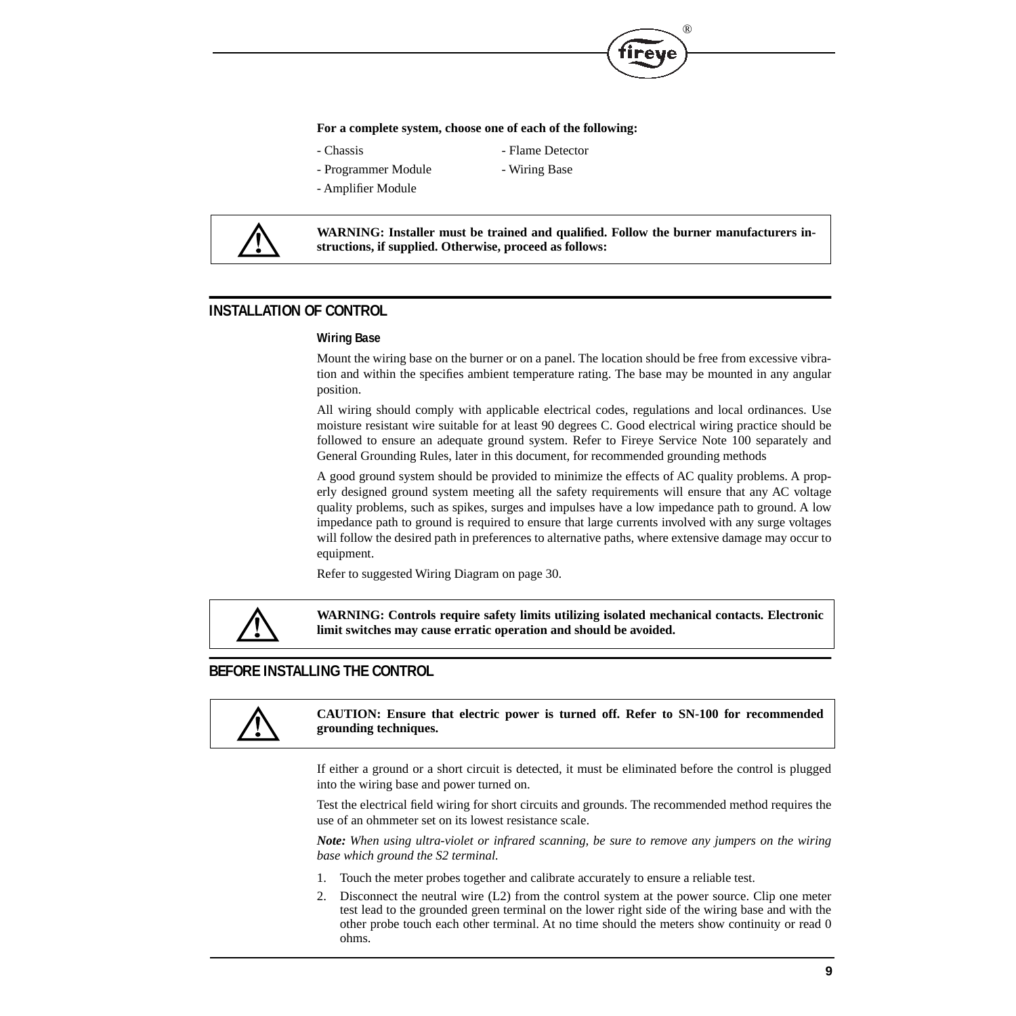

#### **For a complete system, choose one of each of the following:**

- Chassis Flame Detector
- Programmer Module Wiring Base

- Amplifier Module



**WARNING: Installer must be trained and qualified. Follow the burner manufacturers instructions, if supplied. Otherwise, proceed as follows:**

# **INSTALLATION OF CONTROL**

#### **Wiring Base**

Mount the wiring base on the burner or on a panel. The location should be free from excessive vibration and within the specifies ambient temperature rating. The base may be mounted in any angular position.

All wiring should comply with applicable electrical codes, regulations and local ordinances. Use moisture resistant wire suitable for at least 90 degrees C. Good electrical wiring practice should be followed to ensure an adequate ground system. Refer to Fireye Service Note 100 separately and General Grounding Rules, later in this document, for recommended grounding methods

A good ground system should be provided to minimize the effects of AC quality problems. A properly designed ground system meeting all the safety requirements will ensure that any AC voltage quality problems, such as spikes, surges and impulses have a low impedance path to ground. A low impedance path to ground is required to ensure that large currents involved with any surge voltages will follow the desired path in preferences to alternative paths, where extensive damage may occur to equipment.

Refer to suggested Wiring Diagram on page 30.



**WARNING: Controls require safety limits utilizing isolated mechanical contacts. Electronic limit switches may cause erratic operation and should be avoided.**

# **BEFORE INSTALLING THE CONTROL**



**CAUTION: Ensure that electric power is turned off. Refer to SN-100 for recommended grounding techniques.**

If either a ground or a short circuit is detected, it must be eliminated before the control is plugged into the wiring base and power turned on.

Test the electrical field wiring for short circuits and grounds. The recommended method requires the use of an ohmmeter set on its lowest resistance scale.

*Note: When using ultra-violet or infrared scanning, be sure to remove any jumpers on the wiring base which ground the S2 terminal.*

- 1. Touch the meter probes together and calibrate accurately to ensure a reliable test.
- 2. Disconnect the neutral wire (L2) from the control system at the power source. Clip one meter test lead to the grounded green terminal on the lower right side of the wiring base and with the other probe touch each other terminal. At no time should the meters show continuity or read 0 ohms.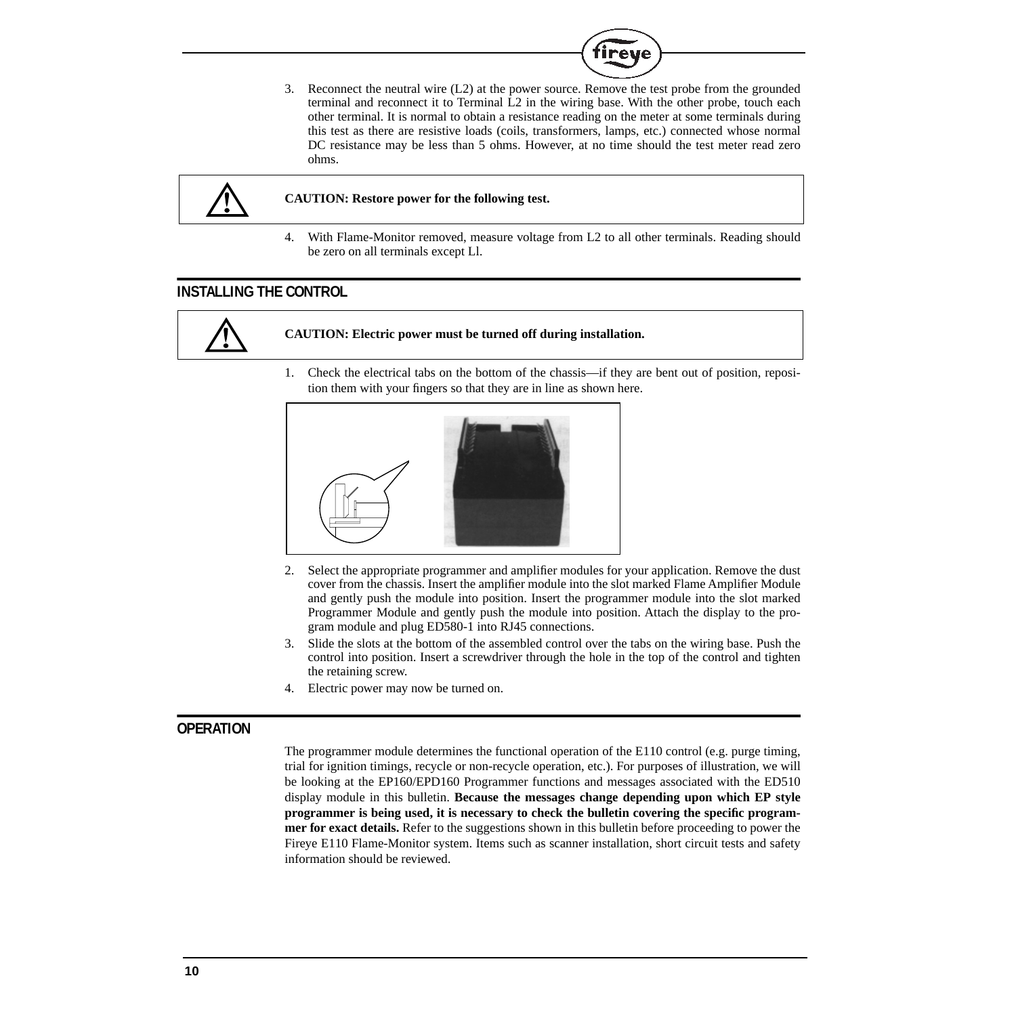

3. Reconnect the neutral wire (L2) at the power source. Remove the test probe from the grounded terminal and reconnect it to Terminal L2 in the wiring base. With the other probe, touch each other terminal. It is normal to obtain a resistance reading on the meter at some terminals during this test as there are resistive loads (coils, transformers, lamps, etc.) connected whose normal DC resistance may be less than 5 ohms. However, at no time should the test meter read zero ohms.



#### **CAUTION: Restore power for the following test.**

4. With Flame-Monitor removed, measure voltage from L2 to all other terminals. Reading should be zero on all terminals except Ll.

## **INSTALLING THE CONTROL**



#### **CAUTION: Electric power must be turned off during installation.**

1. Check the electrical tabs on the bottom of the chassis—if they are bent out of position, reposition them with your fingers so that they are in line as shown here.



- 2. Select the appropriate programmer and amplifier modules for your application. Remove the dust cover from the chassis. Insert the amplifier module into the slot marked Flame Amplifier Module and gently push the module into position. Insert the programmer module into the slot marked Programmer Module and gently push the module into position. Attach the display to the program module and plug ED580-1 into RJ45 connections.
- 3. Slide the slots at the bottom of the assembled control over the tabs on the wiring base. Push the control into position. Insert a screwdriver through the hole in the top of the control and tighten the retaining screw.
- 4. Electric power may now be turned on.

# **OPERATION**

The programmer module determines the functional operation of the E110 control (e.g. purge timing, trial for ignition timings, recycle or non-recycle operation, etc.). For purposes of illustration, we will be looking at the EP160/EPD160 Programmer functions and messages associated with the ED510 display module in this bulletin. **Because the messages change depending upon which EP style programmer is being used, it is necessary to check the bulletin covering the specific programmer for exact details.** Refer to the suggestions shown in this bulletin before proceeding to power the Fireye E110 Flame-Monitor system. Items such as scanner installation, short circuit tests and safety information should be reviewed.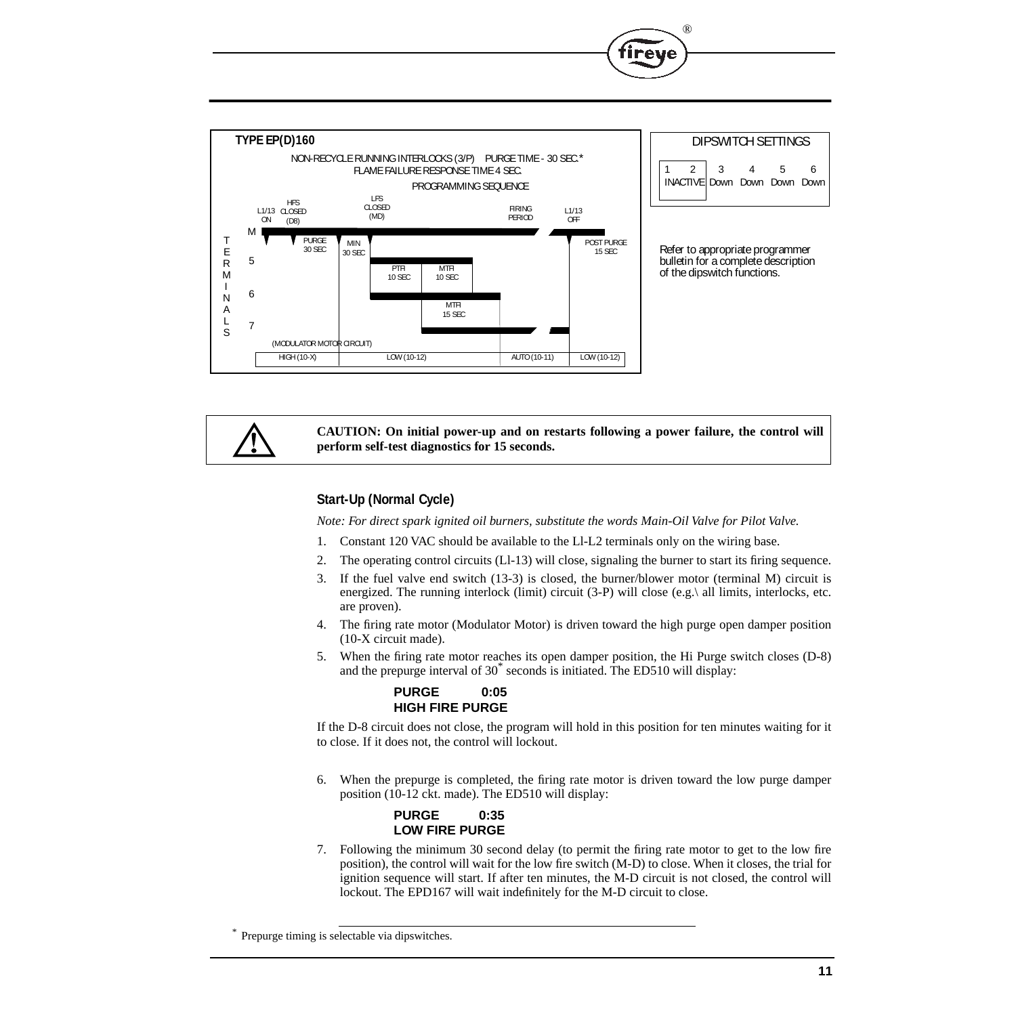<span id="page-10-0"></span>



**CAUTION: On initial power-up and on restarts following a power failure, the control will perform self-test diagnostics for 15 seconds.**

®

# **Start-Up (Normal Cycle)**

*Note: For direct spark ignited oil burners, substitute the words Main-Oil Valve for Pilot Valve.*

- 1. Constant 120 VAC should be available to the Ll-L2 terminals only on the wiring base.
- 2. The operating control circuits (Ll-13) will close, signaling the burner to start its firing sequence.
- 3. If the fuel valve end switch (13-3) is closed, the burner/blower motor (terminal M) circuit is energized. The running interlock (limit) circuit (3-P) will close (e.g.\ all limits, interlocks, etc. are proven).
- 4. The firing rate motor (Modulator Motor) is driven toward the high purge open damper position (10-X circuit made).
- 5. When the firing rate motor reaches its open damper position, the Hi Purge switch closes (D-8) and the prepurge interval of 30<sup>\*</sup> seconds is initiated. The ED510 will display:



If the D-8 circuit does not close, the program will hold in this position for ten minutes waiting for it to close. If it does not, the control will lockout.

6. When the prepurge is completed, the firing rate motor is driven toward the low purge damper position (10-12 ckt. made). The ED510 will display:



7. Following the minimum 30 second delay (to permit the firing rate motor to get to the low fire position), the control will wait for the low fire switch (M-D) to close. When it closes, the trial for ignition sequence will start. If after ten minutes, the M-D circuit is not closed, the control will lockout. The EPD167 will wait indefinitely for the M-D circuit to close.

\* Prepurge timing is selectable via dipswitches.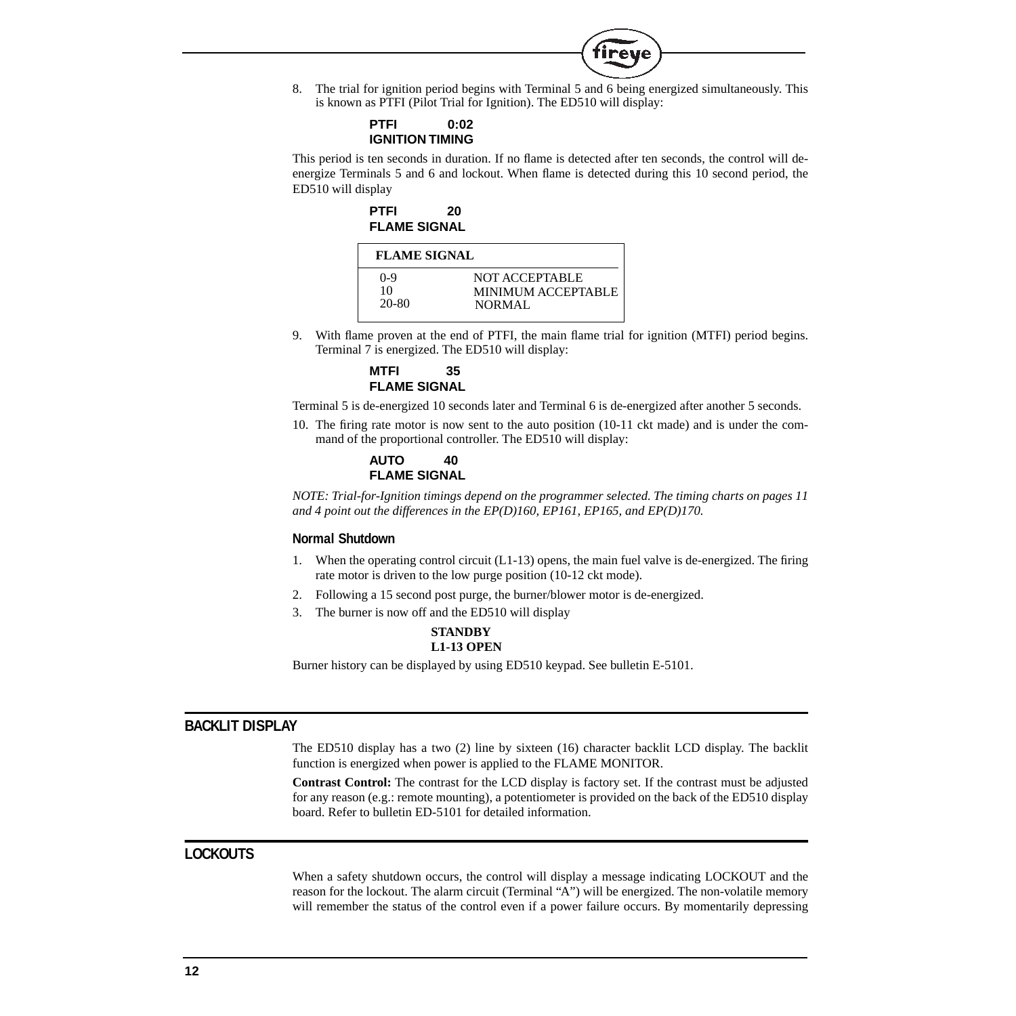

 $^{\circledR}$ 

#### **PTFI 0:02 IGNITION TIMING**

This period is ten seconds in duration. If no flame is detected after ten seconds, the control will deenergize Terminals 5 and 6 and lockout. When flame is detected during this 10 second period, the ED510 will display

> **PTFI 20 FLAME SIGNAL**

| <b>FLAME SIGNAL</b> |                    |
|---------------------|--------------------|
| $0 - 9$             | NOT ACCEPTABLE     |
| 10                  | MINIMUM ACCEPTABLE |
| 20-80               | NORMAL             |

9. With flame proven at the end of PTFI, the main flame trial for ignition (MTFI) period begins. Terminal 7 is energized. The ED510 will display:

| MTFI | 35                  |
|------|---------------------|
|      | <b>FLAME SIGNAL</b> |

Terminal 5 is de-energized 10 seconds later and Terminal 6 is de-energized after another 5 seconds.

10. The firing rate motor is now sent to the auto position (10-11 ckt made) and is under the command of the proportional controller. The ED510 will display:

#### **AUTO 40 FLAME SIGNAL**

*NOTE: Trial-for-Ignition timings depend on the programmer selected. The timing charts on pages [11](#page-10-0) and 4 point out the differences in the EP(D)160, EP161, EP165, and EP(D)170.*

#### **Normal Shutdown**

- 1. When the operating control circuit (L1-13) opens, the main fuel valve is de-energized. The firing rate motor is driven to the low purge position (10-12 ckt mode).
- 2. Following a 15 second post purge, the burner/blower motor is de-energized.
- 3. The burner is now off and the ED510 will display

#### **STANDBY L1-13 OPEN**

Burner history can be displayed by using ED510 keypad. See bulletin E-5101.

# **BACKLIT DISPLAY**

The ED510 display has a two (2) line by sixteen (16) character backlit LCD display. The backlit function is energized when power is applied to the FLAME MONITOR.

**Contrast Control:** The contrast for the LCD display is factory set. If the contrast must be adjusted for any reason (e.g.: remote mounting), a potentiometer is provided on the back of the ED510 display board. Refer to bulletin ED-5101 for detailed information.

# **LOCKOUTS**

When a safety shutdown occurs, the control will display a message indicating LOCKOUT and the reason for the lockout. The alarm circuit (Terminal "A") will be energized. The non-volatile memory will remember the status of the control even if a power failure occurs. By momentarily depressing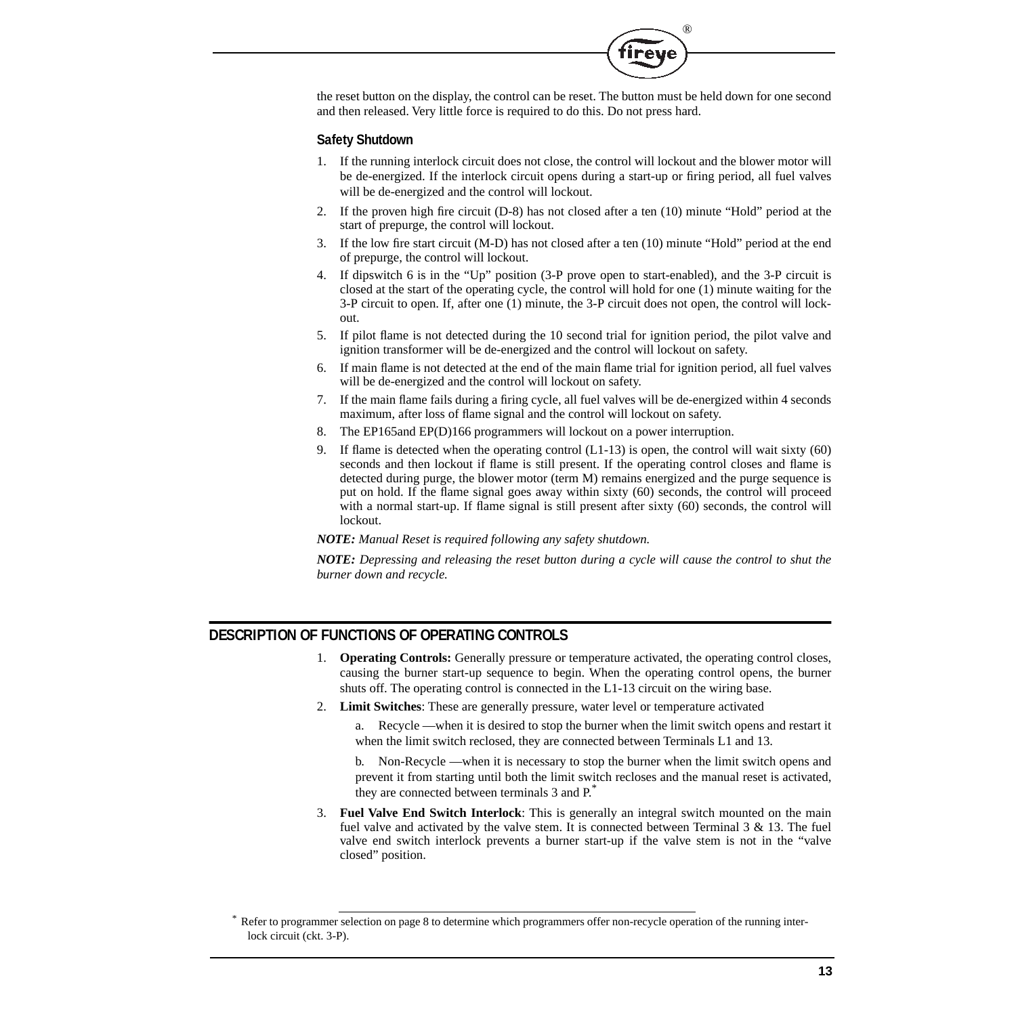

the reset button on the display, the control can be reset. The button must be held down for one second and then released. Very little force is required to do this. Do not press hard.

#### **Safety Shutdown**

- 1. If the running interlock circuit does not close, the control will lockout and the blower motor will be de-energized. If the interlock circuit opens during a start-up or firing period, all fuel valves will be de-energized and the control will lockout.
- 2. If the proven high fire circuit (D-8) has not closed after a ten (10) minute "Hold" period at the start of prepurge, the control will lockout.
- 3. If the low fire start circuit (M-D) has not closed after a ten (10) minute "Hold" period at the end of prepurge, the control will lockout.
- 4. If dipswitch 6 is in the "Up" position (3-P prove open to start-enabled), and the 3-P circuit is closed at the start of the operating cycle, the control will hold for one (1) minute waiting for the 3-P circuit to open. If, after one (1) minute, the 3-P circuit does not open, the control will lockout.
- 5. If pilot flame is not detected during the 10 second trial for ignition period, the pilot valve and ignition transformer will be de-energized and the control will lockout on safety.
- 6. If main flame is not detected at the end of the main flame trial for ignition period, all fuel valves will be de-energized and the control will lockout on safety.
- 7. If the main flame fails during a firing cycle, all fuel valves will be de-energized within 4 seconds maximum, after loss of flame signal and the control will lockout on safety.
- 8. The EP165and EP(D)166 programmers will lockout on a power interruption.
- 9. If flame is detected when the operating control  $(L1-13)$  is open, the control will wait sixty (60) seconds and then lockout if flame is still present. If the operating control closes and flame is detected during purge, the blower motor (term M) remains energized and the purge sequence is put on hold. If the flame signal goes away within sixty (60) seconds, the control will proceed with a normal start-up. If flame signal is still present after sixty (60) seconds, the control will lockout.

*NOTE: Manual Reset is required following any safety shutdown.*

*NOTE: Depressing and releasing the reset button during a cycle will cause the control to shut the burner down and recycle.*

# **DESCRIPTION OF FUNCTIONS OF OPERATING CONTROLS**

- 1. **Operating Controls:** Generally pressure or temperature activated, the operating control closes, causing the burner start-up sequence to begin. When the operating control opens, the burner shuts off. The operating control is connected in the L1-13 circuit on the wiring base.
- 2. **Limit Switches**: These are generally pressure, water level or temperature activated

a. Recycle —when it is desired to stop the burner when the limit switch opens and restart it when the limit switch reclosed, they are connected between Terminals L1 and 13.

b. Non-Recycle —when it is necessary to stop the burner when the limit switch opens and prevent it from starting until both the limit switch recloses and the manual reset is activated, they are connected between terminals 3 and P.\*

3. **Fuel Valve End Switch Interlock**: This is generally an integral switch mounted on the main fuel valve and activated by the valve stem. It is connected between Terminal  $3 \& 13$ . The fuel valve end switch interlock prevents a burner start-up if the valve stem is not in the "valve closed" position.

<sup>\*</sup> Refer to programmer selection on page 8 to determine which programmers offer non-recycle operation of the running interlock circuit (ckt. 3-P).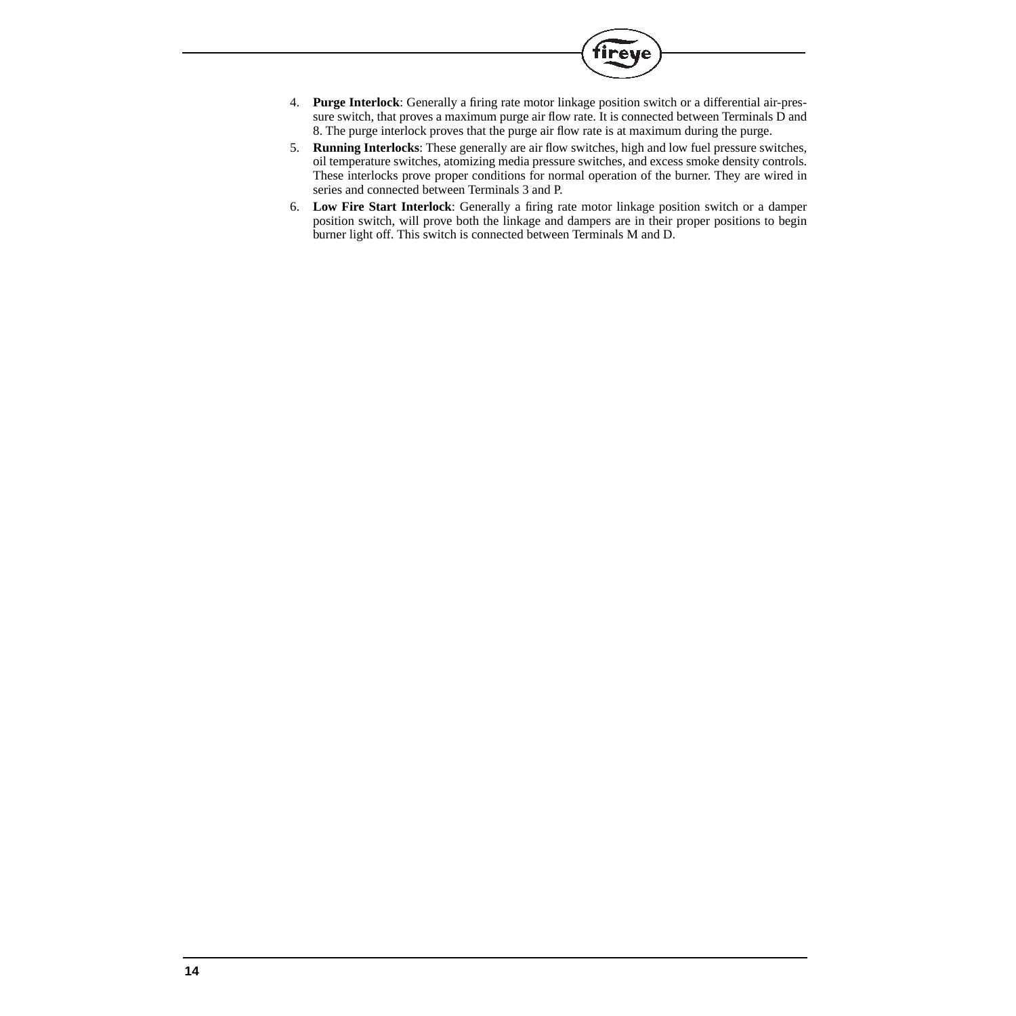4. **Purge Interlock**: Generally a firing rate motor linkage position switch or a differential air-pressure switch, that proves a maximum purge air flow rate. It is connected between Terminals D and 8. The purge interlock proves that the purge air flow rate is at maximum during the purge.

**间** 

tireu

- 5. **Running Interlocks**: These generally are air flow switches, high and low fuel pressure switches, oil temperature switches, atomizing media pressure switches, and excess smoke density controls. These interlocks prove proper conditions for normal operation of the burner. They are wired in series and connected between Terminals 3 and P.
- 6. **Low Fire Start Interlock**: Generally a firing rate motor linkage position switch or a damper position switch, will prove both the linkage and dampers are in their proper positions to begin burner light off. This switch is connected between Terminals M and D.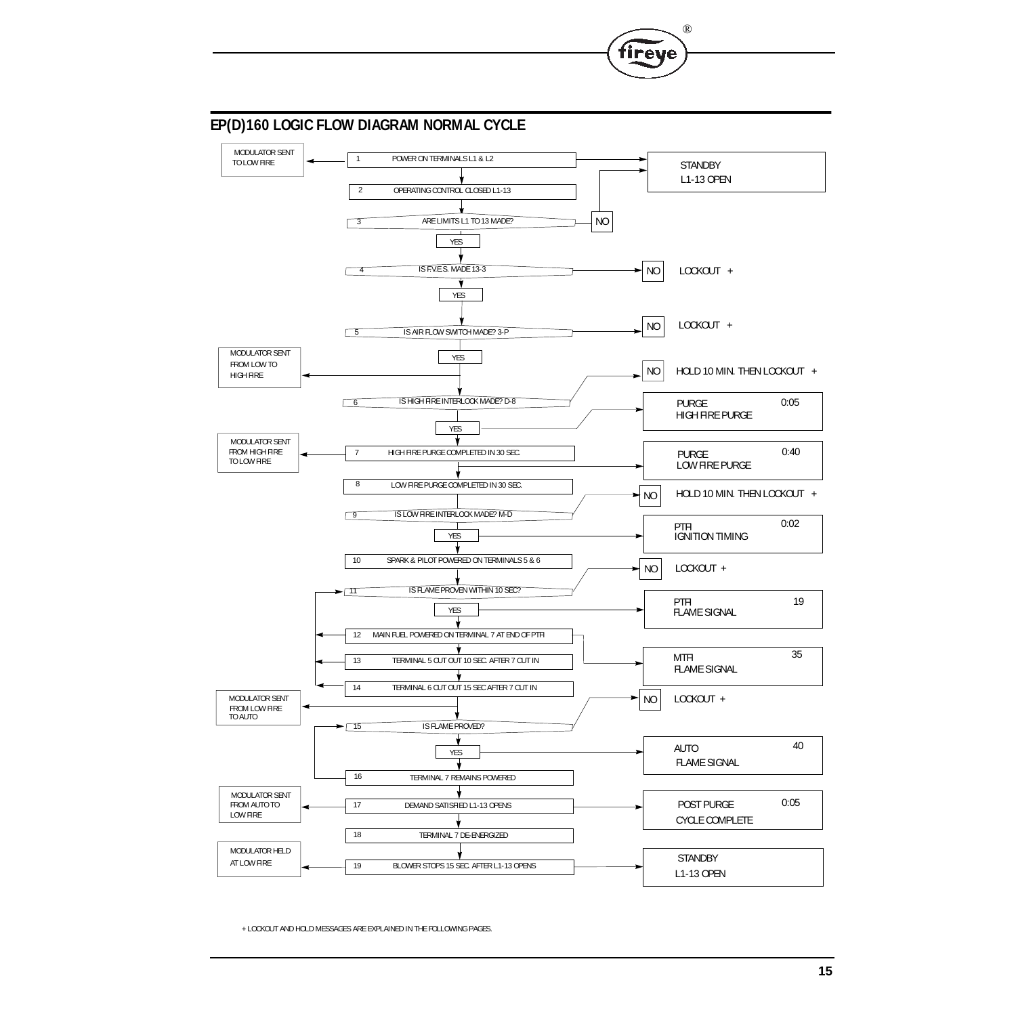

®

**EP(D)160 LOGIC FLOW DIAGRAM NORMAL CYCLE**

+ LOCKOUT AND HOLD MESSAGES ARE EXPLAINED IN THE FOLLOWING PAGES.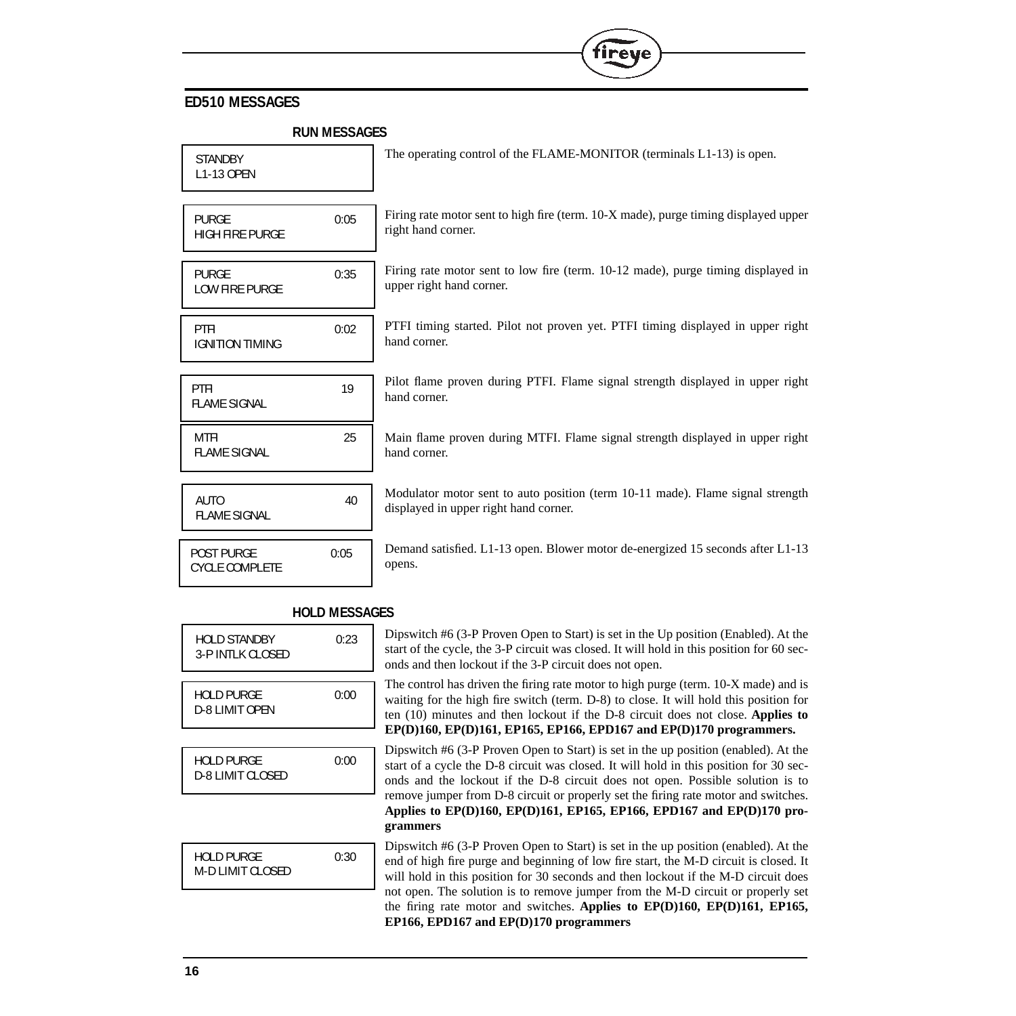# **ED510 MESSAGES**

#### **RUN MESSAGES**

| <b>STANDBY</b><br>L1-13 OPEN           |      | The operating control of the FLAME-MONITOR (terminals L1-13) is open.                                                   |
|----------------------------------------|------|-------------------------------------------------------------------------------------------------------------------------|
| <b>PURGE</b><br><b>HIGH FIRE PURGE</b> | 0:05 | Firing rate motor sent to high fire (term. 10-X made), purge timing displayed upper<br>right hand corner.               |
| <b>PURGE</b><br>LOW FIRE PURGE         | 0:35 | Firing rate motor sent to low fire (term. 10-12 made), purge timing displayed in<br>upper right hand corner.            |
| <b>PTFI</b><br><b>IGNITION TIMING</b>  | 0:02 | PTFI timing started. Pilot not proven yet. PTFI timing displayed in upper right<br>hand corner.                         |
| <b>PTFI</b><br><b>FLAME SIGNAL</b>     | 19   | Pilot flame proven during PTFI. Flame signal strength displayed in upper right<br>hand corner.                          |
| MTFI<br><b>FLAME SIGNAL</b>            | 25   | Main flame proven during MTFI. Flame signal strength displayed in upper right<br>hand corner.                           |
| <b>AUTO</b><br><b>FLAME SIGNAL</b>     | 40   | Modulator motor sent to auto position (term 10-11 made). Flame signal strength<br>displayed in upper right hand corner. |
| POST PURGE<br><b>CYCLE COMPLETE</b>    | 0:05 | Demand satisfied. L1-13 open. Blower motor de-energized 15 seconds after L1-13<br>opens.                                |

# **HOLD MESSAGES**

| <b>HOLD STANDBY</b><br>3-P INTLK CLOSED      | 0:23 |  |
|----------------------------------------------|------|--|
|                                              |      |  |
| <b>HOLD PURGE</b><br>D-8 LIMIT OPEN          | 0:00 |  |
|                                              |      |  |
| <b>HOLD PURGE</b><br><b>D-8 LIMIT CLOSED</b> | 0:00 |  |
|                                              |      |  |
|                                              |      |  |
|                                              |      |  |
| <b>HOLD PURGE</b><br>M-D LIMIT CLOSED        | 0:30 |  |

Dipswitch #6 (3-P Proven Open to Start) is set in the Up position (Enabled). At the start of the cycle, the 3-P circuit was closed. It will hold in this position for 60 seconds and then lockout if the 3-P circuit does not open.

 $^{\circledR}$ 

The control has driven the firing rate motor to high purge (term. 10-X made) and is waiting for the high fire switch (term. D-8) to close. It will hold this position for ten (10) minutes and then lockout if the D-8 circuit does not close. **Applies to EP(D)160, EP(D)161, EP165, EP166, EPD167 and EP(D)170 programmers.**

Dipswitch #6 (3-P Proven Open to Start) is set in the up position (enabled). At the start of a cycle the D-8 circuit was closed. It will hold in this position for 30 seconds and the lockout if the D-8 circuit does not open. Possible solution is to remove jumper from D-8 circuit or properly set the firing rate motor and switches. **Applies to EP(D)160, EP(D)161, EP165, EP166, EPD167 and EP(D)170 programmers** 

Dipswitch #6 (3-P Proven Open to Start) is set in the up position (enabled). At the end of high fire purge and beginning of low fire start, the M-D circuit is closed. It will hold in this position for 30 seconds and then lockout if the M-D circuit does not open. The solution is to remove jumper from the M-D circuit or properly set the firing rate motor and switches. **Applies to EP(D)160, EP(D)161, EP165, EP166, EPD167 and EP(D)170 programmers**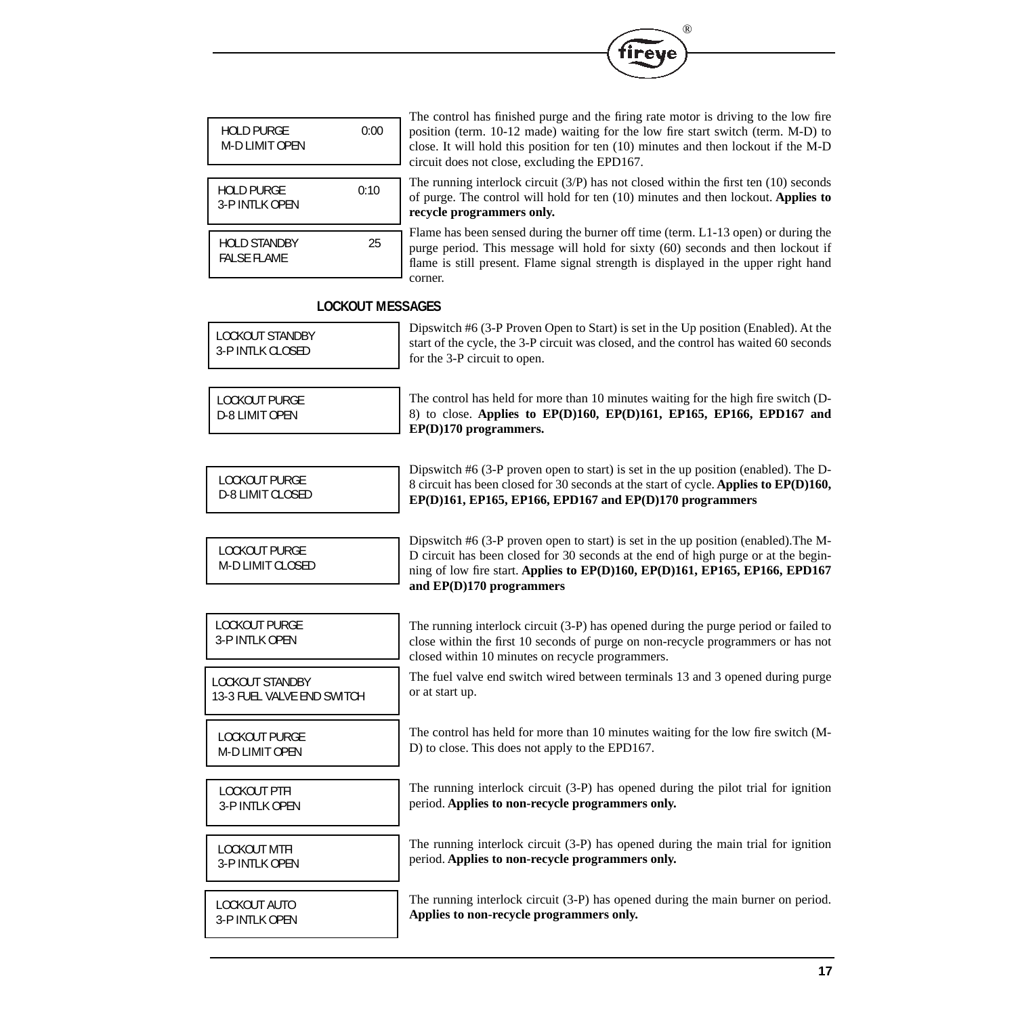| HOLD PURGE<br>M-D LIMIT OPEN              | 0:00 |
|-------------------------------------------|------|
| <b>HOLD PURGF</b><br>3-P INTI K OPEN      | 0:10 |
| <b>HOLD STANDBY</b><br><b>FALSE FLAME</b> | 25   |

The control has finished purge and the firing rate motor is driving to the low fire position (term. 10-12 made) waiting for the low fire start switch (term. M-D) to close. It will hold this position for ten (10) minutes and then lockout if the M-D circuit does not close, excluding the EPD167.

®

The running interlock circuit (3/P) has not closed within the first ten (10) seconds of purge. The control will hold for ten (10) minutes and then lockout. **Applies to recycle programmers only.**

Flame has been sensed during the burner off time (term. L1-13 open) or during the purge period. This message will hold for sixty (60) seconds and then lockout if flame is still present. Flame signal strength is displayed in the upper right hand corner.

# **LOCKOUT MESSAGES**

| <b>LOCKOUT STANDBY</b><br>3-P INTLK CLOSED | Dipswitch #6 (3-P Proven Open to Start) is set in the Up position (Enabled). At the<br>start of the cycle, the 3-P circuit was closed, and the control has waited 60 seconds<br>for the 3-P circuit to open.                                                                         |
|--------------------------------------------|--------------------------------------------------------------------------------------------------------------------------------------------------------------------------------------------------------------------------------------------------------------------------------------|
| LOCKOUT PURGE<br>D-8 LIMIT OPEN            | The control has held for more than 10 minutes waiting for the high fire switch (D-<br>8) to close. Applies to EP(D)160, EP(D)161, EP165, EP166, EPD167 and<br>EP(D)170 programmers.                                                                                                  |
| LOCKOUT PURGE<br>D-8 LIMIT CLOSED          | Dipswitch #6 (3-P proven open to start) is set in the up position (enabled). The D-<br>8 circuit has been closed for 30 seconds at the start of cycle. Applies to EP(D)160,<br>EP(D)161, EP165, EP166, EPD167 and EP(D)170 programmers                                               |
| LOCKOUT PURGE<br>M-D LIMIT CLOSED          | Dipswitch #6 (3-P proven open to start) is set in the up position (enabled). The M-<br>D circuit has been closed for 30 seconds at the end of high purge or at the begin-<br>ning of low fire start. Applies to EP(D)160, EP(D)161, EP165, EP166, EPD167<br>and EP(D)170 programmers |
| <b>LOCKOUT PURGE</b><br>3-P INTLK OPEN     | The running interlock circuit (3-P) has opened during the purge period or failed to<br>close within the first 10 seconds of purge on non-recycle programmers or has not<br>closed within 10 minutes on recycle programmers.                                                          |
| LOCKOUT STANDRY                            | The fuel valve end switch wired between terminals 13 and 3 opened during purge                                                                                                                                                                                                       |

or at start up.

LOCKOUT STANDBY 13-3 FUEL VALVE END SWITCH

LOCKOUT PURGE M-D LIMIT OPEN

LOCKOUT PTFI 3-P INTLK OPEN

LOCKOUT MTFI 3-P INTLK OPEN

LOCKOUT AUTO 3-P INTLK OPEN The control has held for more than 10 minutes waiting for the low fire switch (M-D) to close. This does not apply to the EPD167.

The running interlock circuit (3-P) has opened during the pilot trial for ignition period. **Applies to non-recycle programmers only.**

The running interlock circuit (3-P) has opened during the main trial for ignition period. **Applies to non-recycle programmers only.**

The running interlock circuit (3-P) has opened during the main burner on period. **Applies to non-recycle programmers only.**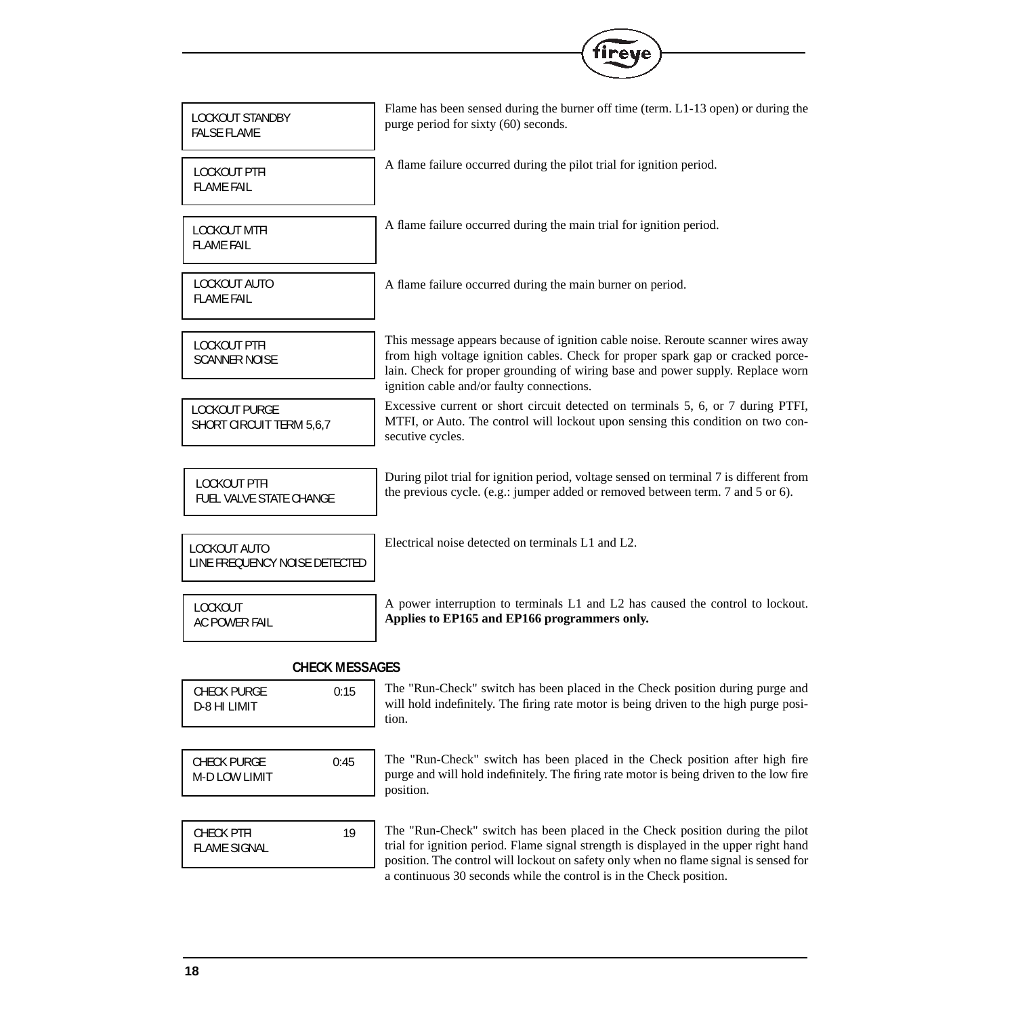|                                                  | ireye                                                                                                                                                                                                                                                                                                                                 |
|--------------------------------------------------|---------------------------------------------------------------------------------------------------------------------------------------------------------------------------------------------------------------------------------------------------------------------------------------------------------------------------------------|
| <b>LOCKOUT STANDBY</b><br><b>FALSE FLAME</b>     | Flame has been sensed during the burner off time (term. L1-13 open) or during the<br>purge period for sixty (60) seconds.                                                                                                                                                                                                             |
| <b>LOCKOUT PTFI</b><br><b>FLAME FAIL</b>         | A flame failure occurred during the pilot trial for ignition period.                                                                                                                                                                                                                                                                  |
| <b>LOCKOUT MTFI</b><br><b>FLAME FAIL</b>         | A flame failure occurred during the main trial for ignition period.                                                                                                                                                                                                                                                                   |
| LOCKOUT AUTO<br><b>FLAME FAIL</b>                | A flame failure occurred during the main burner on period.                                                                                                                                                                                                                                                                            |
| LOCKOUT PTFI<br><b>SCANNER NOISE</b>             | This message appears because of ignition cable noise. Reroute scanner wires away<br>from high voltage ignition cables. Check for proper spark gap or cracked porce-<br>lain. Check for proper grounding of wiring base and power supply. Replace worn<br>ignition cable and/or faulty connections.                                    |
| <b>LOCKOUT PURGE</b><br>SHORT CIRCUIT TERM 5,6,7 | Excessive current or short circuit detected on terminals 5, 6, or 7 during PTFI,<br>MTFI, or Auto. The control will lockout upon sensing this condition on two con-<br>secutive cycles.                                                                                                                                               |
| <b>LOCKOUT PTFI</b><br>FUEL VALVE STATE CHANGE   | During pilot trial for ignition period, voltage sensed on terminal 7 is different from<br>the previous cycle. (e.g.: jumper added or removed between term. 7 and 5 or 6).                                                                                                                                                             |
| LOCKOUT AUTO<br>LINE FREQUENCY NOISE DETECTED    | Electrical noise detected on terminals L1 and L2.                                                                                                                                                                                                                                                                                     |
| LOCKOUT<br><b>AC POWER FAIL</b>                  | A power interruption to terminals L1 and L2 has caused the control to lockout.<br>Applies to EP165 and EP166 programmers only.                                                                                                                                                                                                        |
| <b>CHECK MESSAGES</b>                            |                                                                                                                                                                                                                                                                                                                                       |
| <b>CHECK PURGE</b><br>0:15<br>D-8 HI LIMIT       | The "Run-Check" switch has been placed in the Check position during purge and<br>will hold indefinitely. The firing rate motor is being driven to the high purge posi-<br>tion.                                                                                                                                                       |
| <b>CHECK PURGE</b><br>0:45<br>M-D LOW LIMIT      | The "Run-Check" switch has been placed in the Check position after high fire<br>purge and will hold indefinitely. The firing rate motor is being driven to the low fire<br>position.                                                                                                                                                  |
| CHECK PTFI<br>19<br><b>FLAME SIGNAL</b>          | The "Run-Check" switch has been placed in the Check position during the pilot<br>trial for ignition period. Flame signal strength is displayed in the upper right hand<br>position. The control will lockout on safety only when no flame signal is sensed for<br>a continuous 30 seconds while the control is in the Check position. |

 $^\circledR$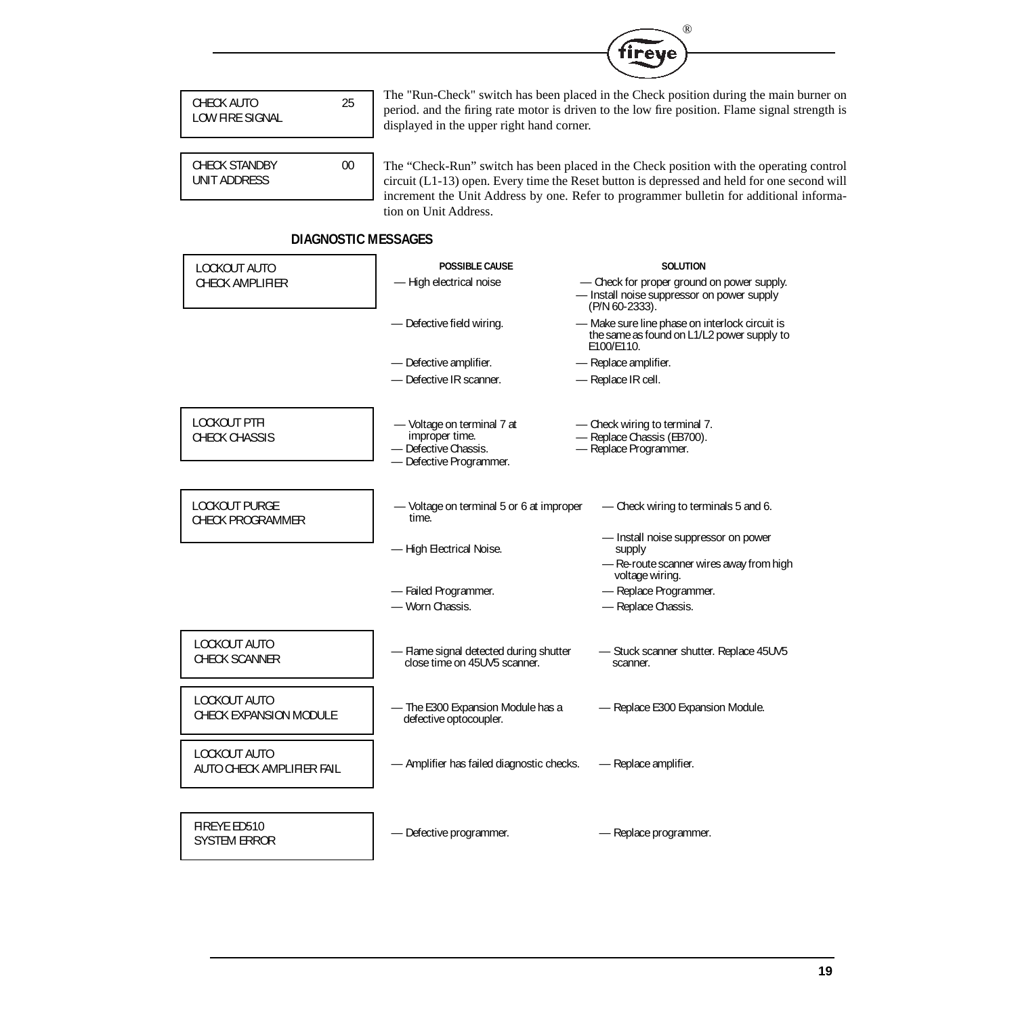| 25<br>CHECK AUTO<br>LOW FIRE SIGNAL             | The "Run-Check" switch has been placed in the Check position during the main burner on<br>period. and the firing rate motor is driven to the low fire position. Flame signal strength is<br>displayed in the upper right hand corner.                                                                      |                                                                                                                               |  |  |  |
|-------------------------------------------------|------------------------------------------------------------------------------------------------------------------------------------------------------------------------------------------------------------------------------------------------------------------------------------------------------------|-------------------------------------------------------------------------------------------------------------------------------|--|--|--|
| <b>CHECK STANDBY</b><br>00<br>UNIT ADDRESS      | The "Check-Run" switch has been placed in the Check position with the operating control<br>circuit (L1-13) open. Every time the Reset button is depressed and held for one second will<br>increment the Unit Address by one. Refer to programmer bulletin for additional informa-<br>tion on Unit Address. |                                                                                                                               |  |  |  |
| <b>DIAGNOSTIC MESSAGES</b>                      |                                                                                                                                                                                                                                                                                                            |                                                                                                                               |  |  |  |
|                                                 |                                                                                                                                                                                                                                                                                                            |                                                                                                                               |  |  |  |
| LOCKOUT AUTO<br>CHECK AMPLIFIER                 | <b>POSSIBLE CAUSE</b><br>- High electrical noise                                                                                                                                                                                                                                                           | <b>SOLUTION</b><br>- Check for proper ground on power supply.<br>- Install noise suppressor on power supply<br>(P/N 60-2333). |  |  |  |
|                                                 | - Defective field wiring.                                                                                                                                                                                                                                                                                  | - Make sure line phase on interlock circuit is<br>the same as found on L1/L2 power supply to<br>E100/E110.                    |  |  |  |
|                                                 | - Defective amplifier.                                                                                                                                                                                                                                                                                     | - Replace amplifier.                                                                                                          |  |  |  |
|                                                 | - Defective IR scanner.                                                                                                                                                                                                                                                                                    | - Replace IR cell.                                                                                                            |  |  |  |
| <b>LOCKOUT PTFI</b><br><b>CHECK CHASSIS</b>     | - Voltage on terminal 7 at<br>improper time.<br>- Defective Chassis.<br>- Defective Programmer.                                                                                                                                                                                                            | - Check wiring to terminal 7.<br>- Replace Chassis (EB700).<br>- Replace Programmer.                                          |  |  |  |
| <b>LOCKOUT PURGE</b><br><b>CHECK PROGRAMMER</b> | - Voltage on terminal 5 or 6 at improper<br>time.                                                                                                                                                                                                                                                          | - Check wiring to terminals 5 and 6.                                                                                          |  |  |  |
|                                                 | - High Electrical Noise.                                                                                                                                                                                                                                                                                   | - Install noise suppressor on power<br>supply                                                                                 |  |  |  |
|                                                 | - Failed Programmer.<br>- Worn Chassis.                                                                                                                                                                                                                                                                    | - Re-route scanner wires away from high<br>voltage wiring.<br>- Replace Programmer.<br>- Replace Chassis.                     |  |  |  |
| LOCKOUT AUTO<br><b>CHECK SCANNER</b>            | - Flame signal detected during shutter<br>close time on 45UV5 scanner.                                                                                                                                                                                                                                     | - Stuck scanner shutter. Replace 45UV5<br>scanner.                                                                            |  |  |  |
| LOCKOUT AUTO<br>CHECK EXPANSION MODULE          | - The E300 Expansion Module has a<br>defective optocoupler.                                                                                                                                                                                                                                                | - Replace E300 Expansion Module.                                                                                              |  |  |  |
| LOCKOUT AUTO<br>AUTO CHECK AMPLIFIER FAIL       | - Amplifier has failed diagnostic checks.                                                                                                                                                                                                                                                                  | - Replace amplifier.                                                                                                          |  |  |  |
|                                                 |                                                                                                                                                                                                                                                                                                            |                                                                                                                               |  |  |  |
| FIREYE ED510<br><b>SYSTEM ERROR</b>             | - Defective programmer.                                                                                                                                                                                                                                                                                    | - Replace programmer.                                                                                                         |  |  |  |

®

fireve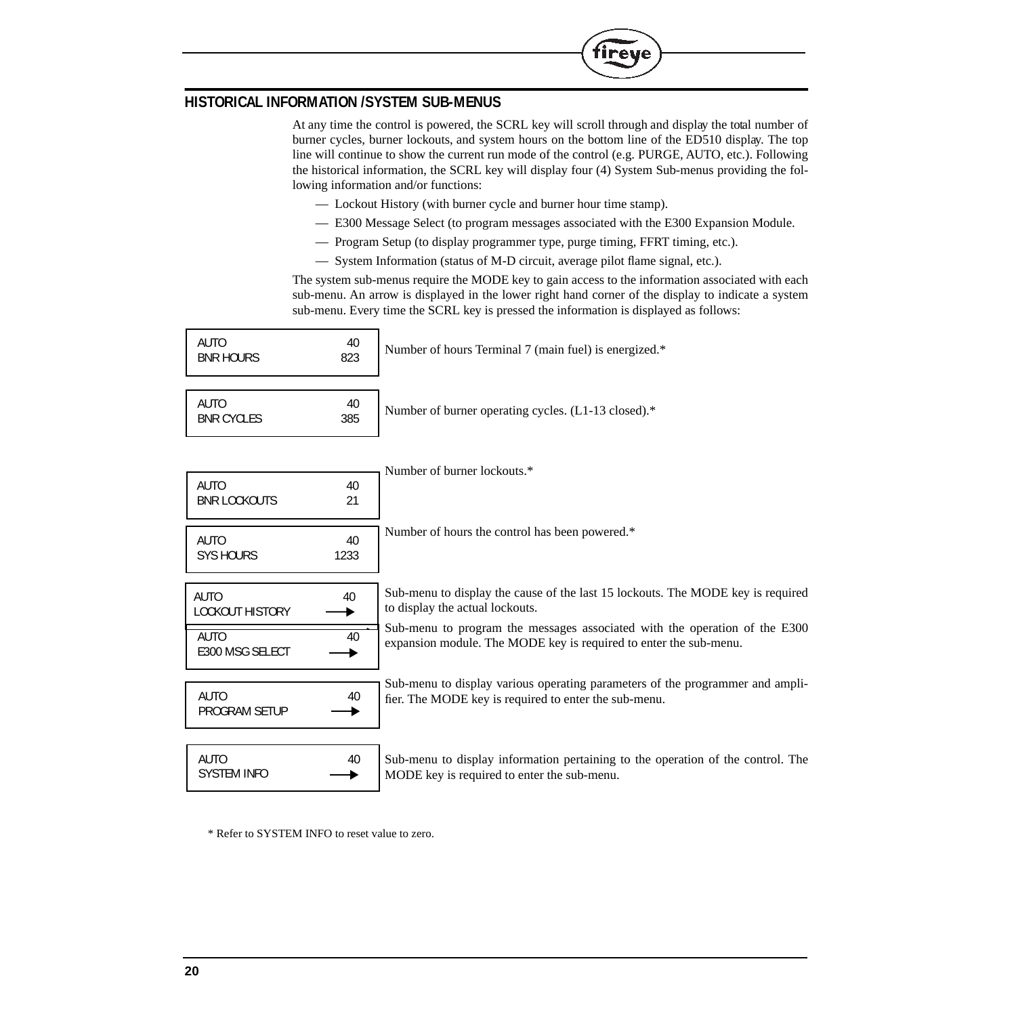# **HISTORICAL INFORMATION /SYSTEM SUB-MENUS**

At any time the control is powered, the SCRL key will scroll through and display the total number of burner cycles, burner lockouts, and system hours on the bottom line of the ED510 display. The top line will continue to show the current run mode of the control (e.g. PURGE, AUTO, etc.). Following the historical information, the SCRL key will display four (4) System Sub-menus providing the following information and/or functions:

 $^{\circledR}$ 

ret

- Lockout History (with burner cycle and burner hour time stamp).
- E300 Message Select (to program messages associated with the E300 Expansion Module.
- Program Setup (to display programmer type, purge timing, FFRT timing, etc.).
- System Information (status of M-D circuit, average pilot flame signal, etc.).

The system sub-menus require the MODE key to gain access to the information associated with each sub-menu. An arrow is displayed in the lower right hand corner of the display to indicate a system sub-menu. Every time the SCRL key is pressed the information is displayed as follows:

| <b>AUTO</b><br><b>BNR HOURS</b>       | 40<br>823  | Number of hours Terminal 7 (main fuel) is energized.*                                                                                           |
|---------------------------------------|------------|-------------------------------------------------------------------------------------------------------------------------------------------------|
| <b>AUTO</b><br><b>BNR CYCLES</b>      | 40<br>385  | Number of burner operating cycles. (L1-13 closed).*                                                                                             |
| <b>AUTO</b><br><b>BNR LOCKOUTS</b>    | 40<br>21   | Number of burner lockouts.*                                                                                                                     |
| <b>AUTO</b><br><b>SYS HOURS</b>       | 40<br>1233 | Number of hours the control has been powered.*                                                                                                  |
| <b>AUTO</b><br><b>LOCKOUT HISTORY</b> | 40         | Sub-menu to display the cause of the last 15 lockouts. The MODE key is required<br>to display the actual lockouts.                              |
| <b>AUTO</b><br>E300 MSG SELECT        | 40         | Sub-menu to program the messages associated with the operation of the E300<br>expansion module. The MODE key is required to enter the sub-menu. |
| <b>AUTO</b><br>PROGRAM SETUP          | 40         | Sub-menu to display various operating parameters of the programmer and ampli-<br>fier. The MODE key is required to enter the sub-menu.          |
| <b>AUTO</b><br><b>SYSTEM INFO</b>     | 40         | Sub-menu to display information pertaining to the operation of the control. The<br>MODE key is required to enter the sub-menu.                  |

\* Refer to SYSTEM INFO to reset value to zero.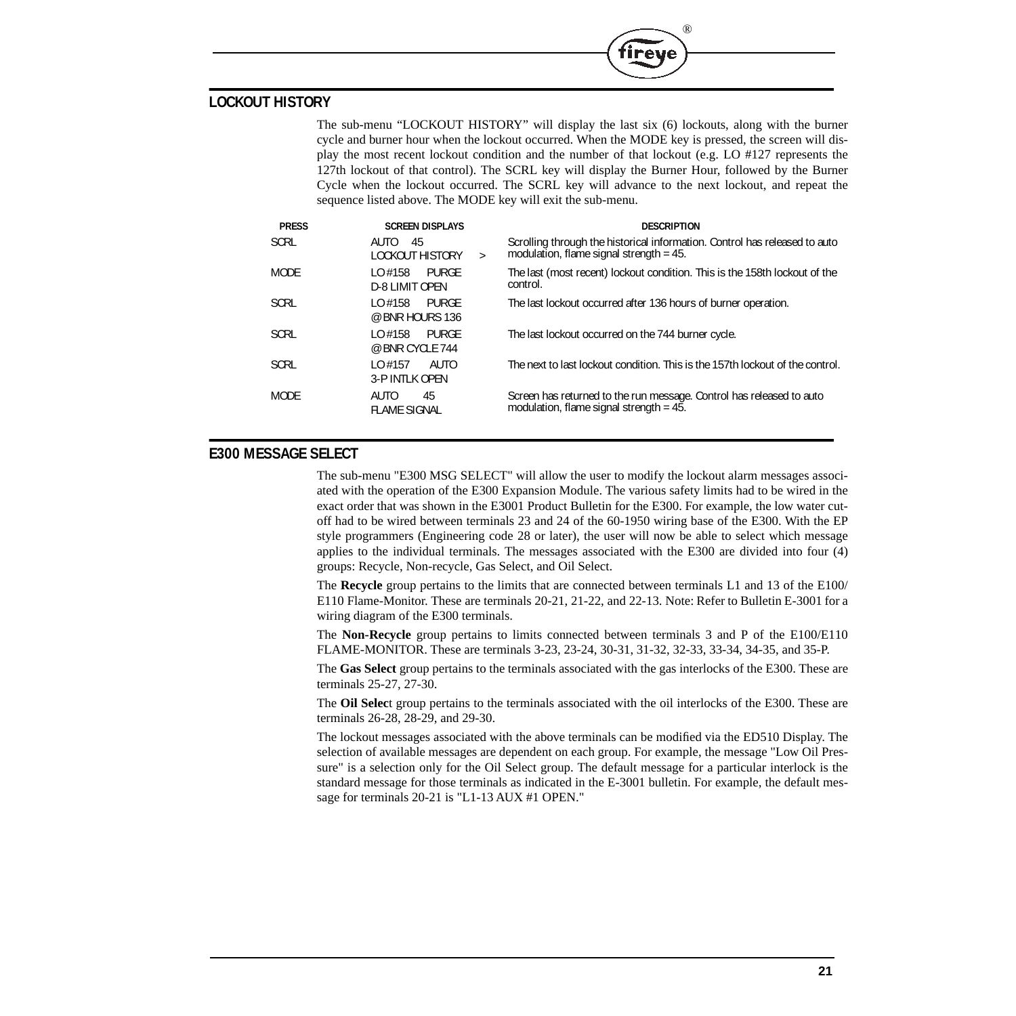# **LOCKOUT HISTORY**

The sub-menu "LOCKOUT HISTORY" will display the last six (6) lockouts, along with the burner cycle and burner hour when the lockout occurred. When the MODE key is pressed, the screen will display the most recent lockout condition and the number of that lockout (e.g. LO #127 represents the 127th lockout of that control). The SCRL key will display the Burner Hour, followed by the Burner Cycle when the lockout occurred. The SCRL key will advance to the next lockout, and repeat the sequence listed above. The MODE key will exit the sub-menu.

®

| <b>PRESS</b> | <b>SCREEN DISPLAYS</b>                         | <b>DESCRIPTION</b>                                                                                                       |
|--------------|------------------------------------------------|--------------------------------------------------------------------------------------------------------------------------|
| <b>SCRL</b>  | 45<br>AUTO<br><b>LOCKOUT HISTORY</b><br>$\geq$ | Scrolling through the historical information. Control has released to auto<br>modulation, flame signal strength = $45$ . |
| MODE         | 10#158<br>PURGE<br>D-8 LIMIT OPEN              | The last (most recent) lockout condition. This is the 158th lockout of the<br>control.                                   |
| SCRL         | 10#158<br>PURGE<br>@ BNR HOURS 136             | The last lockout occurred after 136 hours of burner operation.                                                           |
| <b>SCRL</b>  | LO #158<br>PURGE<br>@ BNR CYCLE 744            | The last lockout occurred on the 744 burner cycle.                                                                       |
| <b>SCRL</b>  | 10#157<br>AUTO<br>3-P INTLK OPEN               | The next to last lockout condition. This is the 157th lockout of the control.                                            |
| MODE         | AUTO<br>45<br><b>FLAME SIGNAL</b>              | Screen has returned to the run message. Control has released to auto<br>modulation, flame signal strength = $45$ .       |

# **E300 MESSAGE SELECT**

The sub-menu "E300 MSG SELECT" will allow the user to modify the lockout alarm messages associated with the operation of the E300 Expansion Module. The various safety limits had to be wired in the exact order that was shown in the E3001 Product Bulletin for the E300. For example, the low water cutoff had to be wired between terminals 23 and 24 of the 60-1950 wiring base of the E300. With the EP style programmers (Engineering code 28 or later), the user will now be able to select which message applies to the individual terminals. The messages associated with the E300 are divided into four (4) groups: Recycle, Non-recycle, Gas Select, and Oil Select.

The **Recycle** group pertains to the limits that are connected between terminals L1 and 13 of the E100/ E110 Flame-Monitor. These are terminals 20-21, 21-22, and 22-13. Note: Refer to Bulletin E-3001 for a wiring diagram of the E300 terminals.

The **Non-Recycle** group pertains to limits connected between terminals 3 and P of the E100/E110 FLAME-MONITOR. These are terminals 3-23, 23-24, 30-31, 31-32, 32-33, 33-34, 34-35, and 35-P.

The **Gas Select** group pertains to the terminals associated with the gas interlocks of the E300. These are terminals 25-27, 27-30.

The **Oil Selec**t group pertains to the terminals associated with the oil interlocks of the E300. These are terminals 26-28, 28-29, and 29-30.

The lockout messages associated with the above terminals can be modified via the ED510 Display. The selection of available messages are dependent on each group. For example, the message "Low Oil Pressure" is a selection only for the Oil Select group. The default message for a particular interlock is the standard message for those terminals as indicated in the E-3001 bulletin. For example, the default message for terminals 20-21 is "L1-13 AUX #1 OPEN."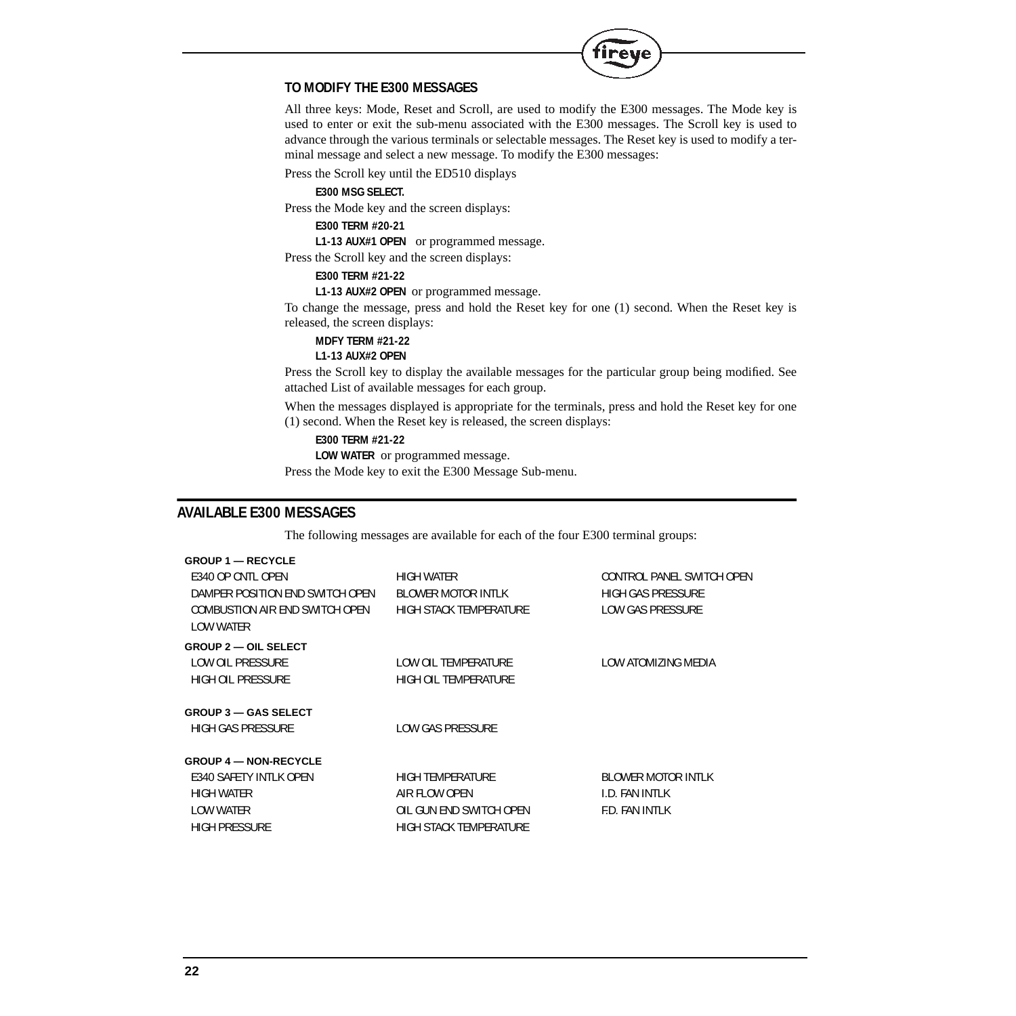#### **TO MODIFY THE E300 MESSAGES**

All three keys: Mode, Reset and Scroll, are used to modify the E300 messages. The Mode key is used to enter or exit the sub-menu associated with the E300 messages. The Scroll key is used to advance through the various terminals or selectable messages. The Reset key is used to modify a terminal message and select a new message. To modify the E300 messages:

 $^{\circledR}$ 

Press the Scroll key until the ED510 displays

**E300 MSG SELECT.**

Press the Mode key and the screen displays:

**E300 TERM #20-21 L1-13 AUX#1 OPEN** or programmed message. Press the Scroll key and the screen displays:

**E300 TERM #21-22**

**L1-13 AUX#2 OPEN** or programmed message.

To change the message, press and hold the Reset key for one (1) second. When the Reset key is released, the screen displays:

**MDFY TERM #21-22 L1-13 AUX#2 OPEN** 

Press the Scroll key to display the available messages for the particular group being modified. See attached List of available messages for each group.

When the messages displayed is appropriate for the terminals, press and hold the Reset key for one (1) second. When the Reset key is released, the screen displays:

**E300 TERM #21-22**

**LOW WATER** or programmed message.

Press the Mode key to exit the E300 Message Sub-menu.

#### **AVAILABLE E300 MESSAGES**

The following messages are available for each of the four E300 terminal groups:

| <b>GROUP 1 - RECYCLE</b>        |                         |                           |
|---------------------------------|-------------------------|---------------------------|
| E340 OP CNTL OPEN               | HIGH WATER              | CONTROL PANEL SWITCH OPEN |
| DAMPER POSITION END SWITCH OPEN | BLOWER MOTOR INTLK      | HIGH GAS PRESSURE         |
| COMBUSTION AIR END SWITCH OPEN  | HIGH STACK TEMPERATURE  | <b>LOW GAS PRESSURE</b>   |
| LOW WATER                       |                         |                           |
| <b>GROUP 2 - OIL SELECT</b>     |                         |                           |
| LOW OIL PRESSURE                | LOW OIL TEMPERATURE     | LOW ATOMIZING MEDIA       |
| HIGH OIL PRESSURE               | HIGH OIL TEMPERATURE    |                           |
| <b>GROUP 3 - GAS SELECT</b>     |                         |                           |
| HIGH GAS PRESSURE               | LOW GAS PRESSURE        |                           |
| <b>GROUP 4 - NON-RECYCLE</b>    |                         |                           |
| E340 SAFETY INTLK OPEN          | <b>HIGH TEMPERATURE</b> | <b>BLOWER MOTOR INTLK</b> |
| HIGH WATER                      | AIR FLOW OPEN           | I.D. FAN INTLK            |
| LOW WATER                       | OIL GUN END SWITCH OPEN | F.D. FAN INTLK            |
| <b>HIGH PRESSURE</b>            | HIGH STACK TEMPERATURE  |                           |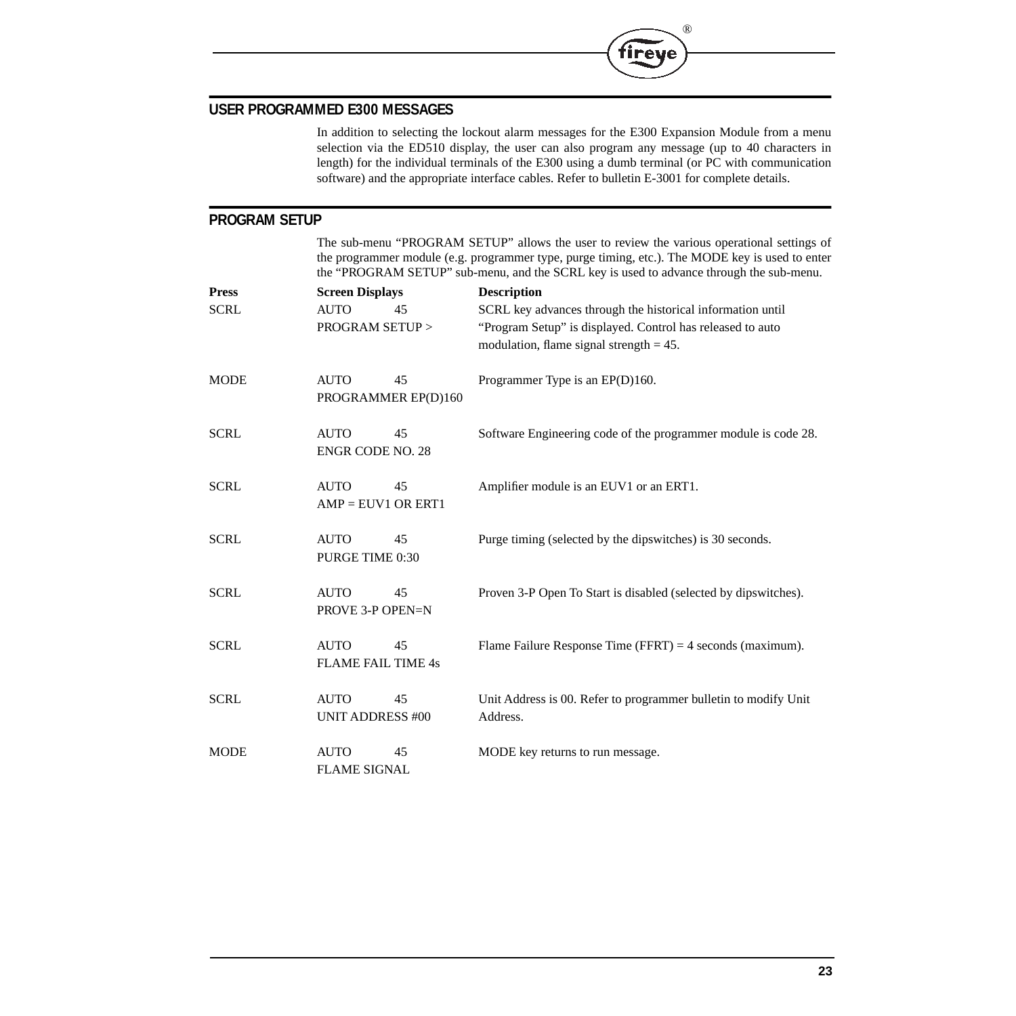# **USER PROGRAMMED E300 MESSAGES**

In addition to selecting the lockout alarm messages for the E300 Expansion Module from a menu selection via the ED510 display, the user can also program any message (up to 40 characters in length) for the individual terminals of the E300 using a dumb terminal (or PC with communication software) and the appropriate interface cables. Refer to bulletin E-3001 for complete details.

®

fireye

# **PROGRAM SETUP**

|              |                                                | The sub-menu "PROGRAM SETUP" allows the user to review the various operational settings of<br>the programmer module (e.g. programmer type, purge timing, etc.). The MODE key is used to enter<br>the "PROGRAM SETUP" sub-menu, and the SCRL key is used to advance through the sub-menu. |
|--------------|------------------------------------------------|------------------------------------------------------------------------------------------------------------------------------------------------------------------------------------------------------------------------------------------------------------------------------------------|
| <b>Press</b> | <b>Screen Displays</b>                         | <b>Description</b>                                                                                                                                                                                                                                                                       |
| <b>SCRL</b>  | <b>AUTO</b><br>45                              | SCRL key advances through the historical information until                                                                                                                                                                                                                               |
|              | <b>PROGRAM SETUP &gt;</b>                      | "Program Setup" is displayed. Control has released to auto<br>modulation, flame signal strength $= 45$ .                                                                                                                                                                                 |
| <b>MODE</b>  | <b>AUTO</b><br>45<br>PROGRAMMER EP(D)160       | Programmer Type is an EP(D)160.                                                                                                                                                                                                                                                          |
| <b>SCRL</b>  | <b>AUTO</b><br>45<br><b>ENGR CODE NO. 28</b>   | Software Engineering code of the programmer module is code 28.                                                                                                                                                                                                                           |
| <b>SCRL</b>  | <b>AUTO</b><br>45<br>$AMP = EUV1 OR ERT1$      | Amplifier module is an EUV1 or an ERT1.                                                                                                                                                                                                                                                  |
| <b>SCRL</b>  | <b>AUTO</b><br>45<br>PURGE TIME 0:30           | Purge timing (selected by the dipswitches) is 30 seconds.                                                                                                                                                                                                                                |
| <b>SCRL</b>  | <b>AUTO</b><br>45<br>PROVE 3-P OPEN=N          | Proven 3-P Open To Start is disabled (selected by dipswitches).                                                                                                                                                                                                                          |
| <b>SCRL</b>  | <b>AUTO</b><br>45<br><b>FLAME FAIL TIME 4s</b> | Flame Failure Response Time (FFRT) = $4$ seconds (maximum).                                                                                                                                                                                                                              |
| <b>SCRL</b>  | <b>AUTO</b><br>45<br><b>UNIT ADDRESS #00</b>   | Unit Address is 00. Refer to programmer bulletin to modify Unit<br>Address.                                                                                                                                                                                                              |
| <b>MODE</b>  | <b>AUTO</b><br>45<br><b>FLAME SIGNAL</b>       | MODE key returns to run message.                                                                                                                                                                                                                                                         |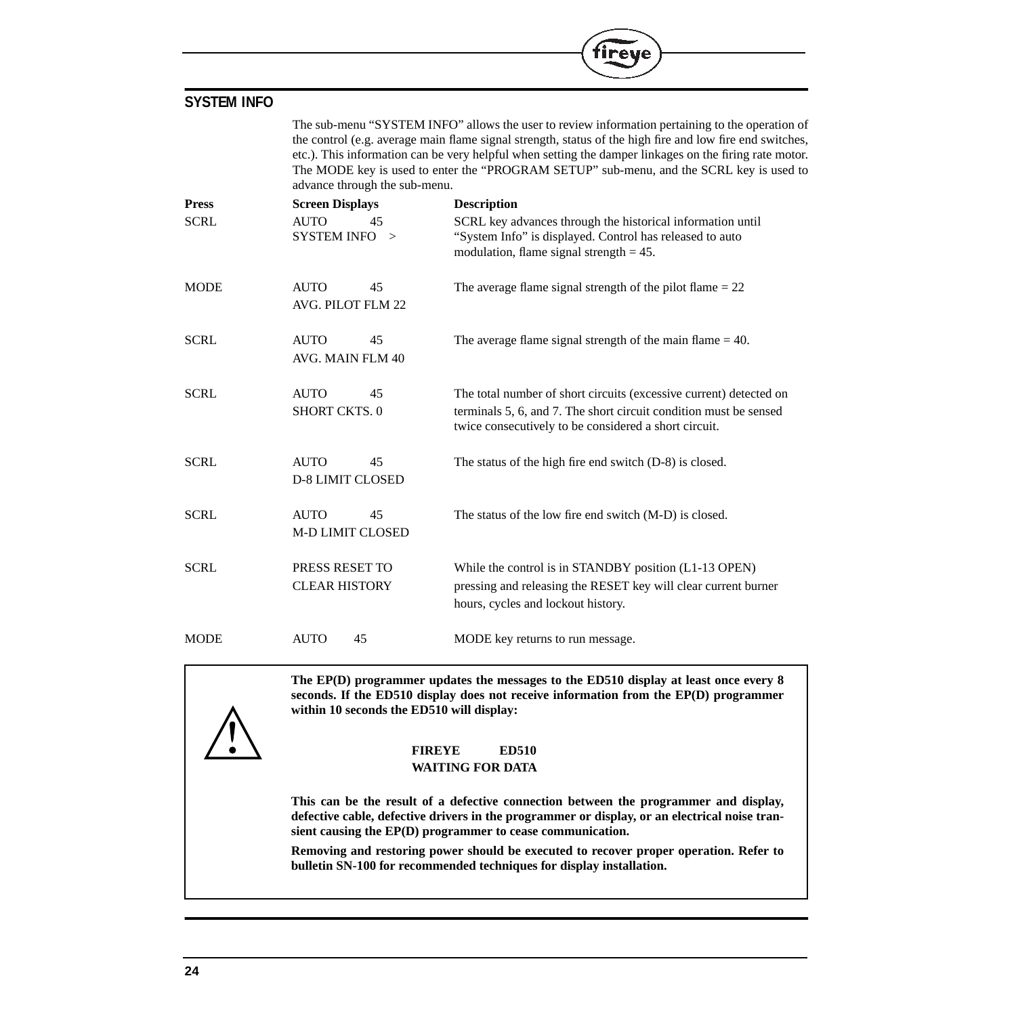# **SYSTEM INFO**

The sub-menu "SYSTEM INFO" allows the user to review information pertaining to the operation of the control (e.g. average main flame signal strength, status of the high fire and low fire end switches, etc.). This information can be very helpful when setting the damper linkages on the firing rate motor. The MODE key is used to enter the "PROGRAM SETUP" sub-menu, and the SCRL key is used to advance through the sub-menu.

 $^{\circledR}$ 

| <b>Press</b><br><b>SCRL</b> | <b>Screen Displays</b><br><b>AUTO</b><br>45<br><b>SYSTEM INFO</b><br>$\rightarrow$ | <b>Description</b><br>SCRL key advances through the historical information until<br>"System Info" is displayed. Control has released to auto<br>modulation, flame signal strength $= 45$ .       |
|-----------------------------|------------------------------------------------------------------------------------|--------------------------------------------------------------------------------------------------------------------------------------------------------------------------------------------------|
| <b>MODE</b>                 | <b>AUTO</b><br>45<br>AVG. PILOT FLM 22                                             | The average flame signal strength of the pilot flame $= 22$                                                                                                                                      |
| <b>SCRL</b>                 | <b>AUTO</b><br>45<br>AVG. MAIN FLM 40                                              | The average flame signal strength of the main flame $= 40$ .                                                                                                                                     |
| <b>SCRL</b>                 | <b>AUTO</b><br>45<br><b>SHORT CKTS. 0</b>                                          | The total number of short circuits (excessive current) detected on<br>terminals 5, 6, and 7. The short circuit condition must be sensed<br>twice consecutively to be considered a short circuit. |
| <b>SCRL</b>                 | <b>AUTO</b><br>45<br><b>D-8 LIMIT CLOSED</b>                                       | The status of the high fire end switch (D-8) is closed.                                                                                                                                          |
| <b>SCRL</b>                 | <b>AUTO</b><br>45<br><b>M-D LIMIT CLOSED</b>                                       | The status of the low fire end switch (M-D) is closed.                                                                                                                                           |
| <b>SCRL</b>                 | PRESS RESET TO<br><b>CLEAR HISTORY</b>                                             | While the control is in STANDBY position (L1-13 OPEN)<br>pressing and releasing the RESET key will clear current burner<br>hours, cycles and lockout history.                                    |
| <b>MODE</b>                 | <b>AUTO</b><br>45                                                                  | MODE key returns to run message.                                                                                                                                                                 |

**The EP(D) programmer updates the messages to the ED510 display at least once every 8 seconds. If the ED510 display does not receive information from the EP(D) programmer within 10 seconds the ED510 will display:**

#### **FIREYE ED510 WAITING FOR DATA**

**This can be the result of a defective connection between the programmer and display, defective cable, defective drivers in the programmer or display, or an electrical noise transient causing the EP(D) programmer to cease communication.** 

**Removing and restoring power should be executed to recover proper operation. Refer to bulletin SN-100 for recommended techniques for display installation.**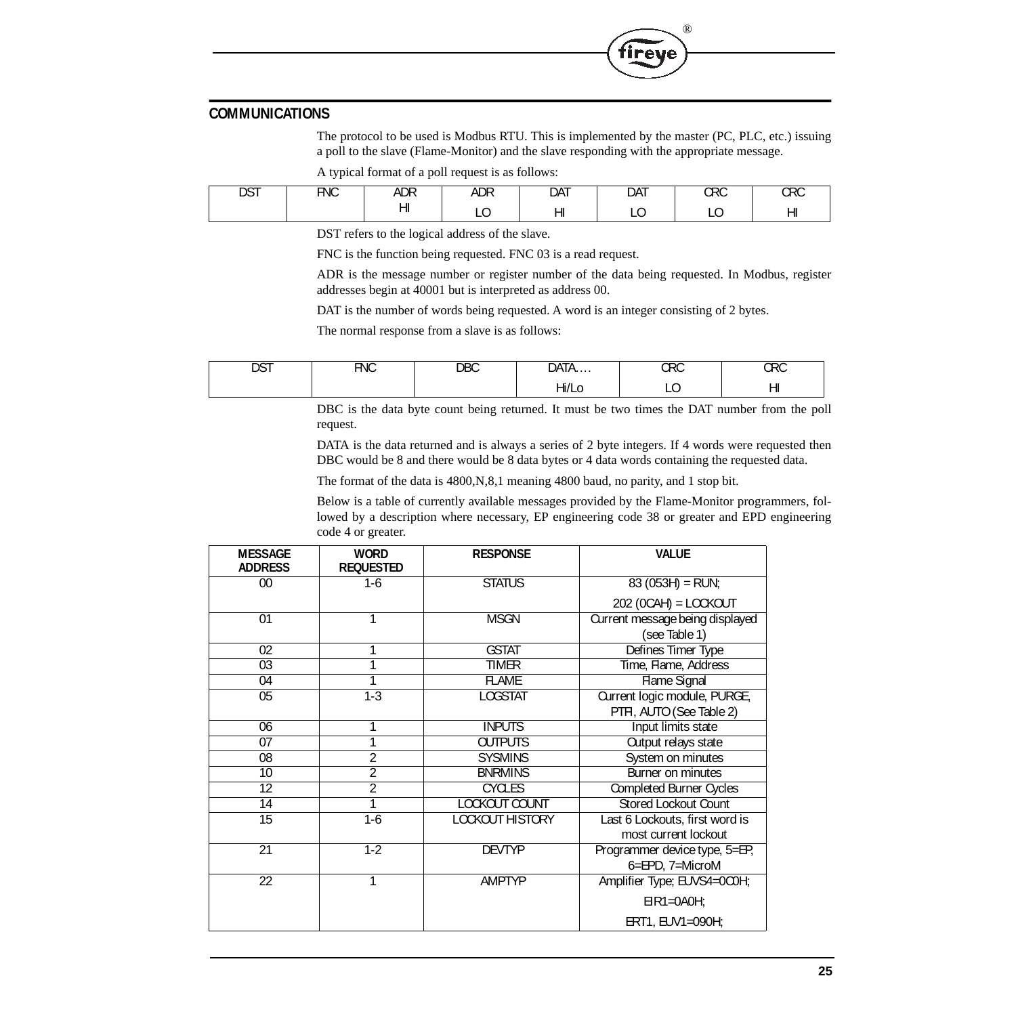# **COMMUNICATIONS**

The protocol to be used is Modbus RTU. This is implemented by the master (PC, PLC, etc.) issuing a poll to the slave (Flame-Monitor) and the slave responding with the appropriate message.

®

A typical format of a poll request is as follows:

| <b>DCT</b><br>י ب | <b>FNC</b> | ADR    | ה ה<br>ADF | DAT     | DAT          | CRC<br>- - - - | $\cap \cap$<br>しれし |
|-------------------|------------|--------|------------|---------|--------------|----------------|--------------------|
|                   |            | .<br>. | $-\circ$   | Ш<br>пι | --<br>$\sim$ |                | Ш<br>пι            |

DST refers to the logical address of the slave.

FNC is the function being requested. FNC 03 is a read request.

ADR is the message number or register number of the data being requested. In Modbus, register addresses begin at 40001 but is interpreted as address 00.

DAT is the number of words being requested. A word is an integer consisting of 2 bytes.

The normal response from a slave is as follows:

| <b>DOT</b><br><u>ບ∪ เ</u> | ™C | <b>DBC</b> | DATA       | CDC<br>いいし | $\sim$ $\sim$ $\sim$<br>CRC |
|---------------------------|----|------------|------------|------------|-----------------------------|
|                           |    |            | .<br>HI/L0 | $-\circ$   | .                           |

DBC is the data byte count being returned. It must be two times the DAT number from the poll request.

DATA is the data returned and is always a series of 2 byte integers. If 4 words were requested then DBC would be 8 and there would be 8 data bytes or 4 data words containing the requested data.

The format of the data is 4800,N,8,1 meaning 4800 baud, no parity, and 1 stop bit.

Below is a table of currently available messages provided by the Flame-Monitor programmers, followed by a description where necessary, EP engineering code 38 or greater and EPD engineering code 4 or greater.

| <b>MESSAGE</b><br><b>ADDRESS</b> | <b>WORD</b><br><b>REQUESTED</b> | <b>RESPONSE</b>        | <b>VALUE</b>                                             |
|----------------------------------|---------------------------------|------------------------|----------------------------------------------------------|
| $00\,$                           | $1-6$                           | <b>STATUS</b>          | $83 (053H) = RUN;$                                       |
|                                  |                                 |                        | $202$ (OCAH) = LOCKOUT                                   |
| 01                               | 1                               | <b>MSGN</b>            | Current message being displayed<br>(see Table 1)         |
| 02                               |                                 | <b>GSTAT</b>           | Defines Timer Type                                       |
| $\overline{03}$                  |                                 | timer                  | Time, Flame, Address                                     |
| 04                               |                                 | <b>FLAME</b>           | <b>Flame Signal</b>                                      |
| 05                               | $1 - 3$                         | <b>LOGSTAT</b>         | Current logic module, PURGE,<br>PTFI, AUTO (See Table 2) |
| 06                               |                                 | <b>INPUTS</b>          | Input limits state                                       |
| $\overline{07}$                  |                                 | <b>OUTPUTS</b>         | Output relays state                                      |
| $\overline{08}$                  | $\overline{2}$                  | <b>SYSMINS</b>         | System on minutes                                        |
| $\overline{10}$                  | $\overline{2}$                  | <b>BNRMINS</b>         | <b>Burner on minutes</b>                                 |
| $\overline{12}$                  | $\overline{2}$                  | <b>CYCLES</b>          | <b>Completed Burner Cycles</b>                           |
| $\overline{14}$                  |                                 | <b>LOCKOUT COUNT</b>   | <b>Stored Lockout Count</b>                              |
| $\overline{15}$                  | $1-6$                           | <b>LOCKOUT HISTORY</b> | Last 6 Lockouts, first word is<br>most current lockout   |
| $\overline{21}$                  | $1 - 2$                         | <b>DEVTYP</b>          | Programmer device type, 5=EP,<br>6=EPD, 7=MicroM         |
| $\overline{22}$                  |                                 | <b>AMPTYP</b>          | Amplifier Type; EUVS4=0C0H;                              |
|                                  |                                 |                        | $EIR1 = OAOH$                                            |
|                                  |                                 |                        | ERT1, EUV1=090H;                                         |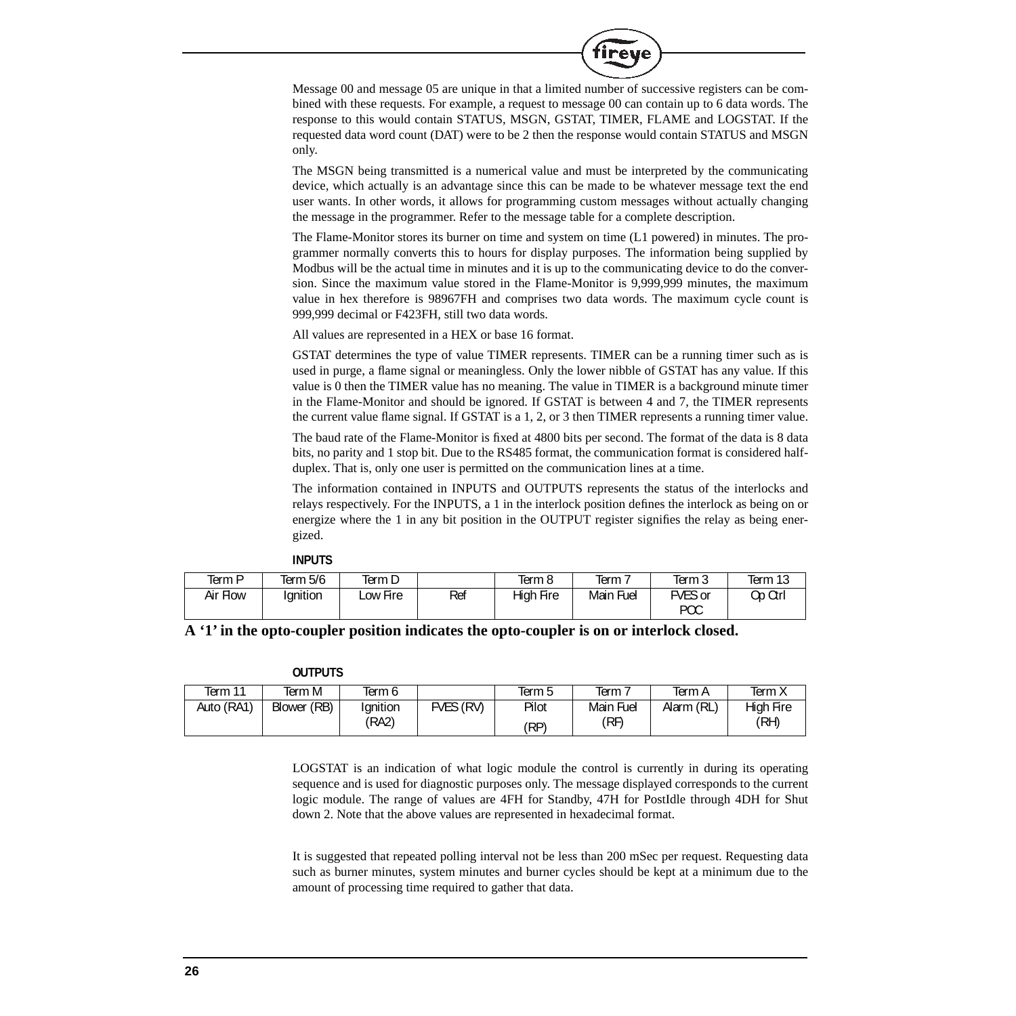

Message 00 and message 05 are unique in that a limited number of successive registers can be combined with these requests. For example, a request to message 00 can contain up to 6 data words. The response to this would contain STATUS, MSGN, GSTAT, TIMER, FLAME and LOGSTAT. If the requested data word count (DAT) were to be 2 then the response would contain STATUS and MSGN only.

The MSGN being transmitted is a numerical value and must be interpreted by the communicating device, which actually is an advantage since this can be made to be whatever message text the end user wants. In other words, it allows for programming custom messages without actually changing the message in the programmer. Refer to the message table for a complete description.

The Flame-Monitor stores its burner on time and system on time (L1 powered) in minutes. The programmer normally converts this to hours for display purposes. The information being supplied by Modbus will be the actual time in minutes and it is up to the communicating device to do the conversion. Since the maximum value stored in the Flame-Monitor is 9,999,999 minutes, the maximum value in hex therefore is 98967FH and comprises two data words. The maximum cycle count is 999,999 decimal or F423FH, still two data words.

All values are represented in a HEX or base 16 format.

GSTAT determines the type of value TIMER represents. TIMER can be a running timer such as is used in purge, a flame signal or meaningless. Only the lower nibble of GSTAT has any value. If this value is 0 then the TIMER value has no meaning. The value in TIMER is a background minute timer in the Flame-Monitor and should be ignored. If GSTAT is between 4 and 7, the TIMER represents the current value flame signal. If GSTAT is a 1, 2, or 3 then TIMER represents a running timer value.

The baud rate of the Flame-Monitor is fixed at 4800 bits per second. The format of the data is 8 data bits, no parity and 1 stop bit. Due to the RS485 format, the communication format is considered halfduplex. That is, only one user is permitted on the communication lines at a time.

The information contained in INPUTS and OUTPUTS represents the status of the interlocks and relays respectively. For the INPUTS, a 1 in the interlock position defines the interlock as being on or energize where the 1 in any bit position in the OUTPUT register signifies the relay as being energized.

| Геrm Р   | Term 5/6 | Term D   |     | Term 8    | erm.      | Term 3                             | Term 13 |
|----------|----------|----------|-----|-----------|-----------|------------------------------------|---------|
| Air Flow | Ignition | ∟ow Fire | Ref | High Fire | Main Fuel | <b>FVES or</b><br>P <sub>O</sub> C | Op Ctrl |

#### **INPUTS**

# **A '1' in the opto-coupler position indicates the opto-coupler is on or interlock closed.**

| Ferm 11    | Term M      | Term 6            |           | Term 5        | Term              | Term A     | Term X            |
|------------|-------------|-------------------|-----------|---------------|-------------------|------------|-------------------|
| Auto (RA1) | Blower (RB) | Ignition<br>(RA2) | FVES (RV) | Pilot<br>(RP) | Main Fuel<br>(RF) | Alarm (RL, | High Fire<br>(RH) |

#### **OUTPUTS**

LOGSTAT is an indication of what logic module the control is currently in during its operating sequence and is used for diagnostic purposes only. The message displayed corresponds to the current logic module. The range of values are 4FH for Standby, 47H for PostIdle through 4DH for Shut down 2. Note that the above values are represented in hexadecimal format.

It is suggested that repeated polling interval not be less than 200 mSec per request. Requesting data such as burner minutes, system minutes and burner cycles should be kept at a minimum due to the amount of processing time required to gather that data.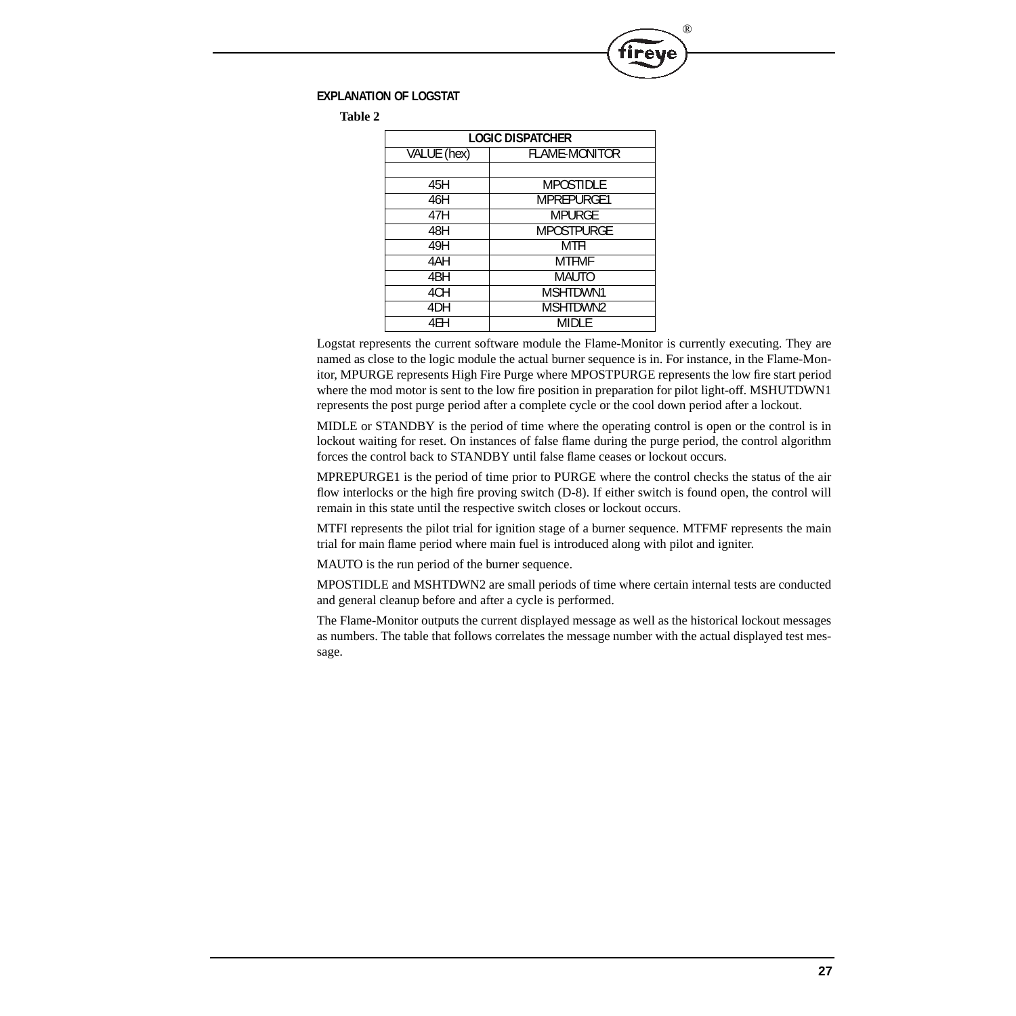

#### **Table 2**

| <b>LOGIC DISPATCHER</b> |                      |  |  |  |
|-------------------------|----------------------|--|--|--|
| VALUE (hex)             | <b>FLAME-MONITOR</b> |  |  |  |
|                         |                      |  |  |  |
| 45H                     | <b>MPOSTIDLE</b>     |  |  |  |
| 46H                     | MPREPURGE1           |  |  |  |
| 47H                     | <b>MPURGE</b>        |  |  |  |
| 48H                     | <b>MPOSTPURGE</b>    |  |  |  |
| 49H                     | MTFI                 |  |  |  |
| 4AH                     | <b>MTFMF</b>         |  |  |  |
| 4BH                     | <b>MAUTO</b>         |  |  |  |
| 4CH                     | MSHTDWN1             |  |  |  |
| 4DH                     | MSHTDWN2             |  |  |  |
| 4FH                     | midi f               |  |  |  |

Logstat represents the current software module the Flame-Monitor is currently executing. They are named as close to the logic module the actual burner sequence is in. For instance, in the Flame-Monitor, MPURGE represents High Fire Purge where MPOSTPURGE represents the low fire start period where the mod motor is sent to the low fire position in preparation for pilot light-off. MSHUTDWN1 represents the post purge period after a complete cycle or the cool down period after a lockout.

®

MIDLE or STANDBY is the period of time where the operating control is open or the control is in lockout waiting for reset. On instances of false flame during the purge period, the control algorithm forces the control back to STANDBY until false flame ceases or lockout occurs.

MPREPURGE1 is the period of time prior to PURGE where the control checks the status of the air flow interlocks or the high fire proving switch (D-8). If either switch is found open, the control will remain in this state until the respective switch closes or lockout occurs.

MTFI represents the pilot trial for ignition stage of a burner sequence. MTFMF represents the main trial for main flame period where main fuel is introduced along with pilot and igniter.

MAUTO is the run period of the burner sequence.

MPOSTIDLE and MSHTDWN2 are small periods of time where certain internal tests are conducted and general cleanup before and after a cycle is performed.

The Flame-Monitor outputs the current displayed message as well as the historical lockout messages as numbers. The table that follows correlates the message number with the actual displayed test message.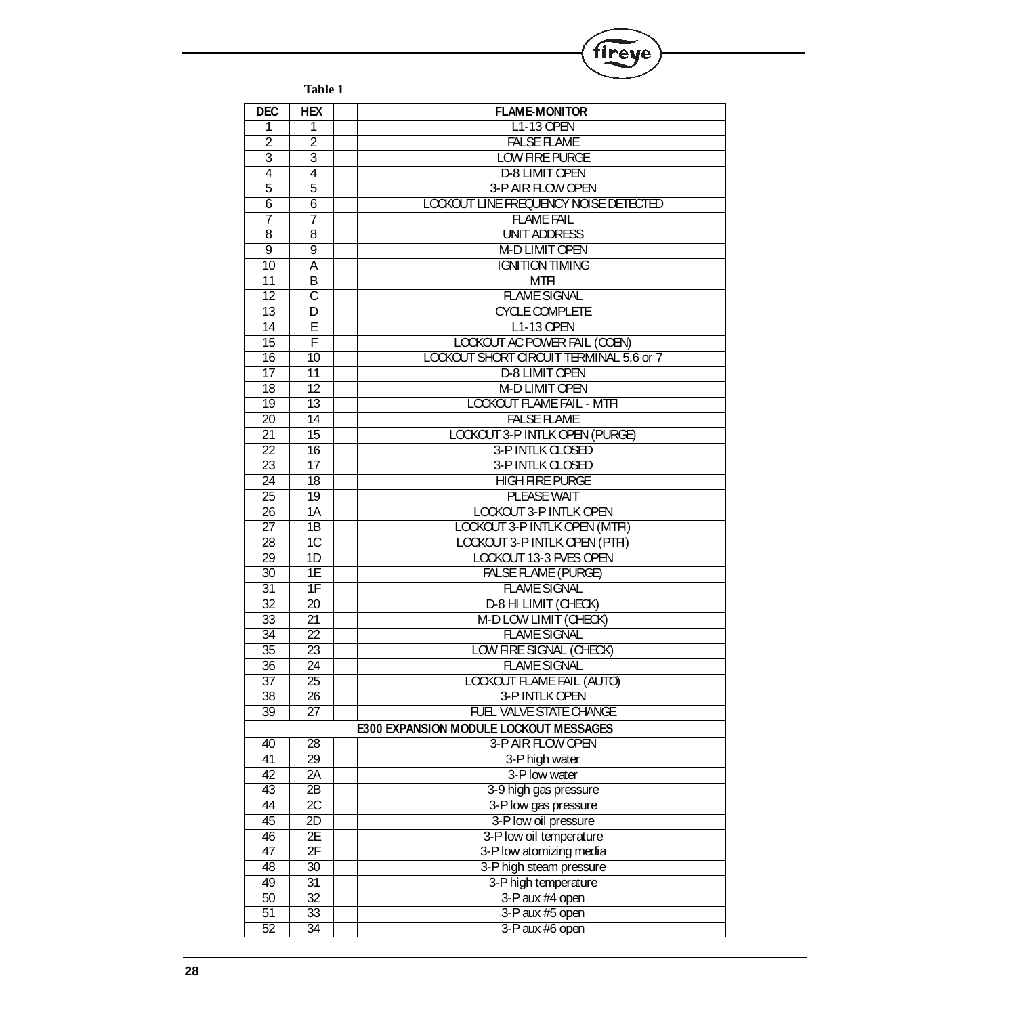|                                        | <b>Table 1</b>                     |                                                           |  |  |  |
|----------------------------------------|------------------------------------|-----------------------------------------------------------|--|--|--|
| <b>DEC</b>                             | <b>HEX</b>                         | <b>FLAME-MONITOR</b>                                      |  |  |  |
| 1                                      | 1                                  | <b>L1-13 OPEN</b>                                         |  |  |  |
| $\overline{2}$                         | $\overline{2}$                     | <b>FALSE FLAME</b>                                        |  |  |  |
| $\overline{3}$                         | $\overline{3}$                     | <b>LOW FIRE PURGE</b>                                     |  |  |  |
| 4                                      | 4                                  | <b>D-8 LIMIT OPEN</b>                                     |  |  |  |
| $\overline{5}$                         | $\overline{5}$                     | 3-P AIR FLOW OPEN                                         |  |  |  |
| 6                                      | 6                                  | LOCKOUT LINE FREQUENCY NOISE DETECTED                     |  |  |  |
| 7                                      | 7                                  | <b>FLAME FAIL</b>                                         |  |  |  |
| 8                                      | 8                                  | <b>UNIT ADDRESS</b>                                       |  |  |  |
| 9                                      | 9                                  | <b>M-D LIMIT OPEN</b>                                     |  |  |  |
| $\overline{10}$                        | Α                                  | <b>IGNITION TIMING</b>                                    |  |  |  |
| $\overline{11}$                        | B                                  | <b>MTFI</b>                                               |  |  |  |
| $\overline{12}$                        | $\overline{\mathbb{C}}$            | <b>FLAME SIGNAL</b>                                       |  |  |  |
| $\overline{13}$                        | D                                  | <b>CYCLE COMPLETE</b>                                     |  |  |  |
| $\overline{14}$                        | E                                  | <b>L1-13 OPEN</b>                                         |  |  |  |
| $\overline{15}$                        | F                                  | <b>LOCKOUT AC POWER FAIL (COEN)</b>                       |  |  |  |
| $\overline{16}$                        | $\overline{10}$                    | <b>LOCKOUT SHORT CIRCUIT TERMINAL 5,6 or 7</b>            |  |  |  |
| $\overline{17}$                        | 11                                 | <b>D-8 LIMIT OPEN</b>                                     |  |  |  |
| $\overline{18}$                        | 12                                 | <b>M-D LIMIT OPEN</b>                                     |  |  |  |
| $\overline{19}$                        | 13                                 | <b>LOCKOUT FLAME FAIL - MTFI</b>                          |  |  |  |
| $\overline{20}$                        | 14                                 | <b>FALSE FLAME</b>                                        |  |  |  |
| $\overline{21}$                        | $\overline{15}$                    | LOCKOUT 3-P INTLK OPEN (PURGE)                            |  |  |  |
| $\overline{22}$                        | $\overline{16}$                    | <b>3-P INTLK CLOSED</b>                                   |  |  |  |
| $\overline{23}$                        | 17                                 | <b>3-P INTLK CLOSED</b>                                   |  |  |  |
| $\overline{24}$                        | 18                                 | <b>HIGH FIRE PURGE</b>                                    |  |  |  |
| $\overline{25}$                        | $\overline{19}$                    | <b>PLEASE WAIT</b>                                        |  |  |  |
| $\overline{26}$                        | $\overline{1A}$                    | <b>LOCKOUT 3-P INTLK OPEN</b>                             |  |  |  |
| $\overline{27}$                        | 1B                                 | <b>LOCKOUT 3-P INTLK OPEN (MTFI)</b>                      |  |  |  |
| $\overline{28}$                        | $\overline{1C}$                    | LOCKOUT 3-P INTLK OPEN (PTFI)                             |  |  |  |
| $\overline{29}$                        | 1 <sub>D</sub>                     | <b>LOCKOUT 13-3 FVES OPEN</b>                             |  |  |  |
| $\overline{30}$                        | $\overline{1E}$                    | <b>FALSE FLAME (PURGE)</b>                                |  |  |  |
| $\overline{31}$                        | $\overline{1}$ F                   | <b>FLAME SIGNAL</b>                                       |  |  |  |
| $\overline{32}$                        | $\overline{20}$                    | D-8 HI LIMIT (CHECK)                                      |  |  |  |
| $\overline{33}$                        | $\overline{21}$                    | M-D LOW LIMIT (CHECK)                                     |  |  |  |
| $\overline{34}$                        | $\overline{22}$                    | <b>FLAME SIGNAL</b>                                       |  |  |  |
| $\overline{35}$                        | $\overline{23}$                    | LOW FIRE SIGNAL (CHECK)                                   |  |  |  |
| $\overline{36}$                        | $\overline{24}$                    | <b>FLAME SIGNAL</b>                                       |  |  |  |
| $\overline{37}$                        | $\overline{25}$                    | <b>LOCKOUT FLAME FAIL (AUTO)</b><br><b>3-P INTLK OPEN</b> |  |  |  |
| $\overline{38}$<br>$\overline{39}$     | $\overline{26}$<br>$\overline{27}$ | <b>FUEL VALVE STATE CHANGE</b>                            |  |  |  |
|                                        |                                    |                                                           |  |  |  |
| E300 EXPANSION MODULE LOCKOUT MESSAGES |                                    |                                                           |  |  |  |
| 40<br>41                               | $\overline{28}$<br>$\overline{29}$ | 3-P AIR FLOW OPEN                                         |  |  |  |
| $\overline{42}$                        | $\overline{2A}$                    | 3-P high water<br>3-P low water                           |  |  |  |
| 43                                     | $\overline{2B}$                    | 3-9 high gas pressure                                     |  |  |  |
| 44                                     | $\overline{2C}$                    | 3-P low gas pressure                                      |  |  |  |
| 45                                     | 2D                                 | 3-P low oil pressure                                      |  |  |  |
| 46                                     | 2E                                 | 3-P low oil temperature                                   |  |  |  |
| $\overline{47}$                        | $\overline{2F}$                    | 3-P low atomizing media                                   |  |  |  |
| 48                                     | $\overline{30}$                    | 3-P high steam pressure                                   |  |  |  |
| 49                                     | $\overline{31}$                    | 3-P high temperature                                      |  |  |  |
| 50                                     | $\overline{32}$                    | 3-P aux #4 open                                           |  |  |  |
| $\overline{51}$                        | $\overline{33}$                    | 3-P aux #5 open                                           |  |  |  |
| $\overline{52}$                        | $\overline{34}$                    | 3-P aux #6 open                                           |  |  |  |
|                                        |                                    |                                                           |  |  |  |

 $^{\circledR}$ 

fireye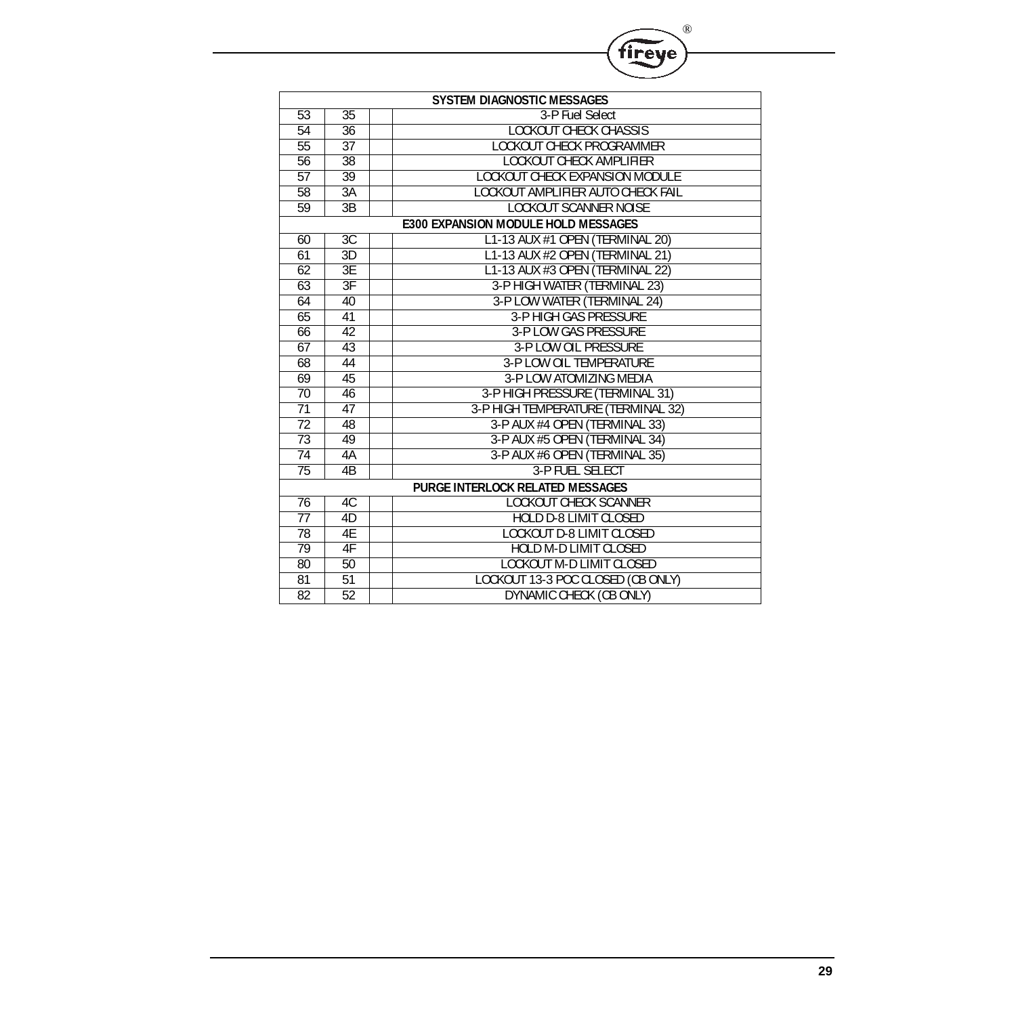| <b>SYSTEM DIAGNOSTIC MESSAGES</b> |                 |                                            |  |  |  |
|-----------------------------------|-----------------|--------------------------------------------|--|--|--|
| $\overline{53}$                   | $\overline{35}$ | 3-P Fuel Select                            |  |  |  |
| $\overline{54}$                   | $\overline{36}$ | <b>LOCKOUT CHECK CHASSIS</b>               |  |  |  |
| $\overline{55}$                   | $\overline{37}$ | <b>LOCKOUT CHECK PROGRAMMER</b>            |  |  |  |
| $\overline{56}$                   | $\overline{38}$ | <b>LOCKOUT CHECK AMPLIFIER</b>             |  |  |  |
| $\overline{57}$                   | $\overline{39}$ | <b>LOCKOUT CHECK EXPANSION MODULE</b>      |  |  |  |
| $\overline{58}$                   | $\overline{3A}$ | <b>LOCKOUT AMPLIFIER AUTO CHECK FAIL</b>   |  |  |  |
| $\overline{59}$                   | $\overline{3B}$ | <b>LOCKOUT SCANNER NOISE</b>               |  |  |  |
|                                   |                 | <b>E300 EXPANSION MODULE HOLD MESSAGES</b> |  |  |  |
| 60                                | $\overline{3C}$ | L1-13 AUX #1 OPEN (TERMINAL 20)            |  |  |  |
| 61                                | 3D              | L1-13 AUX #2 OPEN (TERMINAL 21)            |  |  |  |
| 62                                | $\overline{3E}$ | L1-13 AUX #3 OPEN (TERMINAL 22)            |  |  |  |
| 63                                | $\overline{3F}$ | 3-P HIGH WATER (TERMINAL 23)               |  |  |  |
| 64                                | 40              | 3-P LOW WATER (TERMINAL 24)                |  |  |  |
| 65                                | $\overline{41}$ | <b>3-P HIGH GAS PRESSURE</b>               |  |  |  |
| 66                                | $\overline{42}$ | <b>3-P LOW GAS PRESSURE</b>                |  |  |  |
| 67                                | $\overline{43}$ | <b>3-P LOW OIL PRESSURE</b>                |  |  |  |
| 68                                | 44              | 3-P LOW OIL TEMPERATURE                    |  |  |  |
| 69                                | 45              | <b>3-P LOW ATOMIZING MEDIA</b>             |  |  |  |
| $\overline{70}$                   | 46              | 3-P HIGH PRESSURE (TERMINAL 31)            |  |  |  |
| $\overline{71}$                   | $\overline{47}$ | 3-P HIGH TEMPERATURE (TERMINAL 32)         |  |  |  |
| $\overline{72}$                   | 48              | 3-P AUX #4 OPEN (TERMINAL 33)              |  |  |  |
| $\overline{73}$                   | $\overline{49}$ | 3-P AUX #5 OPEN (TERMINAL 34)              |  |  |  |
| $\overline{74}$                   | 4A              | 3-P AUX #6 OPEN (TERMINAL 35)              |  |  |  |
| $\overline{75}$                   | $\overline{AB}$ | <b>3-P FUEL SELECT</b>                     |  |  |  |
| PURGE INTERLOCK RELATED MESSAGES  |                 |                                            |  |  |  |
| $\overline{76}$                   | 4 <sup>C</sup>  | <b>LOCKOUT CHECK SCANNER</b>               |  |  |  |
| $\overline{77}$                   | 4D              | <b>HOLD D-8 LIMIT CLOSED</b>               |  |  |  |
| $\overline{78}$                   | 4E              | <b>LOCKOUT D-8 LIMIT CLOSED</b>            |  |  |  |
| 79                                | 4F              | <b>HOLD M-D LIMIT CLOSED</b>               |  |  |  |
| $\overline{80}$                   | $\overline{50}$ | <b>LOCKOUT M-D LIMIT CLOSED</b>            |  |  |  |
| $\overline{81}$                   | $\overline{51}$ | LOCKOUT 13-3 POC CLOSED (CB ONLY)          |  |  |  |
| $\overline{82}$                   | $\overline{52}$ | DYNAMIC CHECK (CB ONLY)                    |  |  |  |

®

fireye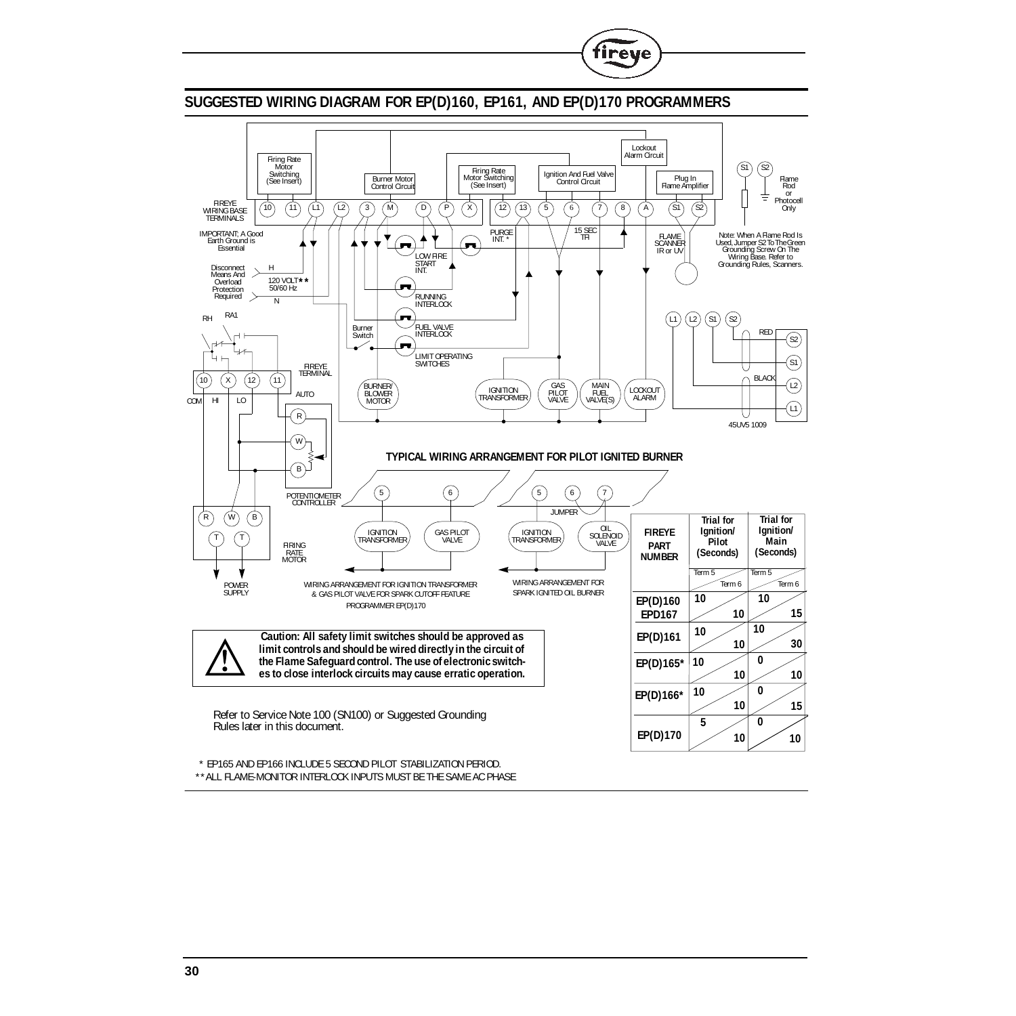

**SUGGESTED WIRING DIAGRAM FOR EP(D)160, EP161, AND EP(D)170 PROGRAMMERS**



\* EP165 AND EP166 INCLUDE 5 SECOND PILOT STABILIZATION PERIOD. \*\*ALL FLAME-MONITOR INTERLOCK INPUTS MUST BE THE SAME AC PHASE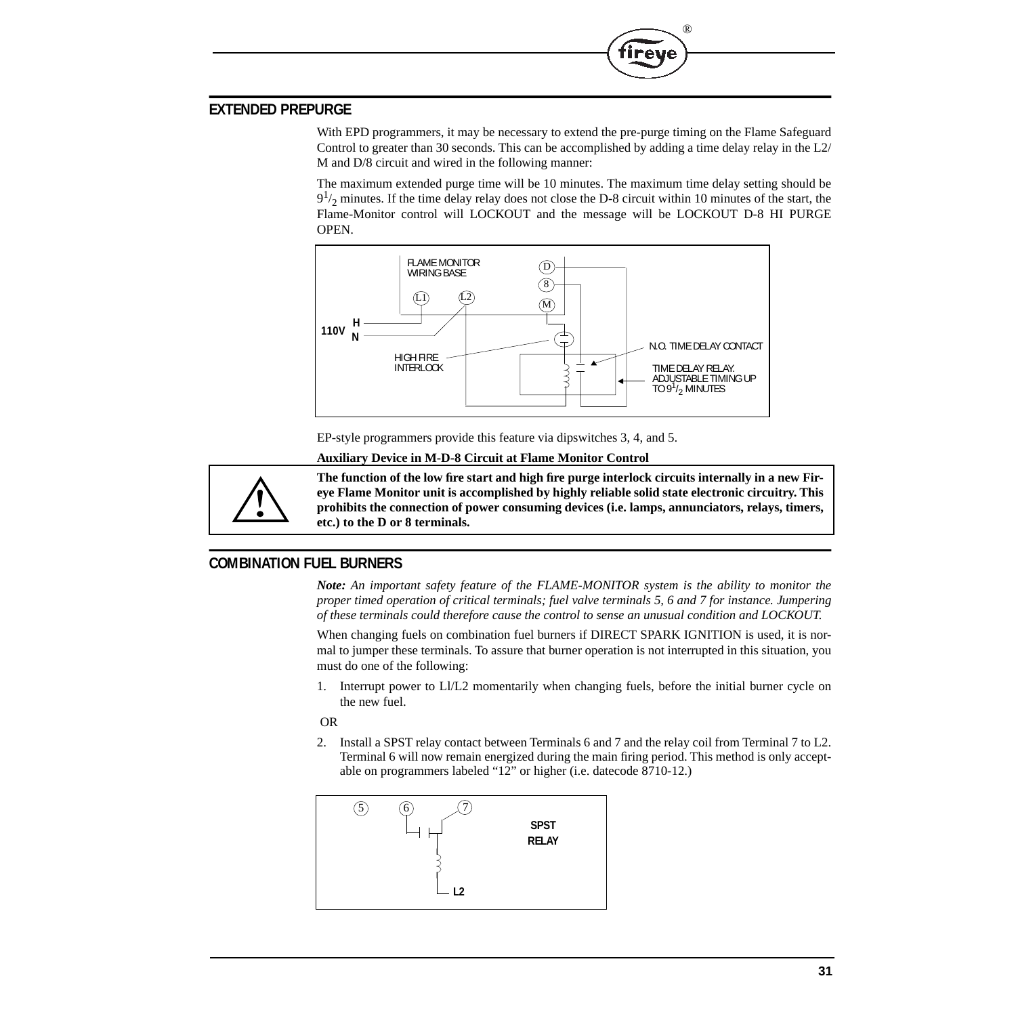# **EXTENDED PREPURGE**

With EPD programmers, it may be necessary to extend the pre-purge timing on the Flame Safeguard Control to greater than 30 seconds. This can be accomplished by adding a time delay relay in the L2/ M and D/8 circuit and wired in the following manner:

®

The maximum extended purge time will be 10 minutes. The maximum time delay setting should be  $9^{1/2}$  minutes. If the time delay relay does not close the D-8 circuit within 10 minutes of the start, the Flame-Monitor control will LOCKOUT and the message will be LOCKOUT D-8 HI PURGE OPEN.



EP-style programmers provide this feature via dipswitches 3, 4, and 5.

#### **Auxiliary Device in M-D-8 Circuit at Flame Monitor Control**

**The function of the low fire start and high fire purge interlock circuits internally in a new Fireye Flame Monitor unit is accomplished by highly reliable solid state electronic circuitry. This prohibits the connection of power consuming devices (i.e. lamps, annunciators, relays, timers, etc.) to the D or 8 terminals.**

# **COMBINATION FUEL BURNERS**

*Note: An important safety feature of the FLAME-MONITOR system is the ability to monitor the proper timed operation of critical terminals; fuel valve terminals 5, 6 and 7 for instance. Jumpering of these terminals could therefore cause the control to sense an unusual condition and LOCKOUT.*

When changing fuels on combination fuel burners if DIRECT SPARK IGNITION is used, it is normal to jumper these terminals. To assure that burner operation is not interrupted in this situation, you must do one of the following:

1. Interrupt power to Ll/L2 momentarily when changing fuels, before the initial burner cycle on the new fuel.

#### OR

2. Install a SPST relay contact between Terminals 6 and 7 and the relay coil from Terminal 7 to L2. Terminal 6 will now remain energized during the main firing period. This method is only acceptable on programmers labeled "12" or higher (i.e. datecode 8710-12.)

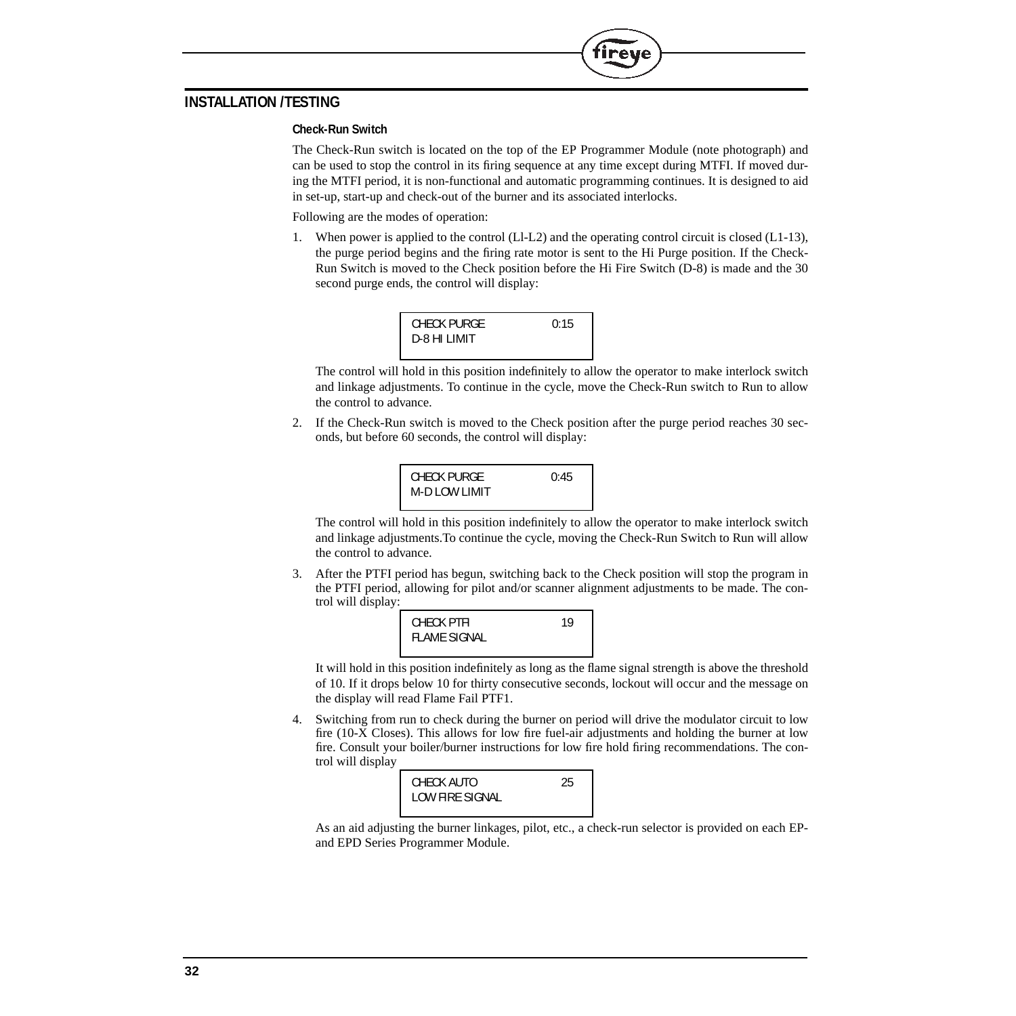# **INSTALLATION /TESTING**

#### **Check-Run Switch**

The Check-Run switch is located on the top of the EP Programmer Module (note photograph) and can be used to stop the control in its firing sequence at any time except during MTFI. If moved during the MTFI period, it is non-functional and automatic programming continues. It is designed to aid in set-up, start-up and check-out of the burner and its associated interlocks.

 $^{\circledR}$ 

Following are the modes of operation:

1. When power is applied to the control (Ll-L2) and the operating control circuit is closed (L1-13), the purge period begins and the firing rate motor is sent to the Hi Purge position. If the Check-Run Switch is moved to the Check position before the Hi Fire Switch (D-8) is made and the 30 second purge ends, the control will display:



The control will hold in this position indefinitely to allow the operator to make interlock switch and linkage adjustments. To continue in the cycle, move the Check-Run switch to Run to allow the control to advance.

2. If the Check-Run switch is moved to the Check position after the purge period reaches 30 seconds, but before 60 seconds, the control will display:



The control will hold in this position indefinitely to allow the operator to make interlock switch and linkage adjustments.To continue the cycle, moving the Check-Run Switch to Run will allow the control to advance.

3. After the PTFI period has begun, switching back to the Check position will stop the program in the PTFI period, allowing for pilot and/or scanner alignment adjustments to be made. The control will display:



It will hold in this position indefinitely as long as the flame signal strength is above the threshold of 10. If it drops below 10 for thirty consecutive seconds, lockout will occur and the message on the display will read Flame Fail PTF1.

4. Switching from run to check during the burner on period will drive the modulator circuit to low fire (10-X Closes). This allows for low fire fuel-air adjustments and holding the burner at low fire. Consult your boiler/burner instructions for low fire hold firing recommendations. The control will display



As an aid adjusting the burner linkages, pilot, etc., a check-run selector is provided on each EPand EPD Series Programmer Module.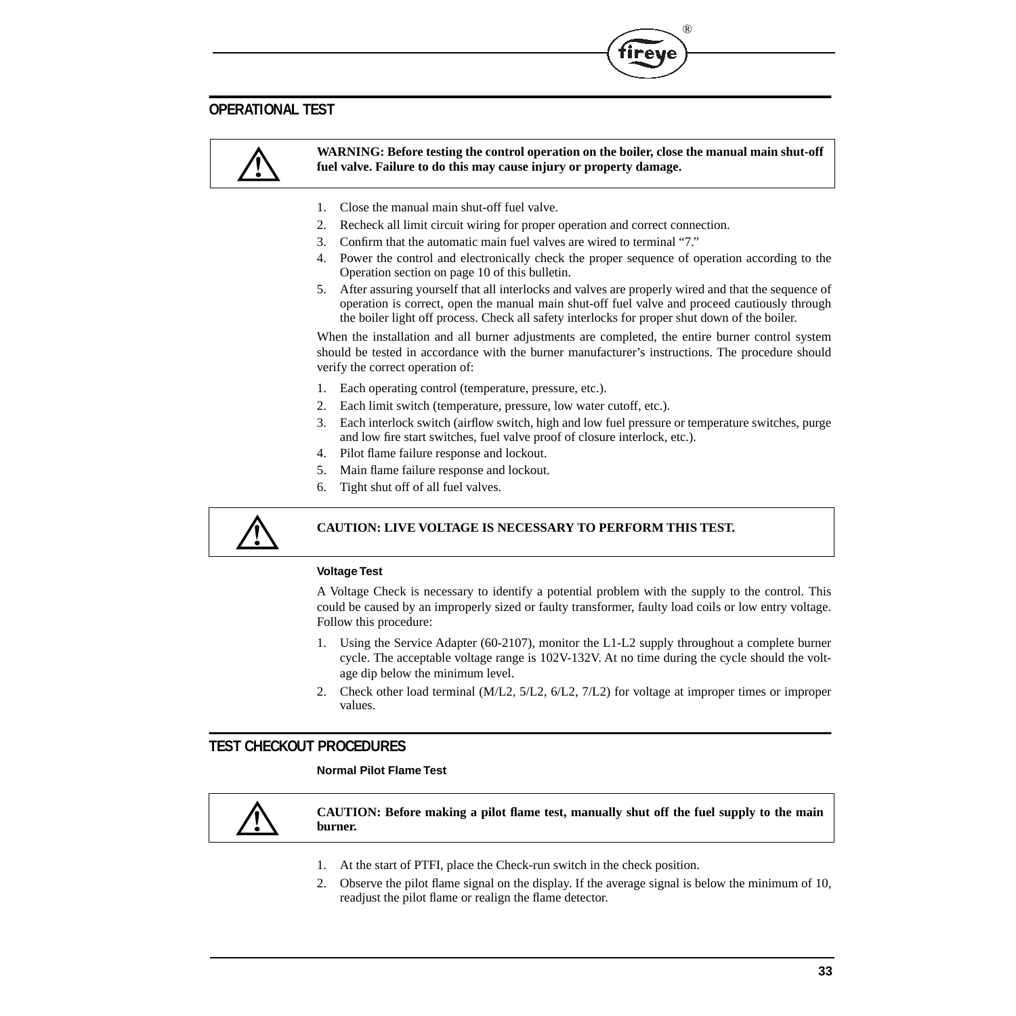# **OPERATIONAL TEST**



**WARNING: Before testing the control operation on the boiler, close the manual main shut-off fuel valve. Failure to do this may cause injury or property damage.**

®

- 1. Close the manual main shut-off fuel valve.
- 2. Recheck all limit circuit wiring for proper operation and correct connection.
- 3. Confirm that the automatic main fuel valves are wired to terminal "7."
- 4. Power the control and electronically check the proper sequence of operation according to the Operation section on page 10 of this bulletin.
- 5. After assuring yourself that all interlocks and valves are properly wired and that the sequence of operation is correct, open the manual main shut-off fuel valve and proceed cautiously through the boiler light off process. Check all safety interlocks for proper shut down of the boiler.

When the installation and all burner adjustments are completed, the entire burner control system should be tested in accordance with the burner manufacturer's instructions. The procedure should verify the correct operation of:

- 1. Each operating control (temperature, pressure, etc.).
- 2. Each limit switch (temperature, pressure, low water cutoff, etc.).
- 3. Each interlock switch (airflow switch, high and low fuel pressure or temperature switches, purge and low fire start switches, fuel valve proof of closure interlock, etc.).
- 4. Pilot flame failure response and lockout.
- 5. Main flame failure response and lockout.
- 6. Tight shut off of all fuel valves.



# **CAUTION: LIVE VOLTAGE IS NECESSARY TO PERFORM THIS TEST.**

#### **Voltage Test**

A Voltage Check is necessary to identify a potential problem with the supply to the control. This could be caused by an improperly sized or faulty transformer, faulty load coils or low entry voltage. Follow this procedure:

- 1. Using the Service Adapter (60-2107), monitor the L1-L2 supply throughout a complete burner cycle. The acceptable voltage range is 102V-132V. At no time during the cycle should the voltage dip below the minimum level.
- 2. Check other load terminal (M/L2, 5/L2, 6/L2, 7/L2) for voltage at improper times or improper values.

# **TEST CHECKOUT PROCEDURES**

#### **Normal Pilot Flame Test**



**CAUTION: Before making a pilot flame test, manually shut off the fuel supply to the main burner.**

- 1. At the start of PTFI, place the Check-run switch in the check position.
- 2. Observe the pilot flame signal on the display. If the average signal is below the minimum of 10, readjust the pilot flame or realign the flame detector.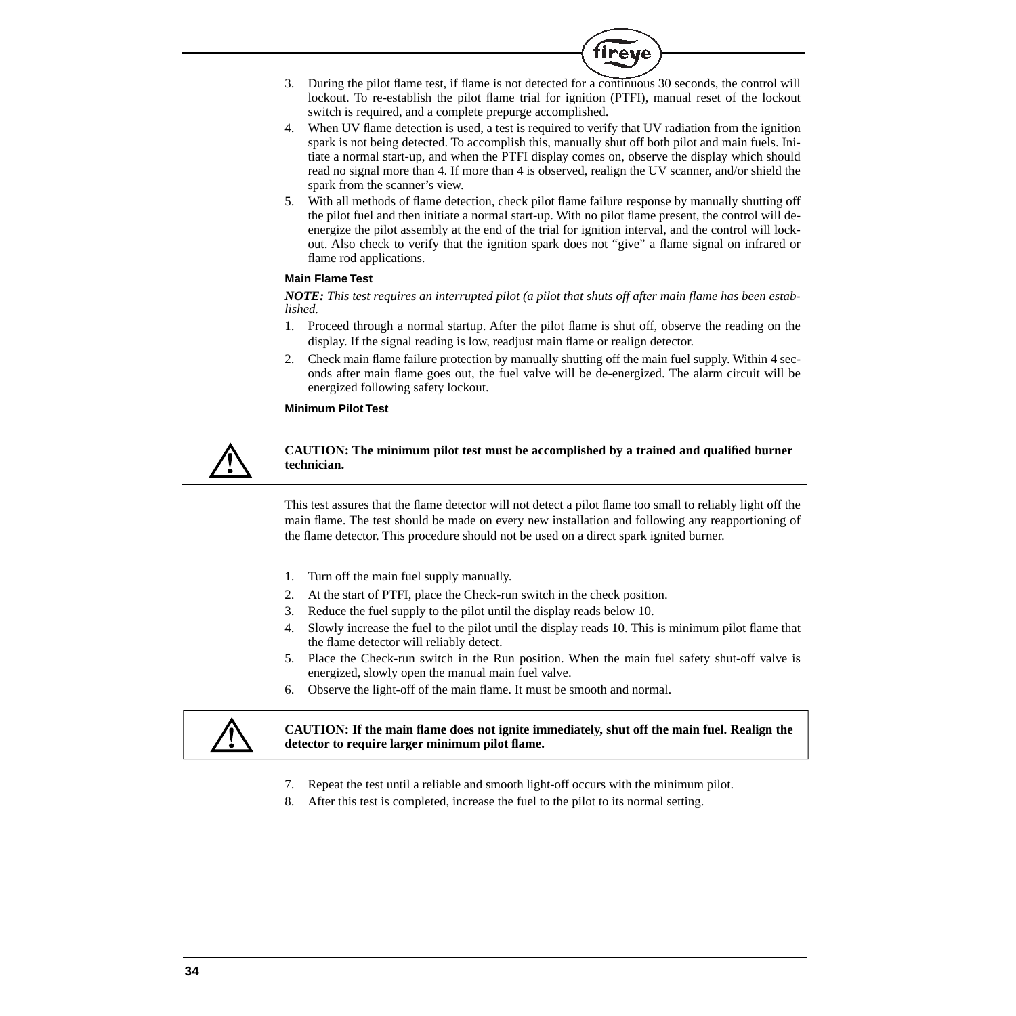3. During the pilot flame test, if flame is not detected for a continuous 30 seconds, the control will lockout. To re-establish the pilot flame trial for ignition (PTFI), manual reset of the lockout switch is required, and a complete prepurge accomplished.

 $^{\circledR}$ 

- 4. When UV flame detection is used, a test is required to verify that UV radiation from the ignition spark is not being detected. To accomplish this, manually shut off both pilot and main fuels. Initiate a normal start-up, and when the PTFI display comes on, observe the display which should read no signal more than 4. If more than 4 is observed, realign the UV scanner, and/or shield the spark from the scanner's view.
- 5. With all methods of flame detection, check pilot flame failure response by manually shutting off the pilot fuel and then initiate a normal start-up. With no pilot flame present, the control will deenergize the pilot assembly at the end of the trial for ignition interval, and the control will lockout. Also check to verify that the ignition spark does not "give" a flame signal on infrared or flame rod applications.

#### **Main Flame Test**

*NOTE: This test requires an interrupted pilot (a pilot that shuts off after main flame has been established.*

- 1. Proceed through a normal startup. After the pilot flame is shut off, observe the reading on the display. If the signal reading is low, readjust main flame or realign detector.
- 2. Check main flame failure protection by manually shutting off the main fuel supply. Within 4 seconds after main flame goes out, the fuel valve will be de-energized. The alarm circuit will be energized following safety lockout.

#### **Minimum Pilot Test**



**CAUTION: The minimum pilot test must be accomplished by a trained and qualified burner technician.**

This test assures that the flame detector will not detect a pilot flame too small to reliably light off the main flame. The test should be made on every new installation and following any reapportioning of the flame detector. This procedure should not be used on a direct spark ignited burner.

- 1. Turn off the main fuel supply manually.
- 2. At the start of PTFI, place the Check-run switch in the check position.
- 3. Reduce the fuel supply to the pilot until the display reads below 10.
- 4. Slowly increase the fuel to the pilot until the display reads 10. This is minimum pilot flame that the flame detector will reliably detect.
- 5. Place the Check-run switch in the Run position. When the main fuel safety shut-off valve is energized, slowly open the manual main fuel valve.
- 6. Observe the light-off of the main flame. It must be smooth and normal.



#### **CAUTION: If the main flame does not ignite immediately, shut off the main fuel. Realign the detector to require larger minimum pilot flame.**

- 7. Repeat the test until a reliable and smooth light-off occurs with the minimum pilot.
- 8. After this test is completed, increase the fuel to the pilot to its normal setting.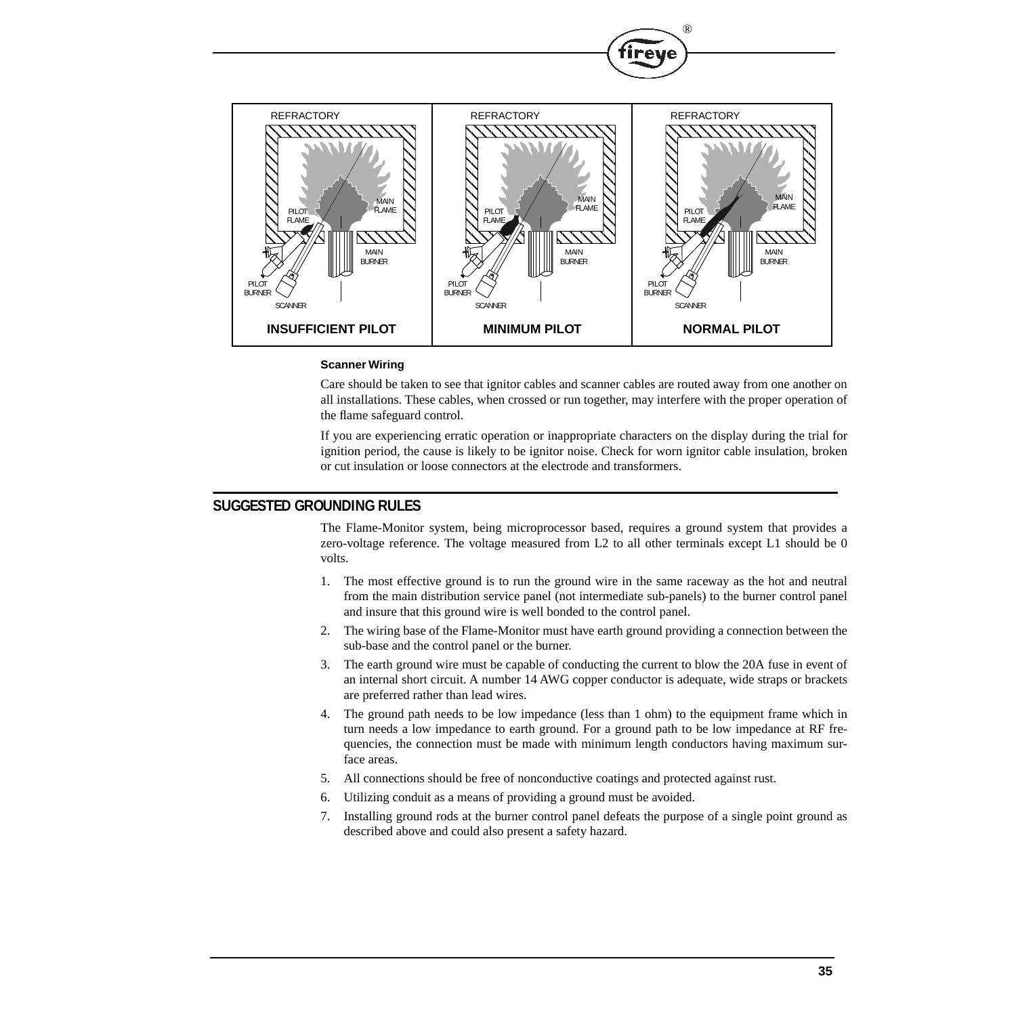

#### **Scanner Wiring**

Care should be taken to see that ignitor cables and scanner cables are routed away from one another on all installations. These cables, when crossed or run together, may interfere with the proper operation of the flame safeguard control.

®

If you are experiencing erratic operation or inappropriate characters on the display during the trial for ignition period, the cause is likely to be ignitor noise. Check for worn ignitor cable insulation, broken or cut insulation or loose connectors at the electrode and transformers.

# **SUGGESTED GROUNDING RULES**

The Flame-Monitor system, being microprocessor based, requires a ground system that provides a zero-voltage reference. The voltage measured from L2 to all other terminals except L1 should be 0 volts.

- 1. The most effective ground is to run the ground wire in the same raceway as the hot and neutral from the main distribution service panel (not intermediate sub-panels) to the burner control panel and insure that this ground wire is well bonded to the control panel.
- 2. The wiring base of the Flame-Monitor must have earth ground providing a connection between the sub-base and the control panel or the burner.
- 3. The earth ground wire must be capable of conducting the current to blow the 20A fuse in event of an internal short circuit. A number 14 AWG copper conductor is adequate, wide straps or brackets are preferred rather than lead wires.
- 4. The ground path needs to be low impedance (less than 1 ohm) to the equipment frame which in turn needs a low impedance to earth ground. For a ground path to be low impedance at RF frequencies, the connection must be made with minimum length conductors having maximum surface areas.
- 5. All connections should be free of nonconductive coatings and protected against rust.
- 6. Utilizing conduit as a means of providing a ground must be avoided.
- 7. Installing ground rods at the burner control panel defeats the purpose of a single point ground as described above and could also present a safety hazard.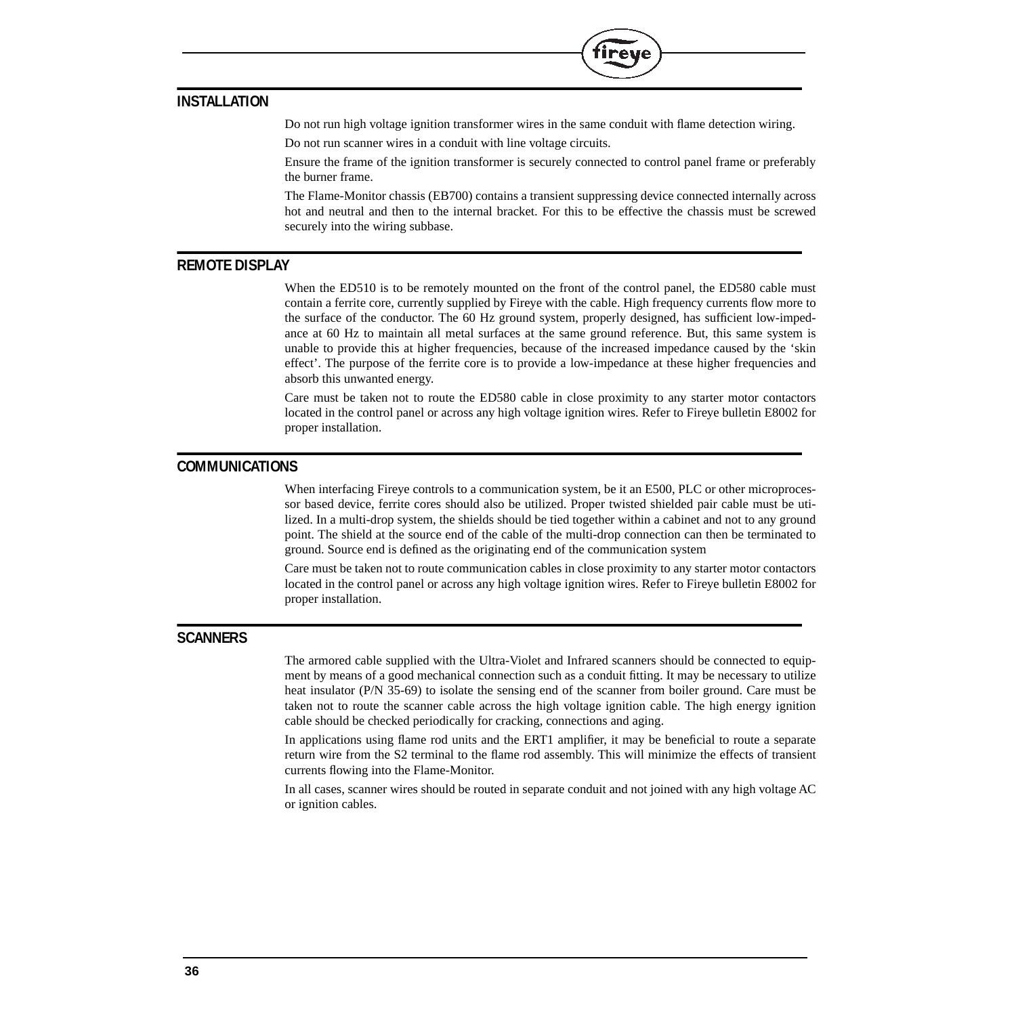# **INSTALLATION**

Do not run high voltage ignition transformer wires in the same conduit with flame detection wiring.

 $^{\circledR}$ 

Do not run scanner wires in a conduit with line voltage circuits.

Ensure the frame of the ignition transformer is securely connected to control panel frame or preferably the burner frame.

The Flame-Monitor chassis (EB700) contains a transient suppressing device connected internally across hot and neutral and then to the internal bracket. For this to be effective the chassis must be screwed securely into the wiring subbase.

#### **REMOTE DISPLAY**

When the ED510 is to be remotely mounted on the front of the control panel, the ED580 cable must contain a ferrite core, currently supplied by Fireye with the cable. High frequency currents flow more to the surface of the conductor. The 60 Hz ground system, properly designed, has sufficient low-impedance at 60 Hz to maintain all metal surfaces at the same ground reference. But, this same system is unable to provide this at higher frequencies, because of the increased impedance caused by the 'skin effect'. The purpose of the ferrite core is to provide a low-impedance at these higher frequencies and absorb this unwanted energy.

Care must be taken not to route the ED580 cable in close proximity to any starter motor contactors located in the control panel or across any high voltage ignition wires. Refer to Fireye bulletin E8002 for proper installation.

# **COMMUNICATIONS**

When interfacing Fireye controls to a communication system, be it an E500, PLC or other microprocessor based device, ferrite cores should also be utilized. Proper twisted shielded pair cable must be utilized. In a multi-drop system, the shields should be tied together within a cabinet and not to any ground point. The shield at the source end of the cable of the multi-drop connection can then be terminated to ground. Source end is defined as the originating end of the communication system

Care must be taken not to route communication cables in close proximity to any starter motor contactors located in the control panel or across any high voltage ignition wires. Refer to Fireye bulletin E8002 for proper installation.

# **SCANNERS**

The armored cable supplied with the Ultra-Violet and Infrared scanners should be connected to equipment by means of a good mechanical connection such as a conduit fitting. It may be necessary to utilize heat insulator (P/N 35-69) to isolate the sensing end of the scanner from boiler ground. Care must be taken not to route the scanner cable across the high voltage ignition cable. The high energy ignition cable should be checked periodically for cracking, connections and aging.

In applications using flame rod units and the ERT1 amplifier, it may be beneficial to route a separate return wire from the S2 terminal to the flame rod assembly. This will minimize the effects of transient currents flowing into the Flame-Monitor.

In all cases, scanner wires should be routed in separate conduit and not joined with any high voltage AC or ignition cables.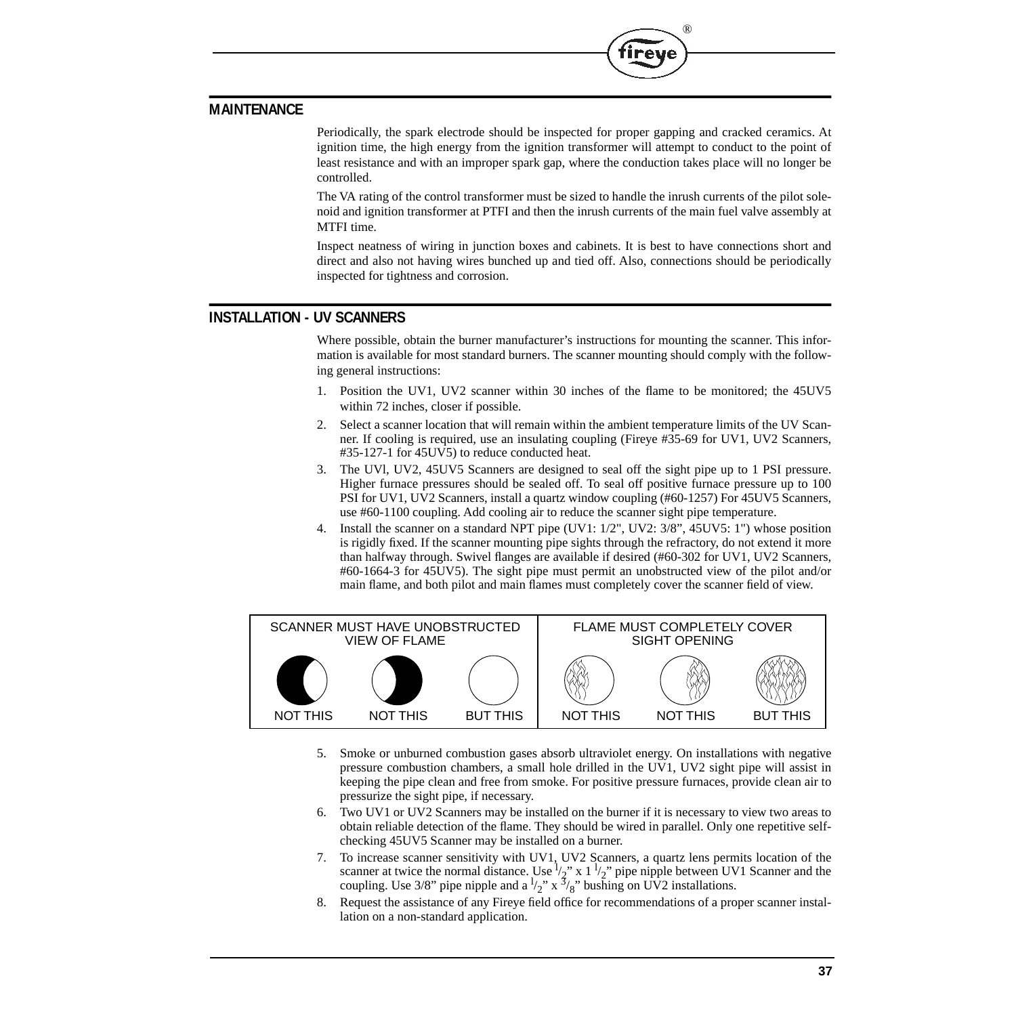#### **MAINTENANCE**

Periodically, the spark electrode should be inspected for proper gapping and cracked ceramics. At ignition time, the high energy from the ignition transformer will attempt to conduct to the point of least resistance and with an improper spark gap, where the conduction takes place will no longer be controlled.

®

The VA rating of the control transformer must be sized to handle the inrush currents of the pilot solenoid and ignition transformer at PTFI and then the inrush currents of the main fuel valve assembly at MTFI time.

Inspect neatness of wiring in junction boxes and cabinets. It is best to have connections short and direct and also not having wires bunched up and tied off. Also, connections should be periodically inspected for tightness and corrosion.

# **INSTALLATION - UV SCANNERS**

Where possible, obtain the burner manufacturer's instructions for mounting the scanner. This information is available for most standard burners. The scanner mounting should comply with the following general instructions:

- 1. Position the UV1, UV2 scanner within 30 inches of the flame to be monitored; the 45UV5 within 72 inches, closer if possible.
- 2. Select a scanner location that will remain within the ambient temperature limits of the UV Scanner. If cooling is required, use an insulating coupling (Fireye #35-69 for UV1, UV2 Scanners, #35-127-1 for 45UV5) to reduce conducted heat.
- 3. The UVl, UV2, 45UV5 Scanners are designed to seal off the sight pipe up to 1 PSI pressure. Higher furnace pressures should be sealed off. To seal off positive furnace pressure up to 100 PSI for UV1, UV2 Scanners, install a quartz window coupling (#60-1257) For 45UV5 Scanners, use #60-1100 coupling. Add cooling air to reduce the scanner sight pipe temperature.
- 4. Install the scanner on a standard NPT pipe (UV1: 1/2", UV2: 3/8", 45UV5: 1") whose position is rigidly fixed. If the scanner mounting pipe sights through the refractory, do not extend it more than halfway through. Swivel flanges are available if desired (#60-302 for UV1, UV2 Scanners, #60-1664-3 for 45UV5). The sight pipe must permit an unobstructed view of the pilot and/or main flame, and both pilot and main flames must completely cover the scanner field of view.



- 5. Smoke or unburned combustion gases absorb ultraviolet energy. On installations with negative pressure combustion chambers, a small hole drilled in the UV1, UV2 sight pipe will assist in keeping the pipe clean and free from smoke. For positive pressure furnaces, provide clean air to pressurize the sight pipe, if necessary.
- 6. Two UV1 or UV2 Scanners may be installed on the burner if it is necessary to view two areas to obtain reliable detection of the flame. They should be wired in parallel. Only one repetitive selfchecking 45UV5 Scanner may be installed on a burner.
- 7. To increase scanner sensitivity with UV1, UV2 Scanners, a quartz lens permits location of the scanner at twice the normal distance. Use  $\frac{1}{2}$ " x 1 $\frac{1}{2}$ " pipe nipple between UV1 Scanner and the coupling. Use 3/8" pipe nipple and a  $\frac{1}{2}$ " x  $\frac{3}{8}$ " bushing on UV2 installations.
- 8. Request the assistance of any Fireye field office for recommendations of a proper scanner installation on a non-standard application.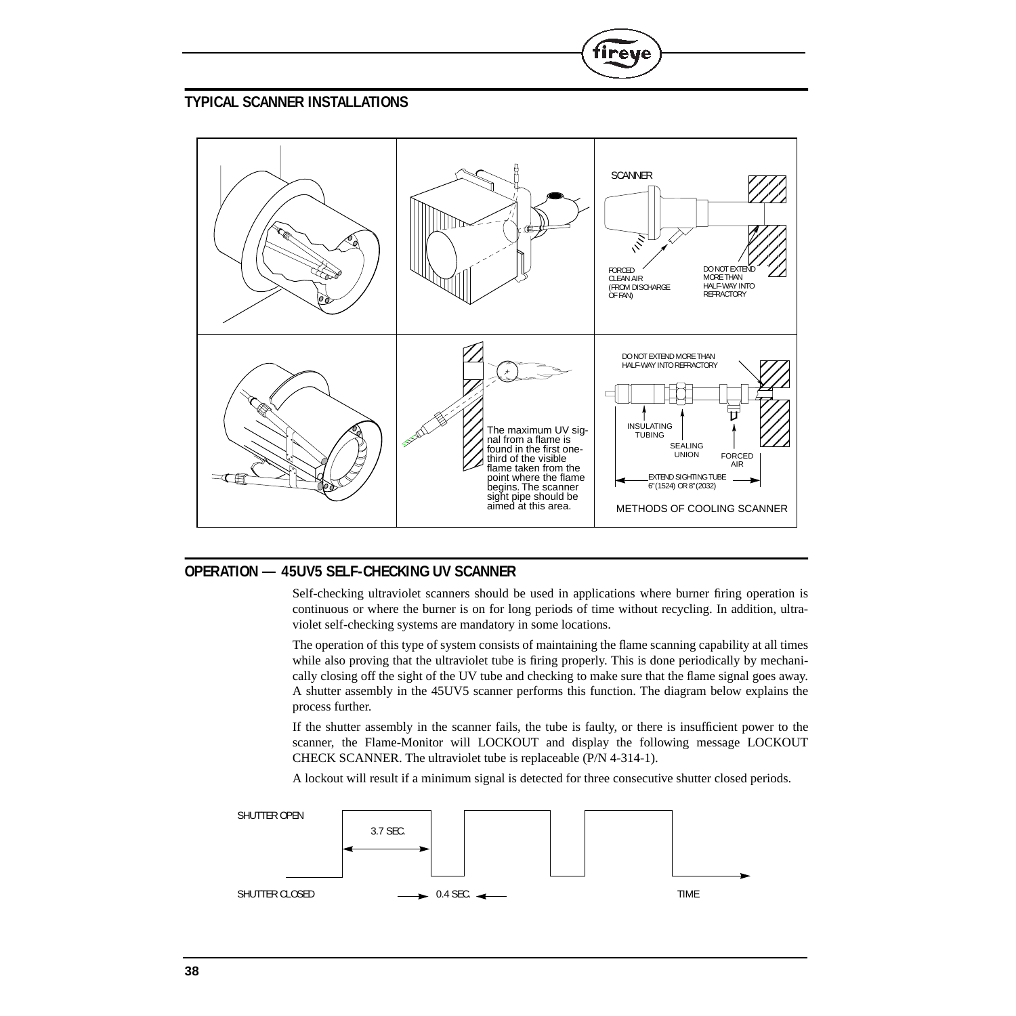



 $^{\circledR}$ 

reve

# **OPERATION — 45UV5 SELF-CHECKING UV SCANNER**

Self-checking ultraviolet scanners should be used in applications where burner firing operation is continuous or where the burner is on for long periods of time without recycling. In addition, ultraviolet self-checking systems are mandatory in some locations.

The operation of this type of system consists of maintaining the flame scanning capability at all times while also proving that the ultraviolet tube is firing properly. This is done periodically by mechanically closing off the sight of the UV tube and checking to make sure that the flame signal goes away. A shutter assembly in the 45UV5 scanner performs this function. The diagram below explains the process further.

If the shutter assembly in the scanner fails, the tube is faulty, or there is insufficient power to the scanner, the Flame-Monitor will LOCKOUT and display the following message LOCKOUT CHECK SCANNER. The ultraviolet tube is replaceable (P/N 4-314-1).

A lockout will result if a minimum signal is detected for three consecutive shutter closed periods.

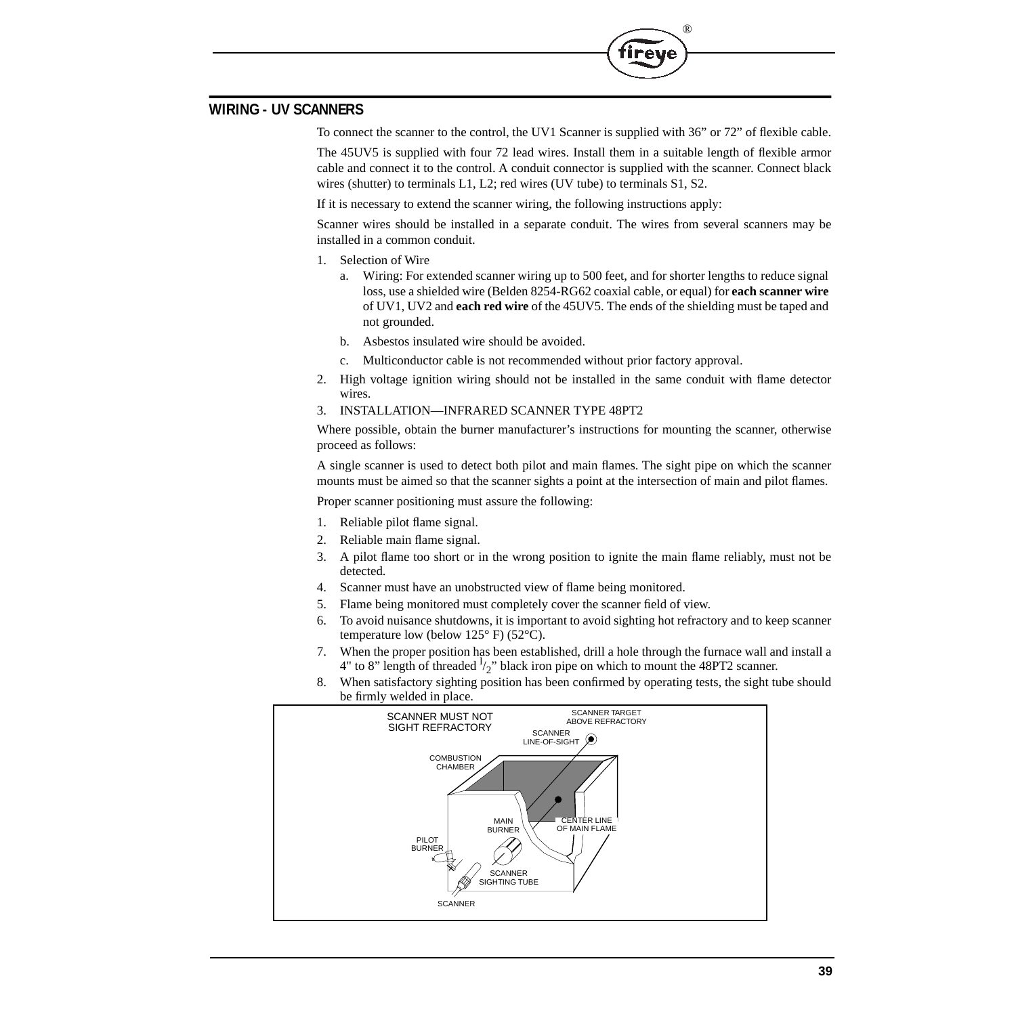# **WIRING - UV SCANNERS**

To connect the scanner to the control, the UV1 Scanner is supplied with 36" or 72" of flexible cable.

®

The 45UV5 is supplied with four 72 lead wires. Install them in a suitable length of flexible armor cable and connect it to the control. A conduit connector is supplied with the scanner. Connect black wires (shutter) to terminals L1, L2; red wires (UV tube) to terminals S1, S2.

If it is necessary to extend the scanner wiring, the following instructions apply:

Scanner wires should be installed in a separate conduit. The wires from several scanners may be installed in a common conduit.

- 1. Selection of Wire
	- a. Wiring: For extended scanner wiring up to 500 feet, and for shorter lengths to reduce signal loss, use a shielded wire (Belden 8254-RG62 coaxial cable, or equal) for **each scanner wire** of UV1, UV2 and **each red wire** of the 45UV5. The ends of the shielding must be taped and not grounded.
	- b. Asbestos insulated wire should be avoided.
	- c. Multiconductor cable is not recommended without prior factory approval.
- 2. High voltage ignition wiring should not be installed in the same conduit with flame detector wires.
- 3. INSTALLATION—INFRARED SCANNER TYPE 48PT2

Where possible, obtain the burner manufacturer's instructions for mounting the scanner, otherwise proceed as follows:

A single scanner is used to detect both pilot and main flames. The sight pipe on which the scanner mounts must be aimed so that the scanner sights a point at the intersection of main and pilot flames.

Proper scanner positioning must assure the following:

- 1. Reliable pilot flame signal.
- 2. Reliable main flame signal.
- 3. A pilot flame too short or in the wrong position to ignite the main flame reliably, must not be detected.
- 4. Scanner must have an unobstructed view of flame being monitored.
- 5. Flame being monitored must completely cover the scanner field of view.
- 6. To avoid nuisance shutdowns, it is important to avoid sighting hot refractory and to keep scanner temperature low (below  $125^{\circ}$  F) (52 $^{\circ}$ C).
- 7. When the proper position has been established, drill a hole through the furnace wall and install a 4" to 8" length of threaded  $\frac{1}{2}$ " black iron pipe on which to mount the 48PT2 scanner.
- 8. When satisfactory sighting position has been confirmed by operating tests, the sight tube should be firmly welded in place.

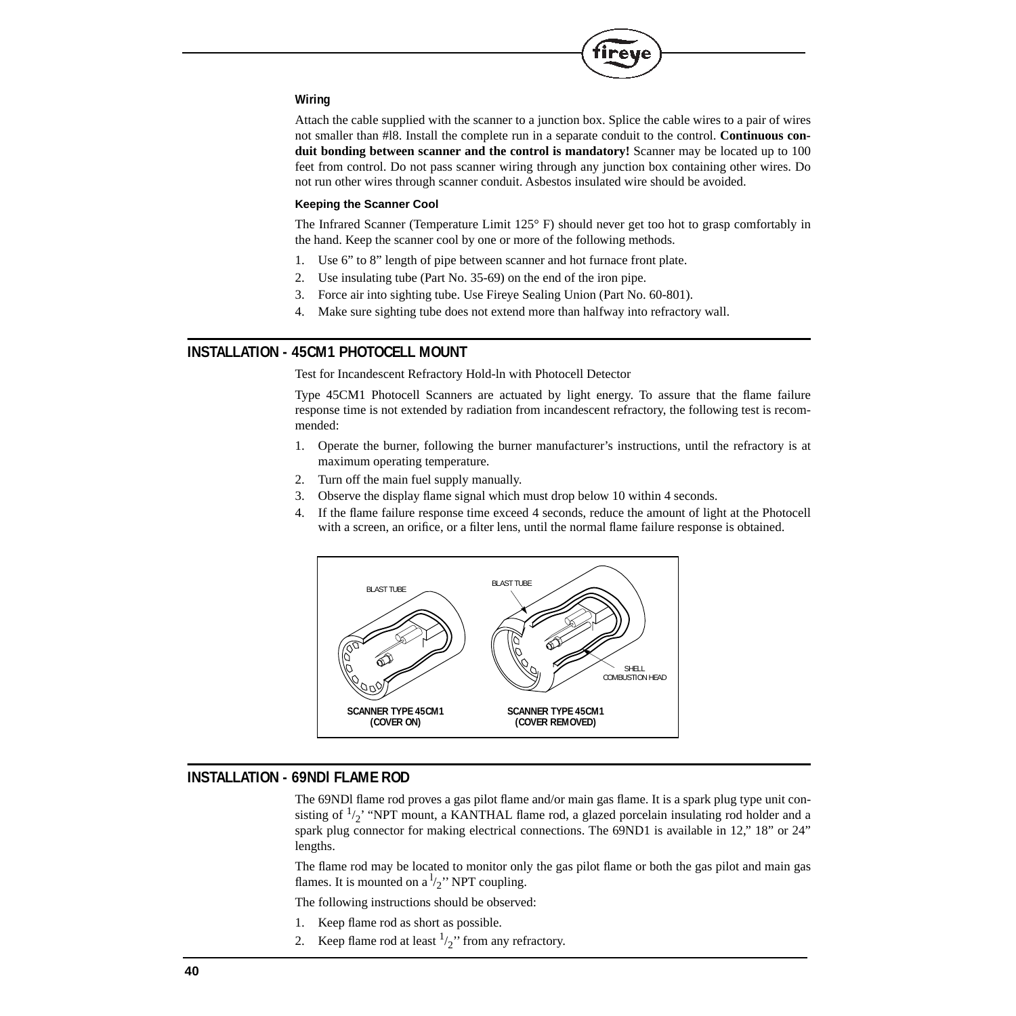#### **Wiring**

Attach the cable supplied with the scanner to a junction box. Splice the cable wires to a pair of wires not smaller than #l8. Install the complete run in a separate conduit to the control. **Continuous conduit bonding between scanner and the control is mandatory!** Scanner may be located up to 100 feet from control. Do not pass scanner wiring through any junction box containing other wires. Do not run other wires through scanner conduit. Asbestos insulated wire should be avoided.

 $^{\circledR}$ 

#### **Keeping the Scanner Cool**

The Infrared Scanner (Temperature Limit 125° F) should never get too hot to grasp comfortably in the hand. Keep the scanner cool by one or more of the following methods.

- 1. Use 6" to 8" length of pipe between scanner and hot furnace front plate.
- 2. Use insulating tube (Part No. 35-69) on the end of the iron pipe.
- 3. Force air into sighting tube. Use Fireye Sealing Union (Part No. 60-801).
- 4. Make sure sighting tube does not extend more than halfway into refractory wall.

#### **INSTALLATION - 45CM1 PHOTOCELL MOUNT**

Test for Incandescent Refractory Hold-ln with Photocell Detector

Type 45CM1 Photocell Scanners are actuated by light energy. To assure that the flame failure response time is not extended by radiation from incandescent refractory, the following test is recommended:

- 1. Operate the burner, following the burner manufacturer's instructions, until the refractory is at maximum operating temperature.
- 2. Turn off the main fuel supply manually.
- 3. Observe the display flame signal which must drop below 10 within 4 seconds.
- 4. If the flame failure response time exceed 4 seconds, reduce the amount of light at the Photocell with a screen, an orifice, or a filter lens, until the normal flame failure response is obtained.



## **INSTALLATION - 69NDl FLAME ROD**

The 69NDl flame rod proves a gas pilot flame and/or main gas flame. It is a spark plug type unit consisting of  $\frac{1}{2}$  "NPT mount, a KANTHAL flame rod, a glazed porcelain insulating rod holder and a spark plug connector for making electrical connections. The 69ND1 is available in 12," 18" or 24" lengths.

The flame rod may be located to monitor only the gas pilot flame or both the gas pilot and main gas flames. It is mounted on a  $\frac{1}{2}$ " NPT coupling.

The following instructions should be observed:

- 1. Keep flame rod as short as possible.
- 2. Keep flame rod at least  $\frac{1}{2}$ " from any refractory.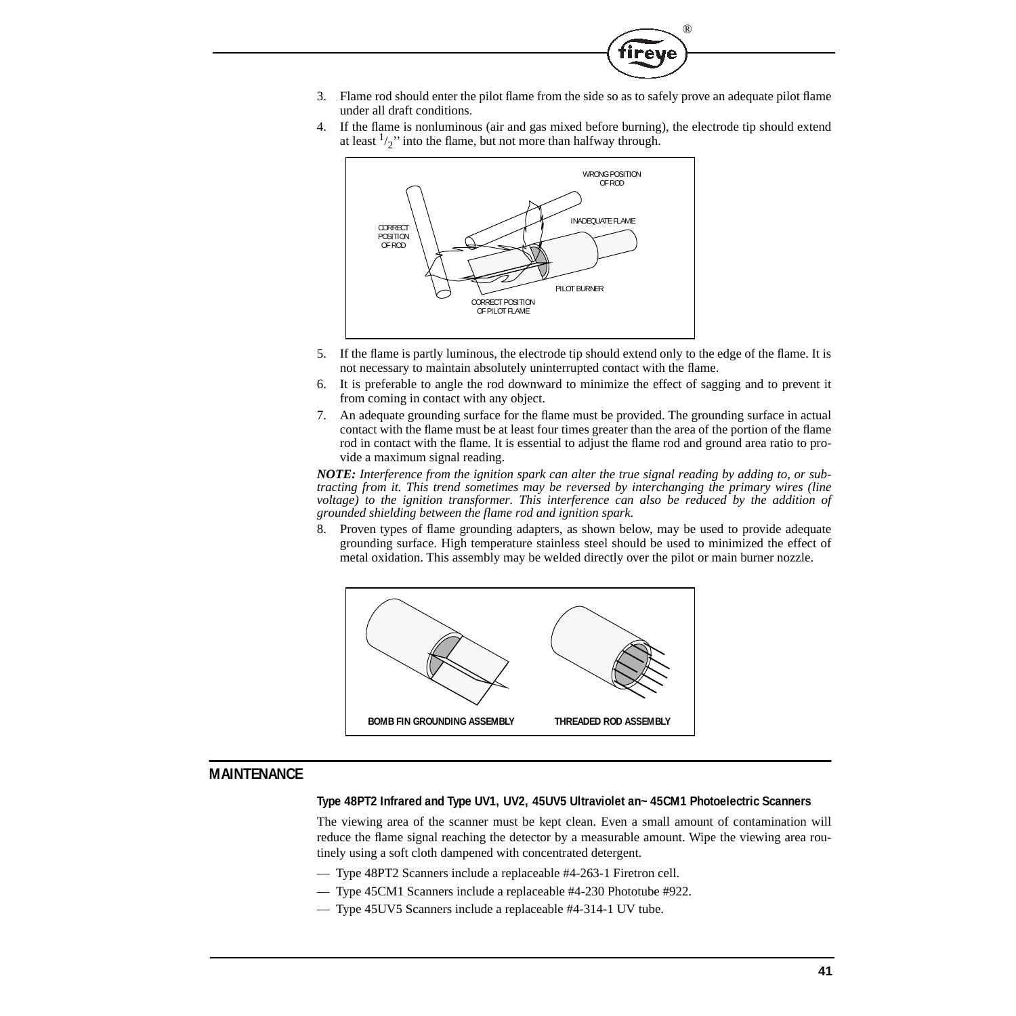

®

4. If the flame is nonluminous (air and gas mixed before burning), the electrode tip should extend at least  $\frac{1}{2}$ '' into the flame, but not more than halfway through.



- 5. If the flame is partly luminous, the electrode tip should extend only to the edge of the flame. It is not necessary to maintain absolutely uninterrupted contact with the flame.
- 6. It is preferable to angle the rod downward to minimize the effect of sagging and to prevent it from coming in contact with any object.
- 7. An adequate grounding surface for the flame must be provided. The grounding surface in actual contact with the flame must be at least four times greater than the area of the portion of the flame rod in contact with the flame. It is essential to adjust the flame rod and ground area ratio to provide a maximum signal reading.

*NOTE: Interference from the ignition spark can alter the true signal reading by adding to, or subtracting from it. This trend sometimes may be reversed by interchanging the primary wires (line voltage) to the ignition transformer. This interference can also be reduced by the addition of grounded shielding between the flame rod and ignition spark.*

8. Proven types of flame grounding adapters, as shown below, may be used to provide adequate grounding surface. High temperature stainless steel should be used to minimized the effect of metal oxidation. This assembly may be welded directly over the pilot or main burner nozzle.



# **MAINTENANCE**

#### **Type 48PT2 Infrared and Type UV1, UV2, 45UV5 Ultraviolet an~ 45CM1 Photoelectric Scanners**

The viewing area of the scanner must be kept clean. Even a small amount of contamination will reduce the flame signal reaching the detector by a measurable amount. Wipe the viewing area routinely using a soft cloth dampened with concentrated detergent.

- Type 48PT2 Scanners include a replaceable #4-263-1 Firetron cell.
- Type 45CM1 Scanners include a replaceable #4-230 Phototube #922.
- Type 45UV5 Scanners include a replaceable #4-314-1 UV tube.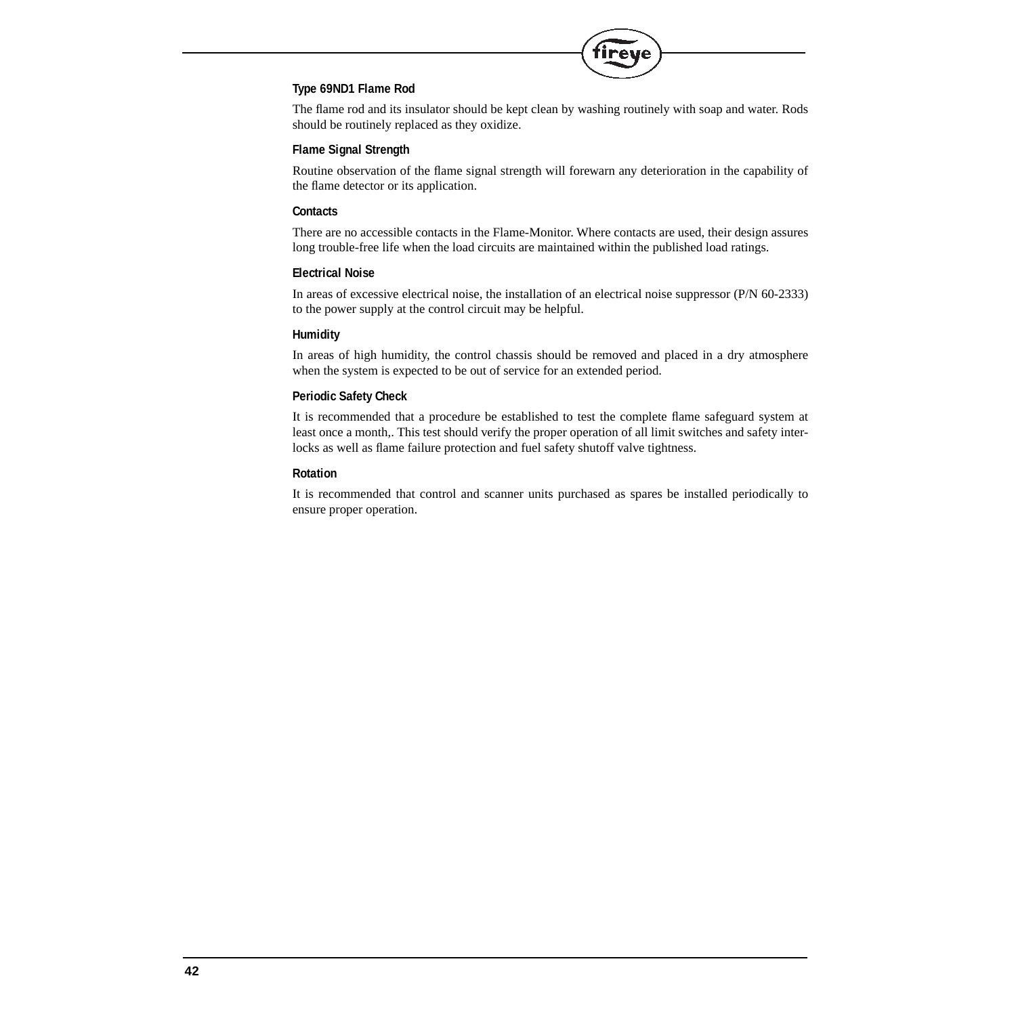#### **Type 69ND1 Flame Rod**

The flame rod and its insulator should be kept clean by washing routinely with soap and water. Rods should be routinely replaced as they oxidize.

 $^{\circledR}$ 

#### **Flame Signal Strength**

Routine observation of the flame signal strength will forewarn any deterioration in the capability of the flame detector or its application.

#### **Contacts**

There are no accessible contacts in the Flame-Monitor. Where contacts are used, their design assures long trouble-free life when the load circuits are maintained within the published load ratings.

#### **Electrical Noise**

In areas of excessive electrical noise, the installation of an electrical noise suppressor (P/N 60-2333) to the power supply at the control circuit may be helpful.

#### **Humidity**

In areas of high humidity, the control chassis should be removed and placed in a dry atmosphere when the system is expected to be out of service for an extended period.

#### **Periodic Safety Check**

It is recommended that a procedure be established to test the complete flame safeguard system at least once a month,. This test should verify the proper operation of all limit switches and safety interlocks as well as flame failure protection and fuel safety shutoff valve tightness.

#### **Rotation**

It is recommended that control and scanner units purchased as spares be installed periodically to ensure proper operation.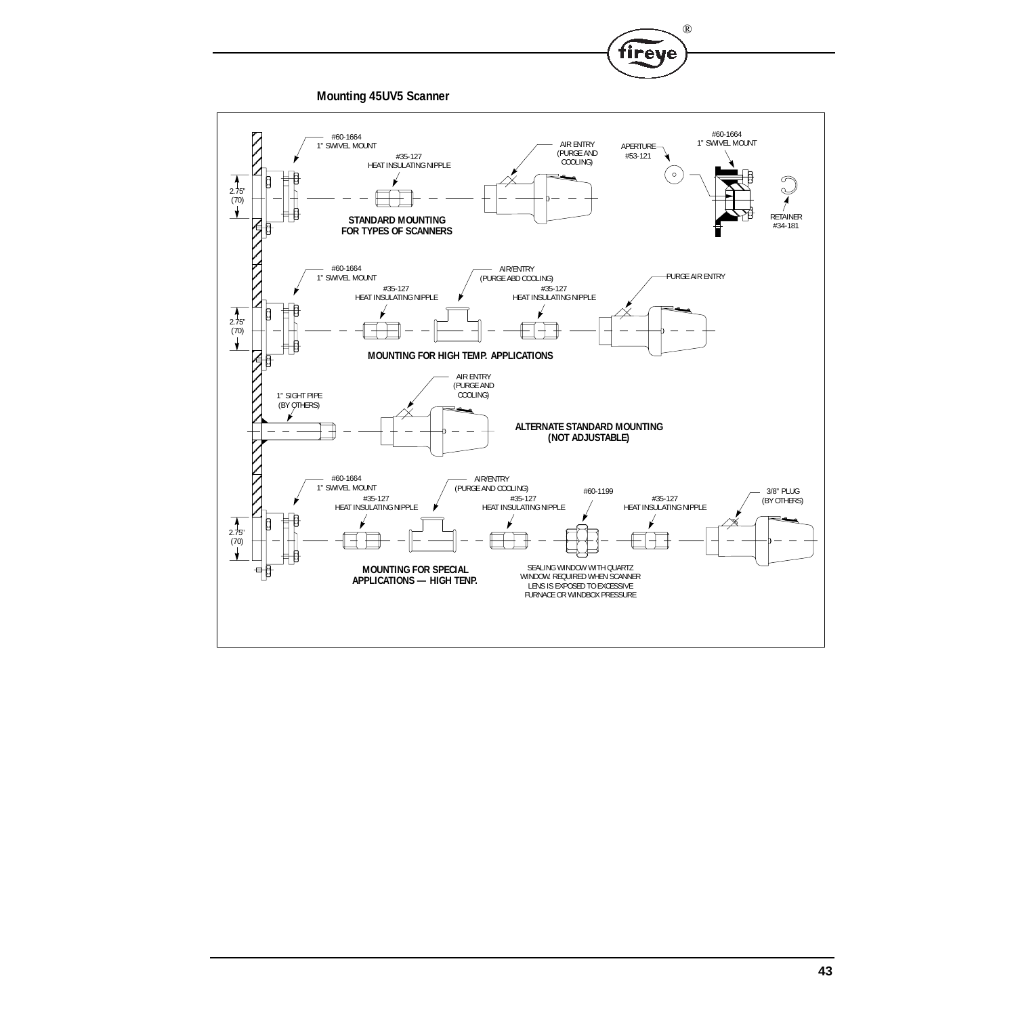



®

fireye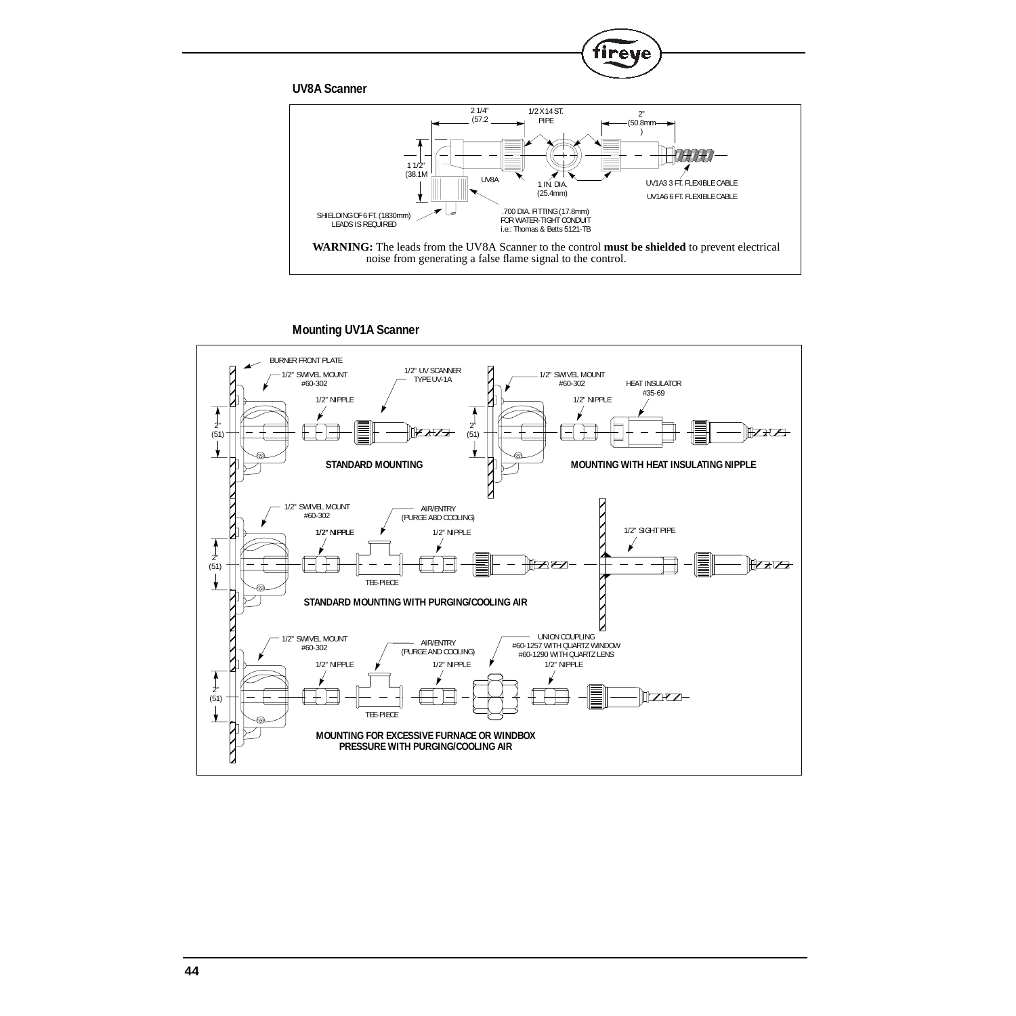

**Mounting UV1A Scanner**

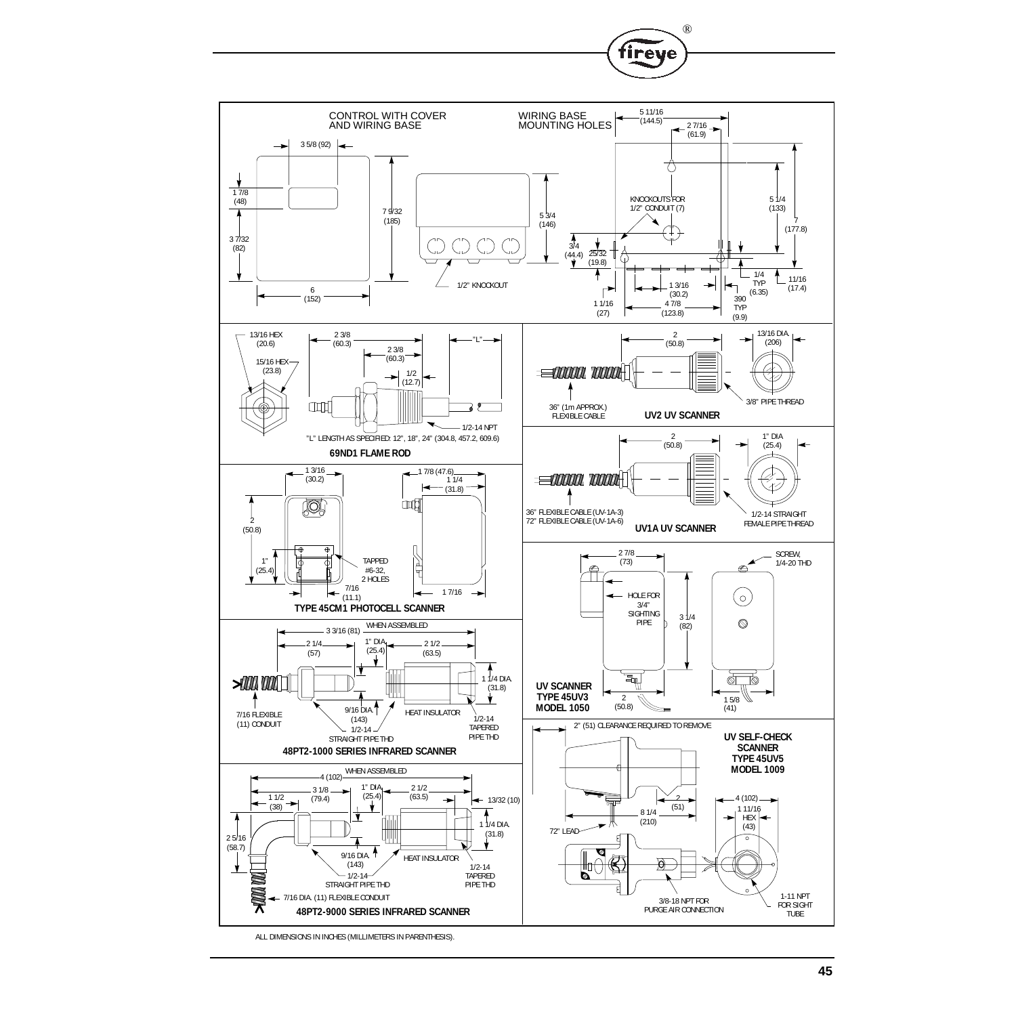

®

ıе

re

ALL DIMENSIONS IN INCHES (MILLIMETERS IN PARENTHESIS).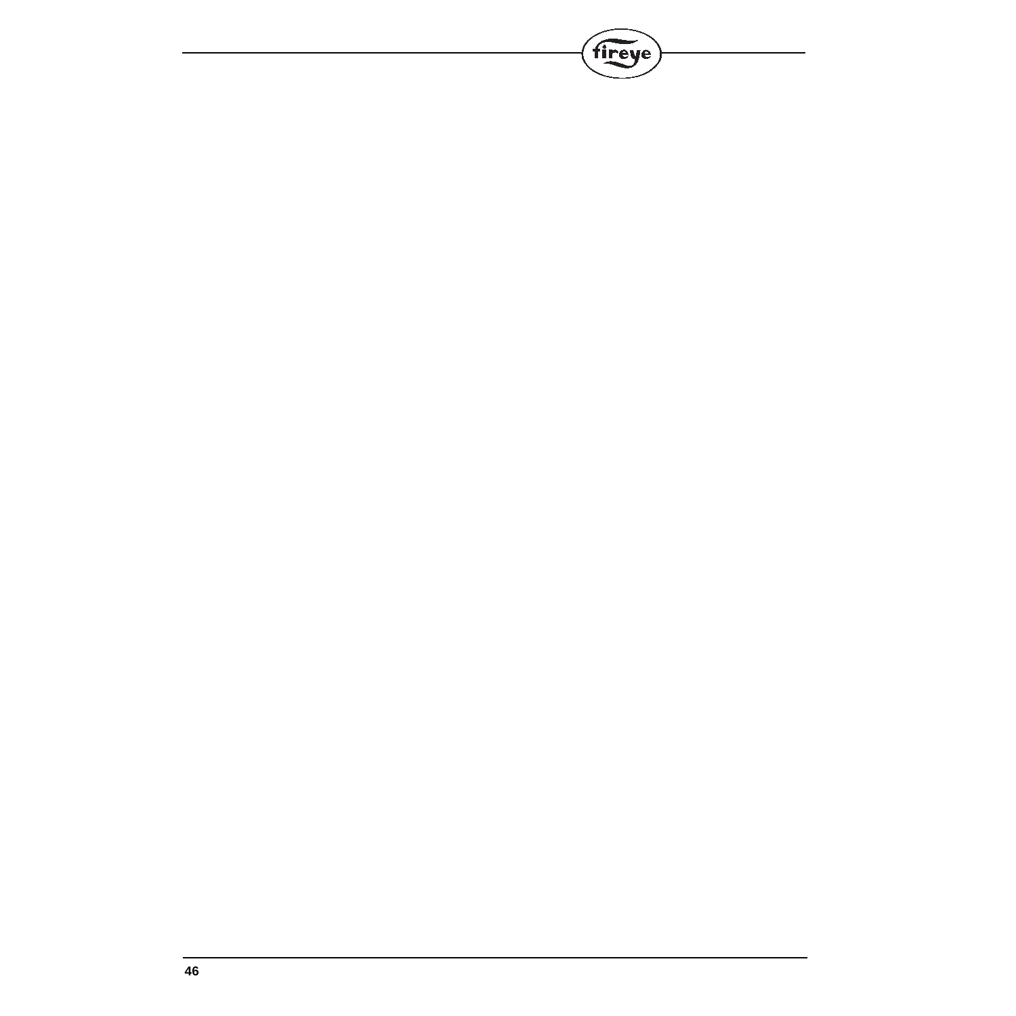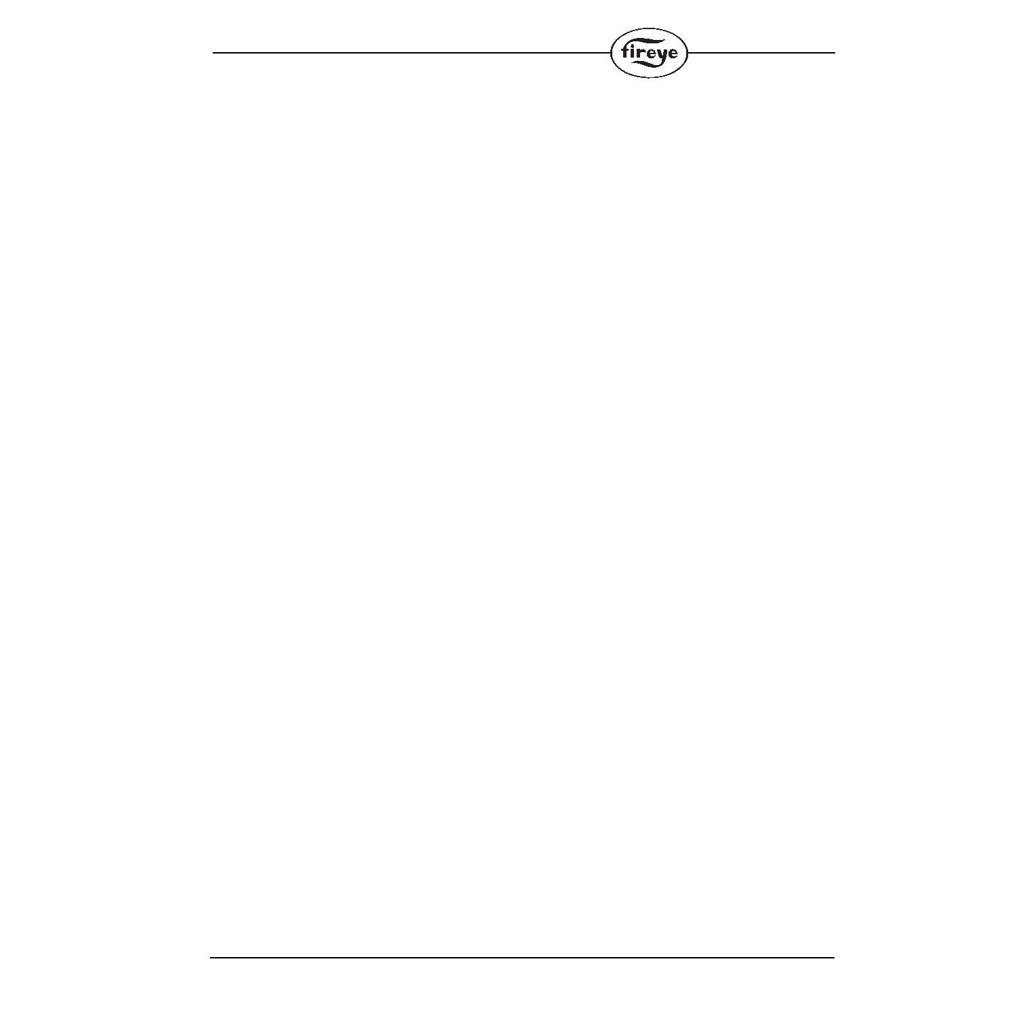